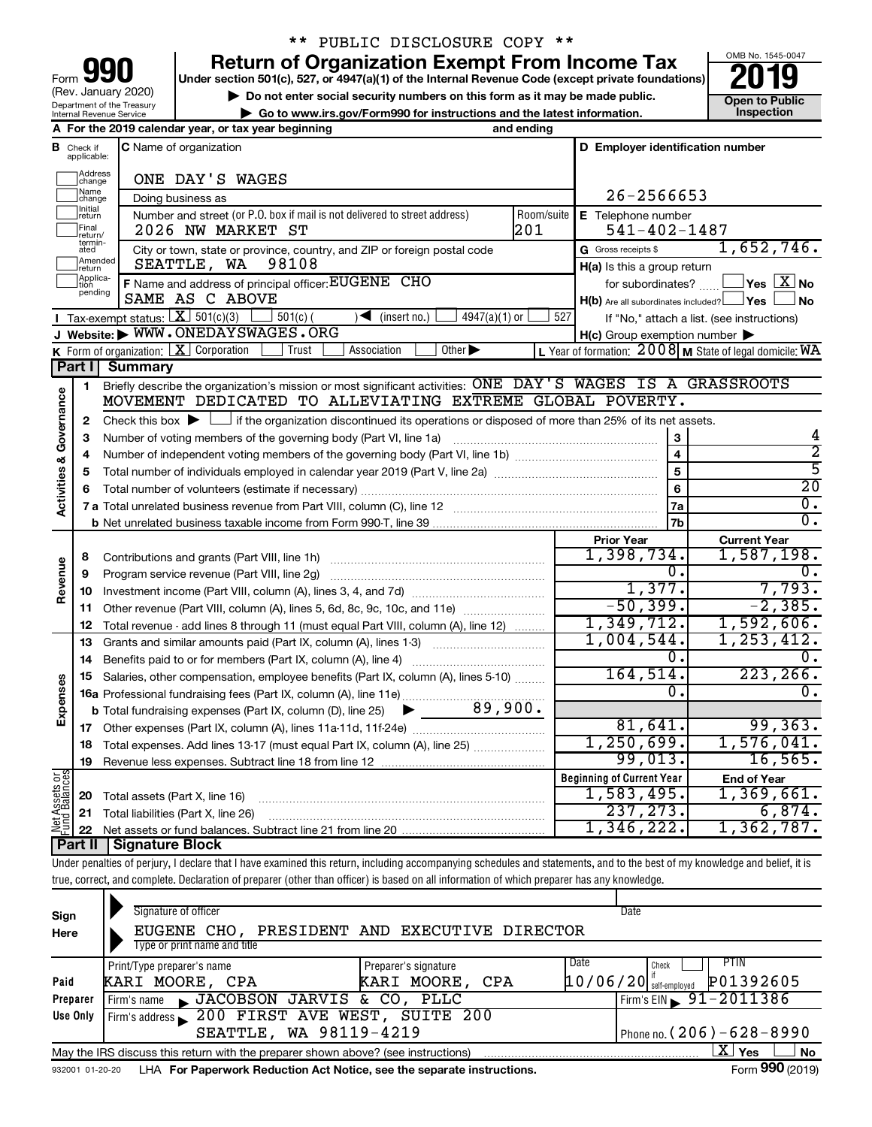| 90<br>Form                                                    |
|---------------------------------------------------------------|
| (Rev. January 2020)                                           |
| Department of the Treasury<br><b>Internal Revenue Service</b> |

# \*\* PUBLIC DISCLOSURE COPY \*\*

**your Section 501(c), 527, or 4947(a)(1) of the Internal Revenue Code (except private foundations) 2019** 

▶ Do not enter social security numbers on this form as it may be made public. **Dependent Open to Public Dependent Open to Public and the latest information.** Inspection **| Go to www.irs.gov/Form990 for instructions and the latest information. Inspection**

OMB No. 1545-0047

|                         |                               | A For the 2019 calendar year, or tax year beginning                                                                                                                        | and ending              |                                                     |                                                           |
|-------------------------|-------------------------------|----------------------------------------------------------------------------------------------------------------------------------------------------------------------------|-------------------------|-----------------------------------------------------|-----------------------------------------------------------|
|                         | <b>B</b> Check if applicable: | C Name of organization                                                                                                                                                     |                         | D Employer identification number                    |                                                           |
|                         | Address<br> change            | ONE DAY'S WAGES                                                                                                                                                            |                         |                                                     |                                                           |
|                         | Name<br>change                | Doing business as                                                                                                                                                          |                         | 26-2566653                                          |                                                           |
|                         | Initial<br>return             | Number and street (or P.O. box if mail is not delivered to street address)                                                                                                 | Room/suite              | E Telephone number                                  |                                                           |
|                         | Final<br>return/              | 2026 NW MARKET ST                                                                                                                                                          | 201                     | $541 - 402 - 1487$                                  |                                                           |
|                         | termin-<br>ated               | City or town, state or province, country, and ZIP or foreign postal code                                                                                                   |                         | G Gross receipts \$                                 | 1,652,746.                                                |
|                         | Amended<br>return             | SEATTLE, WA 98108                                                                                                                                                          |                         | H(a) Is this a group return                         |                                                           |
|                         | Applica-<br>tion<br>pending   | F Name and address of principal officer: EUGENE CHO                                                                                                                        |                         | for subordinates?                                   | $\Box$ Yes $\Box X$ No                                    |
|                         |                               | SAME AS C ABOVE                                                                                                                                                            |                         | $H(b)$ Are all subordinates included? $\Box$ Yes    | ⊿ No                                                      |
|                         |                               | <b>T</b> Tax-exempt status: $X \ 501(c)(3)$<br>$\Box$ 501(c) (<br>$\sqrt{\frac{1}{1}}$ (insert no.)<br>$4947(a)(1)$ or<br>J Website: WWW.ONEDAYSWAGES.ORG                  | 527                     |                                                     | If "No," attach a list. (see instructions)                |
|                         |                               | <b>K</b> Form of organization: $\boxed{\mathbf{X}}$ Corporation<br>Trust<br>Other $\blacktriangleright$<br>Association                                                     |                         | $H(c)$ Group exemption number $\blacktriangleright$ | L Year of formation: $2008$ M State of legal domicile: WA |
|                         |                               | Part I Summary                                                                                                                                                             |                         |                                                     |                                                           |
|                         | 1                             | Briefly describe the organization's mission or most significant activities: ONE DAY'S WAGES IS A GRASSROOTS                                                                |                         |                                                     |                                                           |
| Governance              |                               | MOVEMENT DEDICATED TO ALLEVIATING EXTREME GLOBAL POVERTY.                                                                                                                  |                         |                                                     |                                                           |
|                         | 2                             | Check this box $\blacktriangleright$ $\Box$ if the organization discontinued its operations or disposed of more than 25% of its net assets.                                |                         |                                                     |                                                           |
|                         | З                             | Number of voting members of the governing body (Part VI, line 1a)                                                                                                          |                         | 4                                                   |                                                           |
| <b>Activities &amp;</b> | 4                             |                                                                                                                                                                            | $\overline{\mathbf{4}}$ | $\overline{2}$                                      |                                                           |
|                         | 5                             |                                                                                                                                                                            |                         | 5                                                   | $\overline{5}$                                            |
|                         |                               |                                                                                                                                                                            |                         | 6                                                   | $\overline{20}$                                           |
|                         |                               |                                                                                                                                                                            |                         | l 7a                                                | $\overline{0}$ .                                          |
|                         |                               |                                                                                                                                                                            |                         | 7b                                                  | $\overline{0}$ .                                          |
|                         |                               |                                                                                                                                                                            |                         | <b>Prior Year</b>                                   | <b>Current Year</b>                                       |
|                         | 8                             |                                                                                                                                                                            |                         | 1,398,734.                                          | 1,587,198.                                                |
| Revenue                 | 9                             | Program service revenue (Part VIII, line 2g)                                                                                                                               |                         | $\overline{0}$ .                                    | 0.                                                        |
|                         | 10                            |                                                                                                                                                                            |                         | 1,377.                                              | 7,793.                                                    |
|                         | 11                            |                                                                                                                                                                            |                         | $-50,399.$                                          | $-2,385.$                                                 |
|                         | 12                            | Total revenue - add lines 8 through 11 (must equal Part VIII, column (A), line 12)                                                                                         |                         | 1,349,712.                                          | 1,592,606.                                                |
|                         | 13                            | Grants and similar amounts paid (Part IX, column (A), lines 1-3) <i>manoronononononon</i>                                                                                  |                         | 1,004,544.<br>0.                                    | 1, 253, 412.<br>0.                                        |
|                         | 14                            |                                                                                                                                                                            |                         | 164, 514.                                           | 223, 266.                                                 |
| Expenses                | 15                            | Salaries, other compensation, employee benefits (Part IX, column (A), lines 5-10)                                                                                          |                         | 0.                                                  | 0.                                                        |
|                         |                               |                                                                                                                                                                            |                         |                                                     |                                                           |
|                         |                               |                                                                                                                                                                            |                         | 81,641.                                             | 99, 363.                                                  |
|                         |                               | 18 Total expenses. Add lines 13-17 (must equal Part IX, column (A), line 25)                                                                                               |                         | 1,250,699.                                          | 1,576,041.                                                |
|                         | 19                            |                                                                                                                                                                            |                         | 99,013.                                             | 16, 565.                                                  |
|                         |                               |                                                                                                                                                                            |                         | <b>Beginning of Current Year</b>                    | <b>End of Year</b>                                        |
| Net Assets or           | 20                            | Total assets (Part X, line 16)                                                                                                                                             |                         | 1,583,495.                                          | 1,369,661.                                                |
|                         | 21                            | Total liabilities (Part X, line 26)                                                                                                                                        |                         | 237, 273.                                           | 6,874.                                                    |
|                         | 22                            |                                                                                                                                                                            |                         | 1,346,222.                                          | 1,362,787.                                                |
|                         | <b>Part II</b>                | <b>Signature Block</b>                                                                                                                                                     |                         |                                                     |                                                           |
|                         |                               | Under penalties of perjury, I declare that I have examined this return, including accompanying schedules and statements, and to the best of my knowledge and belief, it is |                         |                                                     |                                                           |

true, correct, and complete. Declaration of preparer (other than officer) is based on all information of which preparer has any knowledge.

| Sign<br>Here | Signature of officer<br>PRESIDENT AND EXECUTIVE DIRECTOR<br>EUGENE CHO.<br>Type or print name and title      | Date                                                           |  |  |  |  |  |  |  |
|--------------|--------------------------------------------------------------------------------------------------------------|----------------------------------------------------------------|--|--|--|--|--|--|--|
| Paid         | Print/Type preparer's name<br>Preparer's signature<br>KARI MOORE, CPA<br>KARI MOORE, CPA                     | Date<br>PTIN<br>Check<br>P01392605<br>$10/06/20$ self-employed |  |  |  |  |  |  |  |
| Preparer     | Firm's name JACOBSON JARVIS & CO, PLLC                                                                       | Firm's EIN $\frac{91-2011386}{ }$                              |  |  |  |  |  |  |  |
| Use Only     | Firm's address 200 FIRST AVE WEST, SUITE 200                                                                 |                                                                |  |  |  |  |  |  |  |
|              | SEATTLE, WA 98119-4219                                                                                       | Phone no. $(206) - 628 - 8990$                                 |  |  |  |  |  |  |  |
|              | ∟X∐ Yes<br>No<br>May the IRS discuss this return with the preparer shown above? (see instructions)           |                                                                |  |  |  |  |  |  |  |
|              | Form 990 (2019)<br>LHA For Paperwork Reduction Act Notice, see the separate instructions.<br>932001 01-20-20 |                                                                |  |  |  |  |  |  |  |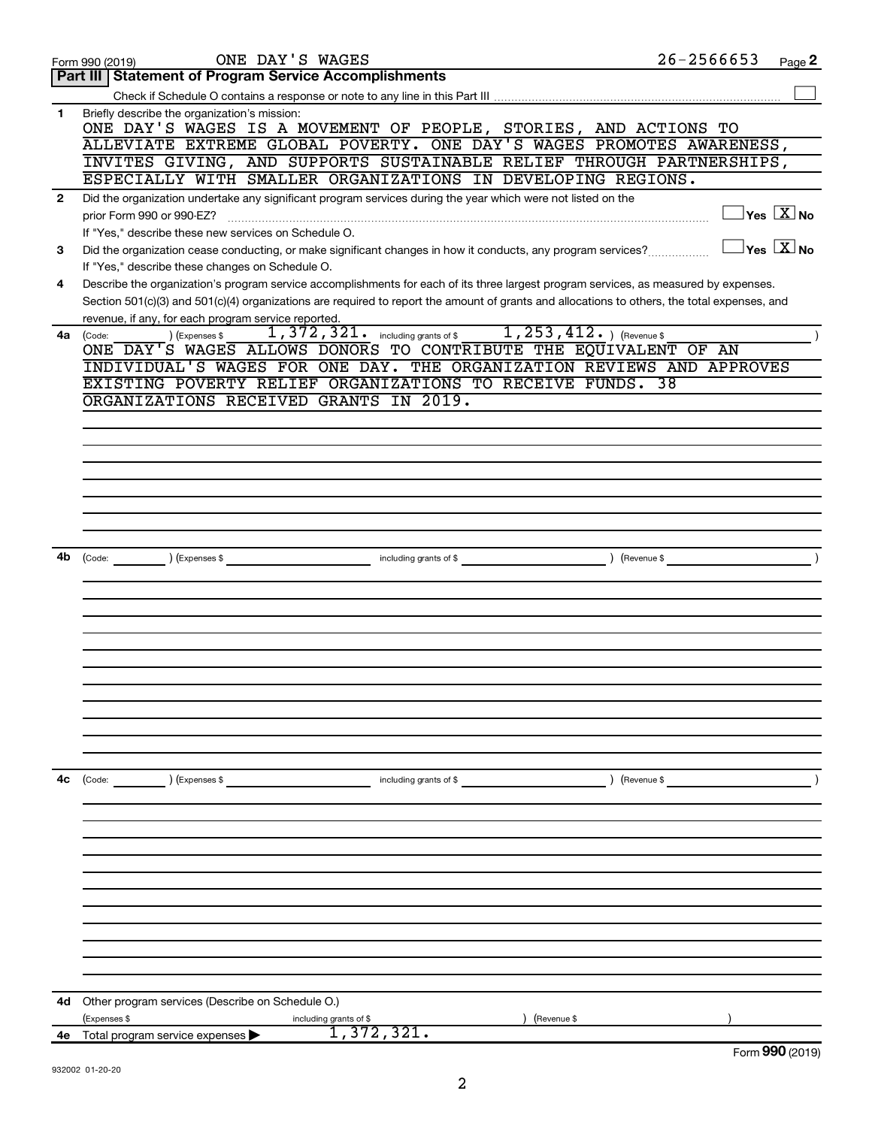|              | ONE DAY'S WAGES<br>Form 990 (2019)                                                                                                                                                                                                                                                   | $26 - 2566653$ | Page 2                                  |
|--------------|--------------------------------------------------------------------------------------------------------------------------------------------------------------------------------------------------------------------------------------------------------------------------------------|----------------|-----------------------------------------|
|              | <b>Part III   Statement of Program Service Accomplishments</b>                                                                                                                                                                                                                       |                |                                         |
|              |                                                                                                                                                                                                                                                                                      |                |                                         |
| 1            | Briefly describe the organization's mission:<br>ONE DAY'S WAGES IS A MOVEMENT OF PEOPLE, STORIES, AND ACTIONS TO                                                                                                                                                                     |                |                                         |
|              | ALLEVIATE EXTREME GLOBAL POVERTY. ONE DAY'S WAGES PROMOTES AWARENESS,                                                                                                                                                                                                                |                |                                         |
|              | INVITES GIVING, AND SUPPORTS SUSTAINABLE RELIEF THROUGH PARTNERSHIPS,                                                                                                                                                                                                                |                |                                         |
|              | ESPECIALLY WITH SMALLER ORGANIZATIONS IN DEVELOPING REGIONS.                                                                                                                                                                                                                         |                |                                         |
|              |                                                                                                                                                                                                                                                                                      |                |                                         |
| $\mathbf{2}$ | Did the organization undertake any significant program services during the year which were not listed on the                                                                                                                                                                         |                | $\Box$ Yes $[\overline{\mathrm{X}}]$ No |
|              | prior Form 990 or 990-EZ?                                                                                                                                                                                                                                                            |                |                                         |
|              | If "Yes," describe these new services on Schedule O.                                                                                                                                                                                                                                 |                |                                         |
| 3            | Did the organization cease conducting, or make significant changes in how it conducts, any program services?                                                                                                                                                                         |                | $\Box$ Yes $[\overline{\mathrm{X}}]$ No |
|              | If "Yes," describe these changes on Schedule O.                                                                                                                                                                                                                                      |                |                                         |
| 4            | Describe the organization's program service accomplishments for each of its three largest program services, as measured by expenses.<br>Section 501(c)(3) and 501(c)(4) organizations are required to report the amount of grants and allocations to others, the total expenses, and |                |                                         |
|              | revenue, if any, for each program service reported.                                                                                                                                                                                                                                  |                |                                         |
| 4a           | 1, 372, 321. including grants of \$1, 253, 412. ) (Revenue \$<br>) (Expenses \$<br>(Code:                                                                                                                                                                                            |                |                                         |
|              | ONE DAY'S WAGES ALLOWS DONORS TO CONTRIBUTE THE EQUIVALENT OF AN                                                                                                                                                                                                                     |                |                                         |
|              | INDIVIDUAL'S WAGES FOR ONE DAY. THE ORGANIZATION REVIEWS AND APPROVES                                                                                                                                                                                                                |                |                                         |
|              | EXISTING POVERTY RELIEF ORGANIZATIONS TO RECEIVE FUNDS. 38                                                                                                                                                                                                                           |                |                                         |
|              | ORGANIZATIONS RECEIVED GRANTS IN 2019.                                                                                                                                                                                                                                               |                |                                         |
|              |                                                                                                                                                                                                                                                                                      |                |                                         |
|              |                                                                                                                                                                                                                                                                                      |                |                                         |
|              |                                                                                                                                                                                                                                                                                      |                |                                         |
|              |                                                                                                                                                                                                                                                                                      |                |                                         |
|              |                                                                                                                                                                                                                                                                                      |                |                                         |
|              |                                                                                                                                                                                                                                                                                      |                |                                         |
|              |                                                                                                                                                                                                                                                                                      |                |                                         |
|              |                                                                                                                                                                                                                                                                                      |                |                                         |
|              |                                                                                                                                                                                                                                                                                      |                |                                         |
| 4b           | (Code: ) (Expenses \$<br>including grants of \$                                                                                                                                                                                                                                      |                |                                         |
|              |                                                                                                                                                                                                                                                                                      |                |                                         |
|              |                                                                                                                                                                                                                                                                                      |                |                                         |
|              |                                                                                                                                                                                                                                                                                      |                |                                         |
|              |                                                                                                                                                                                                                                                                                      |                |                                         |
|              |                                                                                                                                                                                                                                                                                      |                |                                         |
|              |                                                                                                                                                                                                                                                                                      |                |                                         |
|              |                                                                                                                                                                                                                                                                                      |                |                                         |
|              |                                                                                                                                                                                                                                                                                      |                |                                         |
|              |                                                                                                                                                                                                                                                                                      |                |                                         |
|              |                                                                                                                                                                                                                                                                                      |                |                                         |
|              |                                                                                                                                                                                                                                                                                      |                |                                         |
|              |                                                                                                                                                                                                                                                                                      |                |                                         |
|              |                                                                                                                                                                                                                                                                                      |                |                                         |
| 4с           | $\left(\text{Code:}\right)$ $\left(\text{Expenses $}\right)$<br>including grants of \$                                                                                                                                                                                               | ) (Revenue \$  |                                         |
|              |                                                                                                                                                                                                                                                                                      |                |                                         |
|              |                                                                                                                                                                                                                                                                                      |                |                                         |
|              |                                                                                                                                                                                                                                                                                      |                |                                         |
|              |                                                                                                                                                                                                                                                                                      |                |                                         |
|              |                                                                                                                                                                                                                                                                                      |                |                                         |
|              |                                                                                                                                                                                                                                                                                      |                |                                         |
|              |                                                                                                                                                                                                                                                                                      |                |                                         |
|              |                                                                                                                                                                                                                                                                                      |                |                                         |
|              |                                                                                                                                                                                                                                                                                      |                |                                         |
|              |                                                                                                                                                                                                                                                                                      |                |                                         |
|              |                                                                                                                                                                                                                                                                                      |                |                                         |
|              |                                                                                                                                                                                                                                                                                      |                |                                         |
|              |                                                                                                                                                                                                                                                                                      |                |                                         |
| 4d           | Other program services (Describe on Schedule O.)                                                                                                                                                                                                                                     |                |                                         |
|              | (Expenses \$<br>Revenue \$<br>including grants of \$<br>1,372,321.                                                                                                                                                                                                                   |                |                                         |
|              | <b>4e</b> Total program service expenses $\blacktriangleright$                                                                                                                                                                                                                       |                |                                         |
|              |                                                                                                                                                                                                                                                                                      |                | Form 990 (2019)                         |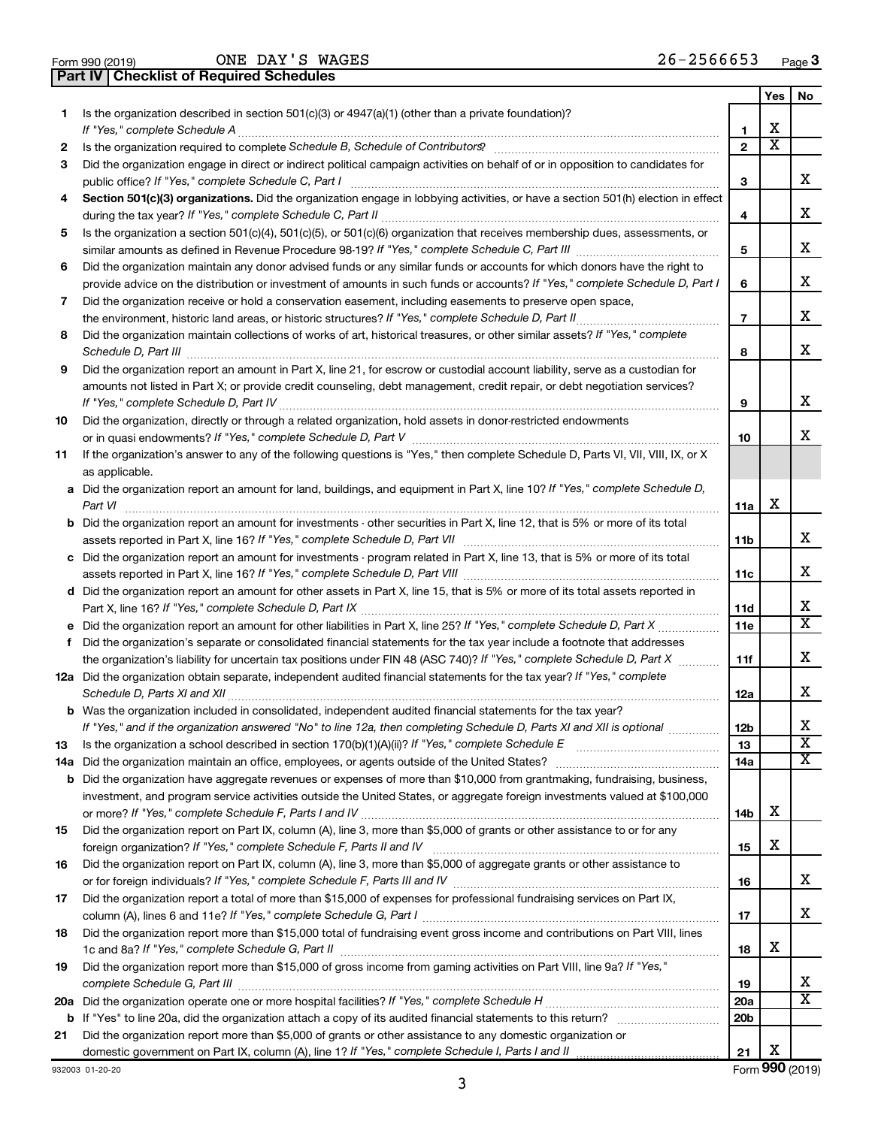| Form 990 (2019) |  |  |
|-----------------|--|--|

ONE DAY'S WAGES 26-2566653

**Part IV Checklist of Required Schedules**

|    |                                                                                                                                       |                          | Yes | No                      |
|----|---------------------------------------------------------------------------------------------------------------------------------------|--------------------------|-----|-------------------------|
| 1. | Is the organization described in section 501(c)(3) or 4947(a)(1) (other than a private foundation)?<br>If "Yes," complete Schedule A  | 1                        | х   |                         |
| 2  |                                                                                                                                       | $\mathbf{2}$             | X   |                         |
| 3  | Did the organization engage in direct or indirect political campaign activities on behalf of or in opposition to candidates for       |                          |     |                         |
|    | public office? If "Yes," complete Schedule C, Part I                                                                                  | 3                        |     | x                       |
| 4  | Section 501(c)(3) organizations. Did the organization engage in lobbying activities, or have a section 501(h) election in effect      |                          |     |                         |
|    |                                                                                                                                       | 4                        |     | х                       |
| 5  | Is the organization a section 501(c)(4), 501(c)(5), or 501(c)(6) organization that receives membership dues, assessments, or          |                          |     |                         |
|    |                                                                                                                                       | 5                        |     | х                       |
| 6  | Did the organization maintain any donor advised funds or any similar funds or accounts for which donors have the right to             |                          |     |                         |
|    | provide advice on the distribution or investment of amounts in such funds or accounts? If "Yes," complete Schedule D, Part I          | 6                        |     | x                       |
| 7  | Did the organization receive or hold a conservation easement, including easements to preserve open space,                             |                          |     |                         |
|    |                                                                                                                                       | $\overline{\phantom{a}}$ |     | х                       |
| 8  | Did the organization maintain collections of works of art, historical treasures, or other similar assets? If "Yes," complete          |                          |     |                         |
|    | Schedule D, Part III                                                                                                                  | 8                        |     | х                       |
| 9  | Did the organization report an amount in Part X, line 21, for escrow or custodial account liability, serve as a custodian for         |                          |     |                         |
|    | amounts not listed in Part X; or provide credit counseling, debt management, credit repair, or debt negotiation services?             |                          |     |                         |
|    |                                                                                                                                       | 9                        |     | х                       |
| 10 | Did the organization, directly or through a related organization, hold assets in donor-restricted endowments                          |                          |     |                         |
|    |                                                                                                                                       | 10                       |     | x                       |
| 11 | If the organization's answer to any of the following questions is "Yes," then complete Schedule D, Parts VI, VII, VIII, IX, or X      |                          |     |                         |
|    | as applicable.                                                                                                                        |                          |     |                         |
|    | a Did the organization report an amount for land, buildings, and equipment in Part X, line 10? If "Yes," complete Schedule D,         |                          |     |                         |
|    | Part VI                                                                                                                               | 11a                      | х   |                         |
|    | <b>b</b> Did the organization report an amount for investments - other securities in Part X, line 12, that is 5% or more of its total |                          |     | x                       |
|    |                                                                                                                                       | 11b                      |     |                         |
|    | c Did the organization report an amount for investments - program related in Part X, line 13, that is 5% or more of its total         |                          |     | х                       |
|    |                                                                                                                                       | 11c                      |     |                         |
|    | d Did the organization report an amount for other assets in Part X, line 15, that is 5% or more of its total assets reported in       | 11d                      |     | х                       |
|    |                                                                                                                                       | 11e                      |     | X                       |
| f  | Did the organization's separate or consolidated financial statements for the tax year include a footnote that addresses               |                          |     |                         |
|    | the organization's liability for uncertain tax positions under FIN 48 (ASC 740)? If "Yes," complete Schedule D, Part X                | 11f                      |     | х                       |
|    | 12a Did the organization obtain separate, independent audited financial statements for the tax year? If "Yes," complete               |                          |     |                         |
|    |                                                                                                                                       | 12a                      |     | x                       |
|    | <b>b</b> Was the organization included in consolidated, independent audited financial statements for the tax year?                    |                          |     |                         |
|    | If "Yes." and if the organization answered "No" to line 12a. then completing Schedule D. Parts XI and XII is optional                 | 12 <sub>b</sub>          |     | х                       |
| 13 | Is the organization a school described in section 170(b)(1)(A)(ii)? If "Yes," complete Schedule E [[[[[[[[[[[[                        | 13                       |     | $\overline{\mathbf{X}}$ |
|    | 14a Did the organization maintain an office, employees, or agents outside of the United States?                                       | 14a                      |     | х                       |
|    | <b>b</b> Did the organization have aggregate revenues or expenses of more than \$10,000 from grantmaking, fundraising, business,      |                          |     |                         |
|    | investment, and program service activities outside the United States, or aggregate foreign investments valued at \$100,000            |                          |     |                         |
|    |                                                                                                                                       | 14b                      | х   |                         |
| 15 | Did the organization report on Part IX, column (A), line 3, more than \$5,000 of grants or other assistance to or for any             |                          |     |                         |
|    |                                                                                                                                       | 15                       | х   |                         |
| 16 | Did the organization report on Part IX, column (A), line 3, more than \$5,000 of aggregate grants or other assistance to              |                          |     |                         |
|    |                                                                                                                                       | 16                       |     | х                       |
| 17 | Did the organization report a total of more than \$15,000 of expenses for professional fundraising services on Part IX,               |                          |     |                         |
|    |                                                                                                                                       | 17                       |     | х                       |
| 18 | Did the organization report more than \$15,000 total of fundraising event gross income and contributions on Part VIII, lines          |                          |     |                         |
|    |                                                                                                                                       | 18                       | х   |                         |
| 19 | Did the organization report more than \$15,000 of gross income from gaming activities on Part VIII, line 9a? If "Yes,"                |                          |     | х                       |
|    |                                                                                                                                       | 19                       |     | $\overline{\text{X}}$   |
|    |                                                                                                                                       | 20a<br>20 <sub>b</sub>   |     |                         |
| 21 | Did the organization report more than \$5,000 of grants or other assistance to any domestic organization or                           |                          |     |                         |
|    |                                                                                                                                       | 21                       | х   |                         |
|    |                                                                                                                                       |                          |     |                         |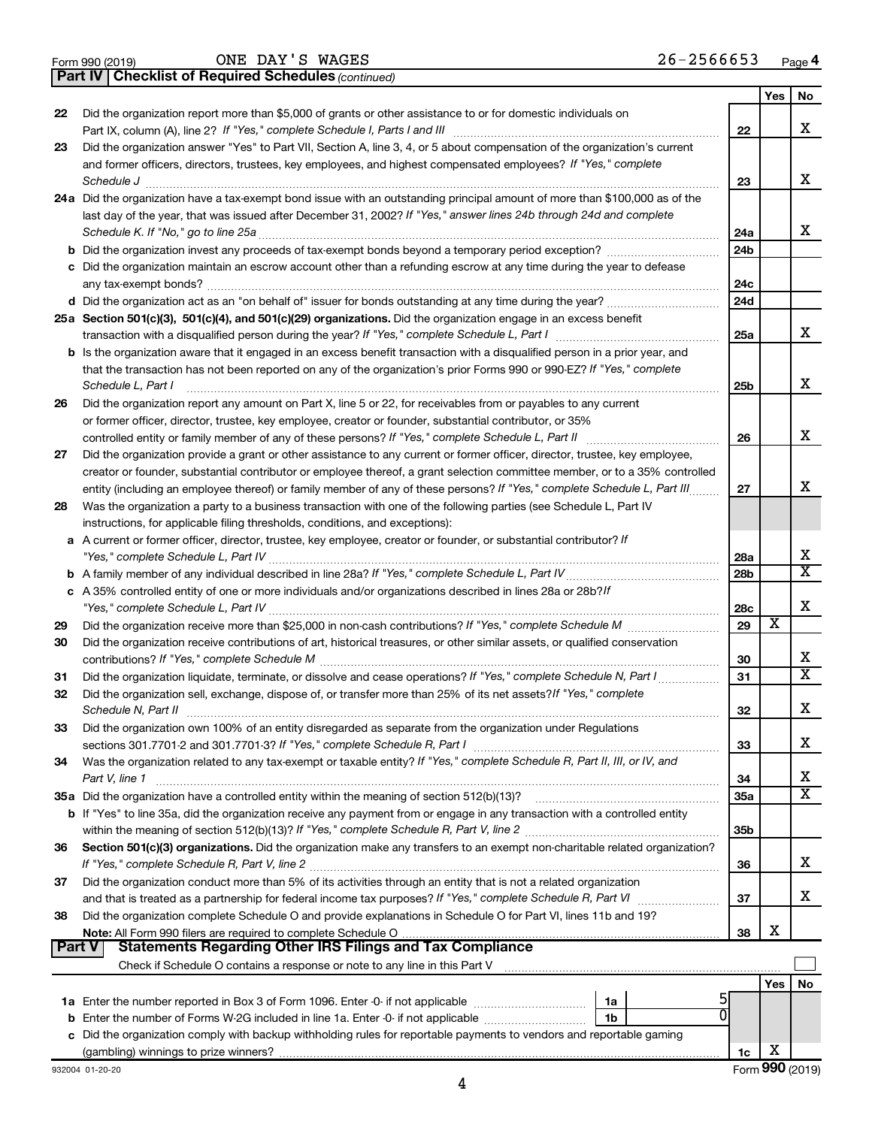|  | Form 990 (2019) |  |
|--|-----------------|--|
|  |                 |  |

*(continued)* **Part IV Checklist of Required Schedules**

|               |                                                                                                                                                                                                                                                            |                 | Yes | No                      |
|---------------|------------------------------------------------------------------------------------------------------------------------------------------------------------------------------------------------------------------------------------------------------------|-----------------|-----|-------------------------|
| 22            | Did the organization report more than \$5,000 of grants or other assistance to or for domestic individuals on                                                                                                                                              |                 |     |                         |
|               |                                                                                                                                                                                                                                                            | 22              |     | х                       |
| 23            | Did the organization answer "Yes" to Part VII, Section A, line 3, 4, or 5 about compensation of the organization's current                                                                                                                                 |                 |     |                         |
|               | and former officers, directors, trustees, key employees, and highest compensated employees? If "Yes," complete                                                                                                                                             |                 |     |                         |
|               | Schedule J                                                                                                                                                                                                                                                 | 23              |     | x                       |
|               | 24a Did the organization have a tax-exempt bond issue with an outstanding principal amount of more than \$100,000 as of the                                                                                                                                |                 |     |                         |
|               | last day of the year, that was issued after December 31, 2002? If "Yes," answer lines 24b through 24d and complete                                                                                                                                         |                 |     |                         |
|               | Schedule K. If "No," go to line 25a                                                                                                                                                                                                                        | 24a             |     | x                       |
|               |                                                                                                                                                                                                                                                            | 24 <sub>b</sub> |     |                         |
|               | c Did the organization maintain an escrow account other than a refunding escrow at any time during the year to defease                                                                                                                                     |                 |     |                         |
|               |                                                                                                                                                                                                                                                            | 24c             |     |                         |
|               |                                                                                                                                                                                                                                                            | 24d             |     |                         |
|               | 25a Section 501(c)(3), 501(c)(4), and 501(c)(29) organizations. Did the organization engage in an excess benefit                                                                                                                                           |                 |     | x                       |
|               |                                                                                                                                                                                                                                                            | 25a             |     |                         |
|               | b Is the organization aware that it engaged in an excess benefit transaction with a disqualified person in a prior year, and                                                                                                                               |                 |     |                         |
|               | that the transaction has not been reported on any of the organization's prior Forms 990 or 990-EZ? If "Yes," complete                                                                                                                                      |                 |     | х                       |
|               | Schedule L, Part I                                                                                                                                                                                                                                         | 25b             |     |                         |
| 26            | Did the organization report any amount on Part X, line 5 or 22, for receivables from or payables to any current                                                                                                                                            |                 |     |                         |
|               | or former officer, director, trustee, key employee, creator or founder, substantial contributor, or 35%                                                                                                                                                    | 26              |     | x                       |
|               |                                                                                                                                                                                                                                                            |                 |     |                         |
| 27            | Did the organization provide a grant or other assistance to any current or former officer, director, trustee, key employee,<br>creator or founder, substantial contributor or employee thereof, a grant selection committee member, or to a 35% controlled |                 |     |                         |
|               | entity (including an employee thereof) or family member of any of these persons? If "Yes," complete Schedule L, Part III                                                                                                                                   | 27              |     | x                       |
| 28            | Was the organization a party to a business transaction with one of the following parties (see Schedule L, Part IV                                                                                                                                          |                 |     |                         |
|               | instructions, for applicable filing thresholds, conditions, and exceptions):                                                                                                                                                                               |                 |     |                         |
|               | a A current or former officer, director, trustee, key employee, creator or founder, or substantial contributor? If                                                                                                                                         |                 |     |                         |
|               |                                                                                                                                                                                                                                                            | 28a             |     | X                       |
|               |                                                                                                                                                                                                                                                            | 28 <sub>b</sub> |     | $\overline{\mathtt{x}}$ |
|               | c A 35% controlled entity of one or more individuals and/or organizations described in lines 28a or 28b?If                                                                                                                                                 |                 |     |                         |
|               |                                                                                                                                                                                                                                                            | 28c             |     | X                       |
| 29            |                                                                                                                                                                                                                                                            | 29              | х   |                         |
| 30            | Did the organization receive contributions of art, historical treasures, or other similar assets, or qualified conservation                                                                                                                                |                 |     |                         |
|               |                                                                                                                                                                                                                                                            | 30              |     | x                       |
| 31            |                                                                                                                                                                                                                                                            | 31              |     | $\overline{\mathbf{X}}$ |
| 32            | Did the organization sell, exchange, dispose of, or transfer more than 25% of its net assets? If "Yes," complete                                                                                                                                           |                 |     |                         |
|               | Schedule N, Part II                                                                                                                                                                                                                                        | 32              |     | X                       |
| 33            | Did the organization own 100% of an entity disregarded as separate from the organization under Regulations                                                                                                                                                 |                 |     |                         |
|               |                                                                                                                                                                                                                                                            | 33              |     | х                       |
| 34            | Was the organization related to any tax-exempt or taxable entity? If "Yes," complete Schedule R, Part II, III, or IV, and                                                                                                                                  |                 |     |                         |
|               | Part V, line 1                                                                                                                                                                                                                                             | 34              |     | х                       |
|               | 35a Did the organization have a controlled entity within the meaning of section 512(b)(13)?                                                                                                                                                                | 35a             |     | $\overline{\mathbf{X}}$ |
|               | <b>b</b> If "Yes" to line 35a, did the organization receive any payment from or engage in any transaction with a controlled entity                                                                                                                         |                 |     |                         |
|               |                                                                                                                                                                                                                                                            | 35 <sub>b</sub> |     |                         |
| 36            | Section 501(c)(3) organizations. Did the organization make any transfers to an exempt non-charitable related organization?                                                                                                                                 |                 |     |                         |
|               |                                                                                                                                                                                                                                                            | 36              |     | x                       |
| 37            | Did the organization conduct more than 5% of its activities through an entity that is not a related organization                                                                                                                                           |                 |     |                         |
|               |                                                                                                                                                                                                                                                            | 37              |     | x                       |
| 38            | Did the organization complete Schedule O and provide explanations in Schedule O for Part VI, lines 11b and 19?                                                                                                                                             |                 |     |                         |
| <b>Part V</b> | <b>Statements Regarding Other IRS Filings and Tax Compliance</b>                                                                                                                                                                                           | 38              | х   |                         |
|               |                                                                                                                                                                                                                                                            |                 |     |                         |
|               | Check if Schedule O contains a response or note to any line in this Part V [11] [12] Check if Schedule O contains a response or note to any line in this Part V                                                                                            |                 |     |                         |
|               |                                                                                                                                                                                                                                                            |                 | Yes | No                      |
|               | 1a                                                                                                                                                                                                                                                         |                 |     |                         |
| b             | Enter the number of Forms W-2G included in line 1a. Enter -0- if not applicable <i>manumumum</i><br>1b<br>Did the organization comply with backup withholding rules for reportable payments to vendors and reportable gaming                               |                 |     |                         |
| с             |                                                                                                                                                                                                                                                            | 1c              | X   |                         |
|               |                                                                                                                                                                                                                                                            |                 |     |                         |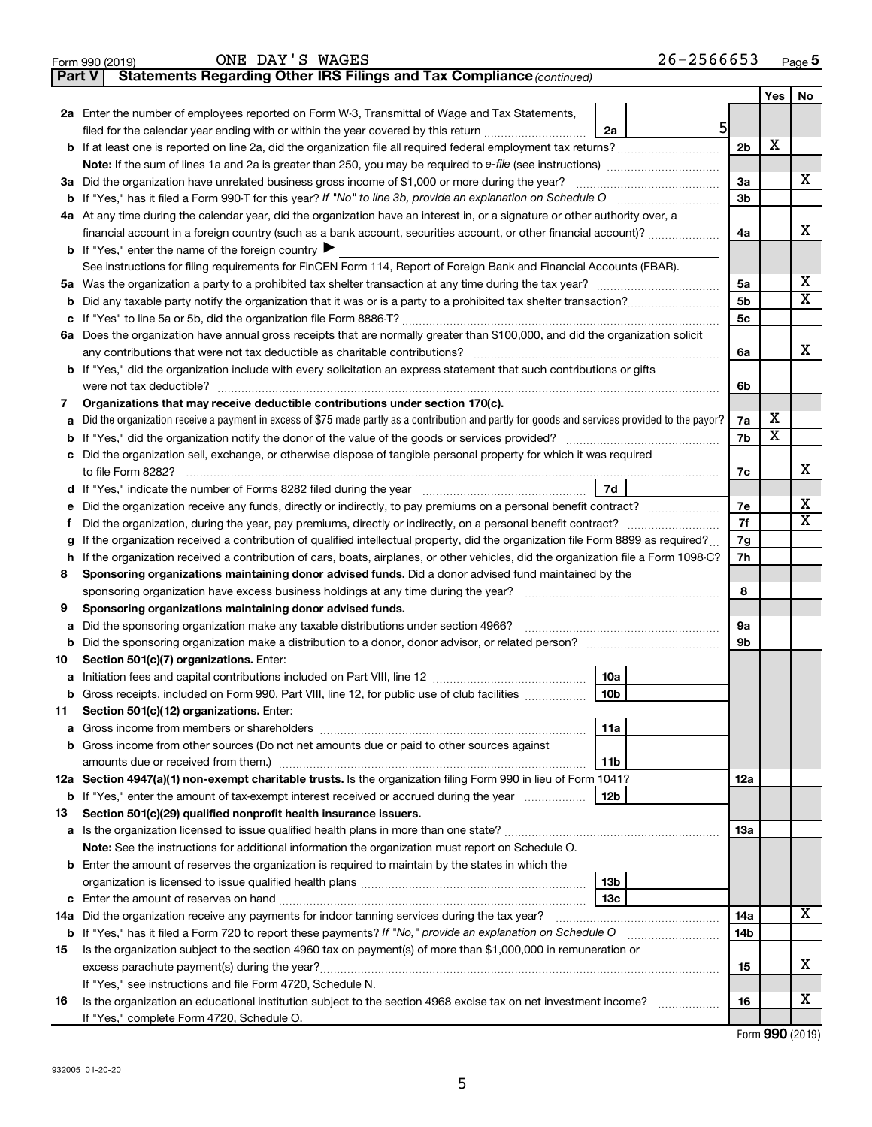| 26-2566653<br>Page $5$ |
|------------------------|
|------------------------|

**Yes No**

X

X

X

X  $\overline{\mathbf{x}}$ X

|    | ONE DAY'S WAGES<br>Form 990 (2019)                                                                                                                                                                                             |                 | $26 - 2566653$ |                |                         | Page     |
|----|--------------------------------------------------------------------------------------------------------------------------------------------------------------------------------------------------------------------------------|-----------------|----------------|----------------|-------------------------|----------|
|    | Statements Regarding Other IRS Filings and Tax Compliance (continued)<br>Part V                                                                                                                                                |                 |                |                |                         |          |
|    |                                                                                                                                                                                                                                |                 |                |                | Yes                     | <b>N</b> |
|    | 2a Enter the number of employees reported on Form W-3, Transmittal of Wage and Tax Statements,                                                                                                                                 |                 |                |                |                         |          |
|    | filed for the calendar year ending with or within the year covered by this return                                                                                                                                              | 2a              | $5 \mid$       |                |                         |          |
|    | <b>b</b> If at least one is reported on line 2a, did the organization file all required federal employment tax returns?                                                                                                        |                 |                | 2b             | X                       |          |
|    |                                                                                                                                                                                                                                |                 |                |                |                         |          |
|    | 3a Did the organization have unrelated business gross income of \$1,000 or more during the year?                                                                                                                               |                 |                | За             |                         | х        |
|    |                                                                                                                                                                                                                                |                 |                | Зb             |                         |          |
|    | 4a At any time during the calendar year, did the organization have an interest in, or a signature or other authority over, a                                                                                                   |                 |                |                |                         |          |
|    | financial account in a foreign country (such as a bank account, securities account, or other financial account)?                                                                                                               |                 |                | 4a             |                         | X        |
|    | <b>b</b> If "Yes," enter the name of the foreign country $\blacktriangleright$                                                                                                                                                 |                 |                |                |                         |          |
|    | See instructions for filing requirements for FinCEN Form 114, Report of Foreign Bank and Financial Accounts (FBAR).                                                                                                            |                 |                |                |                         |          |
|    |                                                                                                                                                                                                                                |                 |                | 5a             |                         | х        |
| b  |                                                                                                                                                                                                                                |                 |                | 5 <sub>b</sub> |                         | х        |
| с  |                                                                                                                                                                                                                                |                 |                | 5 <sub>c</sub> |                         |          |
|    | 6a Does the organization have annual gross receipts that are normally greater than \$100,000, and did the organization solicit                                                                                                 |                 |                |                |                         |          |
|    |                                                                                                                                                                                                                                |                 |                | 6a             |                         | X        |
|    | <b>b</b> If "Yes," did the organization include with every solicitation an express statement that such contributions or gifts                                                                                                  |                 |                |                |                         |          |
|    |                                                                                                                                                                                                                                |                 |                | 6b             |                         |          |
| 7  | Organizations that may receive deductible contributions under section 170(c).                                                                                                                                                  |                 |                |                |                         |          |
| а  | Did the organization receive a payment in excess of \$75 made partly as a contribution and partly for goods and services provided to the payor?                                                                                |                 |                | 7a             | x                       |          |
| b  |                                                                                                                                                                                                                                |                 |                | 7b             | $\overline{\textbf{x}}$ |          |
| с  | Did the organization sell, exchange, or otherwise dispose of tangible personal property for which it was required                                                                                                              |                 |                |                |                         |          |
|    |                                                                                                                                                                                                                                |                 |                | 7c             |                         | х        |
| d  |                                                                                                                                                                                                                                | <b>7d</b>       |                |                |                         |          |
| е  | Did the organization receive any funds, directly or indirectly, to pay premiums on a personal benefit contract?                                                                                                                |                 |                | 7е             |                         | X        |
| Ť  |                                                                                                                                                                                                                                |                 |                | 7f             |                         | х        |
| g  | If the organization received a contribution of qualified intellectual property, did the organization file Form 8899 as required?                                                                                               |                 |                | 7g             |                         |          |
| h  | If the organization received a contribution of cars, boats, airplanes, or other vehicles, did the organization file a Form 1098-C?                                                                                             |                 |                | 7h             |                         |          |
| 8  | Sponsoring organizations maintaining donor advised funds. Did a donor advised fund maintained by the                                                                                                                           |                 |                |                |                         |          |
|    |                                                                                                                                                                                                                                |                 |                | 8              |                         |          |
| 9  | Sponsoring organizations maintaining donor advised funds.                                                                                                                                                                      |                 |                |                |                         |          |
| а  | Did the sponsoring organization make any taxable distributions under section 4966?                                                                                                                                             |                 |                | 9а             |                         |          |
| b  |                                                                                                                                                                                                                                |                 |                | 9b             |                         |          |
| 10 | Section 501(c)(7) organizations. Enter:                                                                                                                                                                                        |                 |                |                |                         |          |
|    | a Initiation fees and capital contributions included on Part VIII, line 12 [111] [11] [12] [11] [12] [11] [12] [11] [12] [11] [12] [11] [12] [11] [12] [11] [12] [11] [12] [11] [12] [11] [12] [11] [12] [11] [12] [11] [12] [ | 10a             |                |                |                         |          |
|    | Gross receipts, included on Form 990, Part VIII, line 12, for public use of club facilities                                                                                                                                    | 10b             |                |                |                         |          |
| 11 | Section 501(c)(12) organizations. Enter:                                                                                                                                                                                       |                 |                |                |                         |          |
| а  |                                                                                                                                                                                                                                | 11a             |                |                |                         |          |
| b  | Gross income from other sources (Do not net amounts due or paid to other sources against                                                                                                                                       |                 |                |                |                         |          |
|    |                                                                                                                                                                                                                                | 11b             |                |                |                         |          |
|    | 12a Section 4947(a)(1) non-exempt charitable trusts. Is the organization filing Form 990 in lieu of Form 1041?                                                                                                                 |                 |                | 12a            |                         |          |
|    | <b>b</b> If "Yes," enter the amount of tax-exempt interest received or accrued during the year                                                                                                                                 | 12b             |                |                |                         |          |
| 13 | Section 501(c)(29) qualified nonprofit health insurance issuers.                                                                                                                                                               |                 |                |                |                         |          |
| а  | Is the organization licensed to issue qualified health plans in more than one state?                                                                                                                                           |                 |                | 13a            |                         |          |
|    | Note: See the instructions for additional information the organization must report on Schedule O.                                                                                                                              |                 |                |                |                         |          |
|    | <b>b</b> Enter the amount of reserves the organization is required to maintain by the states in which the                                                                                                                      |                 |                |                |                         |          |
|    |                                                                                                                                                                                                                                | 13b             |                |                |                         |          |
|    |                                                                                                                                                                                                                                | 13 <sub>c</sub> |                |                |                         |          |
|    | 14a Did the organization receive any payments for indoor tanning services during the tax year?                                                                                                                                 |                 |                | 14a            |                         | х        |
|    | b If "Yes," has it filed a Form 720 to report these payments? If "No," provide an explanation on Schedule O                                                                                                                    |                 |                | 14b            |                         |          |
| 15 | Is the organization subject to the section 4960 tax on payment(s) of more than \$1,000,000 in remuneration or                                                                                                                  |                 |                |                |                         |          |
|    |                                                                                                                                                                                                                                |                 |                | 15             |                         | х        |
|    | If "Yes," see instructions and file Form 4720, Schedule N.                                                                                                                                                                     |                 |                |                |                         |          |

**16 16** Is the organization an educational institution subject to the section 4968 excise tax on net investment income? ~~~~~~ If "Yes," complete Form 4720, Schedule O.

Form (2019) **990**

X

X

X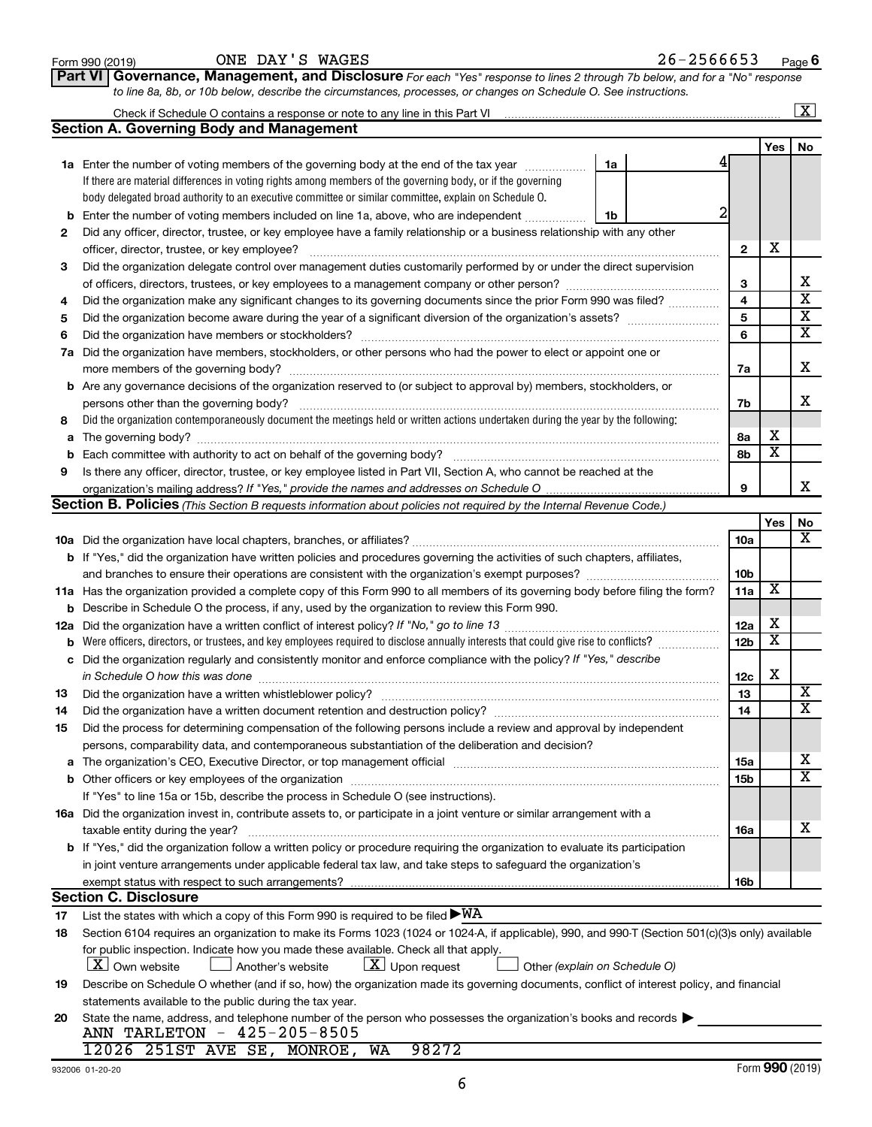|    |                                                                                                                                                  |                 |                         | $\overline{\mathbf{X}}$     |
|----|--------------------------------------------------------------------------------------------------------------------------------------------------|-----------------|-------------------------|-----------------------------|
|    | <b>Section A. Governing Body and Management</b>                                                                                                  |                 |                         |                             |
|    |                                                                                                                                                  |                 | Yes                     | No                          |
|    | 1a Enter the number of voting members of the governing body at the end of the tax year<br>1a                                                     |                 |                         |                             |
|    | If there are material differences in voting rights among members of the governing body, or if the governing                                      |                 |                         |                             |
|    | body delegated broad authority to an executive committee or similar committee, explain on Schedule O.                                            |                 |                         |                             |
|    | <b>b</b> Enter the number of voting members included on line 1a, above, who are independent<br>1b                                                |                 |                         |                             |
| 2  | Did any officer, director, trustee, or key employee have a family relationship or a business relationship with any other                         |                 |                         |                             |
|    |                                                                                                                                                  | $\mathbf{2}$    | x                       |                             |
| 3  | Did the organization delegate control over management duties customarily performed by or under the direct supervision                            |                 |                         |                             |
|    |                                                                                                                                                  | З               |                         | х                           |
| 4  | Did the organization make any significant changes to its governing documents since the prior Form 990 was filed?                                 | 4               |                         | $\overline{\mathbf{x}}$     |
| 5  |                                                                                                                                                  | 5               |                         | $\overline{\textbf{x}}$     |
| 6  |                                                                                                                                                  | 6               |                         | $\overline{\mathbf{x}}$     |
|    | 7a Did the organization have members, stockholders, or other persons who had the power to elect or appoint one or                                |                 |                         |                             |
|    |                                                                                                                                                  | 7a              |                         | х                           |
|    | <b>b</b> Are any governance decisions of the organization reserved to (or subject to approval by) members, stockholders, or                      |                 |                         |                             |
|    | persons other than the governing body?                                                                                                           | 7b              |                         | х                           |
| 8  | Did the organization contemporaneously document the meetings held or written actions undertaken during the year by the following:                |                 |                         |                             |
|    |                                                                                                                                                  | 8а              | х                       |                             |
| b  |                                                                                                                                                  | 8b              | $\overline{\mathbf{x}}$ |                             |
| 9  | Is there any officer, director, trustee, or key employee listed in Part VII, Section A, who cannot be reached at the                             |                 |                         |                             |
|    |                                                                                                                                                  | 9               |                         | х                           |
|    | <b>Section B. Policies</b> (This Section B requests information about policies not required by the Internal Revenue Code.)                       |                 |                         |                             |
|    |                                                                                                                                                  |                 | Yes                     | No                          |
|    |                                                                                                                                                  | 10a             |                         | х                           |
|    | <b>b</b> If "Yes," did the organization have written policies and procedures governing the activities of such chapters, affiliates,              |                 |                         |                             |
|    | and branches to ensure their operations are consistent with the organization's exempt purposes?                                                  | 10b             |                         |                             |
|    | 11a Has the organization provided a complete copy of this Form 990 to all members of its governing body before filing the form?                  | 11a             | X                       |                             |
|    | <b>b</b> Describe in Schedule O the process, if any, used by the organization to review this Form 990.                                           |                 |                         |                             |
|    |                                                                                                                                                  | 12a             | х                       |                             |
|    |                                                                                                                                                  | 12 <sub>b</sub> | $\overline{\textbf{x}}$ |                             |
|    | c Did the organization regularly and consistently monitor and enforce compliance with the policy? If "Yes," describe                             |                 |                         |                             |
|    | in Schedule O how this was done manufactured and an architecture of the state of the state of the state of the                                   | 12c             | х                       |                             |
| 13 | Did the organization have a written whistleblower policy?                                                                                        | 13              |                         | х                           |
| 14 |                                                                                                                                                  | 14              |                         | $\overline{\textnormal{x}}$ |
| 15 | Did the process for determining compensation of the following persons include a review and approval by independent                               |                 |                         |                             |
|    | persons, comparability data, and contemporaneous substantiation of the deliberation and decision?                                                |                 |                         |                             |
|    |                                                                                                                                                  | 15a             |                         | х                           |
|    |                                                                                                                                                  | 15b             |                         | $\overline{\mathbf{x}}$     |
|    | If "Yes" to line 15a or 15b, describe the process in Schedule O (see instructions).                                                              |                 |                         |                             |
|    | 16a Did the organization invest in, contribute assets to, or participate in a joint venture or similar arrangement with a                        |                 |                         |                             |
|    | taxable entity during the year?                                                                                                                  | 16a             |                         | х                           |
|    | b If "Yes," did the organization follow a written policy or procedure requiring the organization to evaluate its participation                   |                 |                         |                             |
|    | in joint venture arrangements under applicable federal tax law, and take steps to safeguard the organization's                                   |                 |                         |                             |
|    | exempt status with respect to such arrangements?                                                                                                 | 16b             |                         |                             |
|    | <b>Section C. Disclosure</b>                                                                                                                     |                 |                         |                             |
| 17 | List the states with which a copy of this Form 990 is required to be filed $\blacktriangleright\texttt{WA}$                                      |                 |                         |                             |
| 18 | Section 6104 requires an organization to make its Forms 1023 (1024 or 1024-A, if applicable), 990, and 990-T (Section 501(c)(3)s only) available |                 |                         |                             |
|    | for public inspection. Indicate how you made these available. Check all that apply.                                                              |                 |                         |                             |
|    | $\lfloor x \rfloor$ Upon request<br>$X$ Own website<br>Another's website<br>Other (explain on Schedule O)                                        |                 |                         |                             |
| 19 | Describe on Schedule O whether (and if so, how) the organization made its governing documents, conflict of interest policy, and financial        |                 |                         |                             |
|    | statements available to the public during the tax year.                                                                                          |                 |                         |                             |
| 20 | State the name, address, and telephone number of the person who possesses the organization's books and records                                   |                 |                         |                             |
|    | ANN TARLETON - 425-205-8505                                                                                                                      |                 |                         |                             |
|    | 98272<br>12026 251ST AVE SE, MONROE, WA                                                                                                          |                 |                         |                             |

**Part VI** Governance, Management, and Disclosure For each "Yes" response to lines 2 through 7b below, and for a "No" response

Form 990 (2019)  $\qquad \qquad \text{ONE } \text{DAY } \text{'S } \text{ WAGES}$ 

*to line 8a, 8b, or 10b below, describe the circumstances, processes, or changes on Schedule O. See instructions.*

6

**6**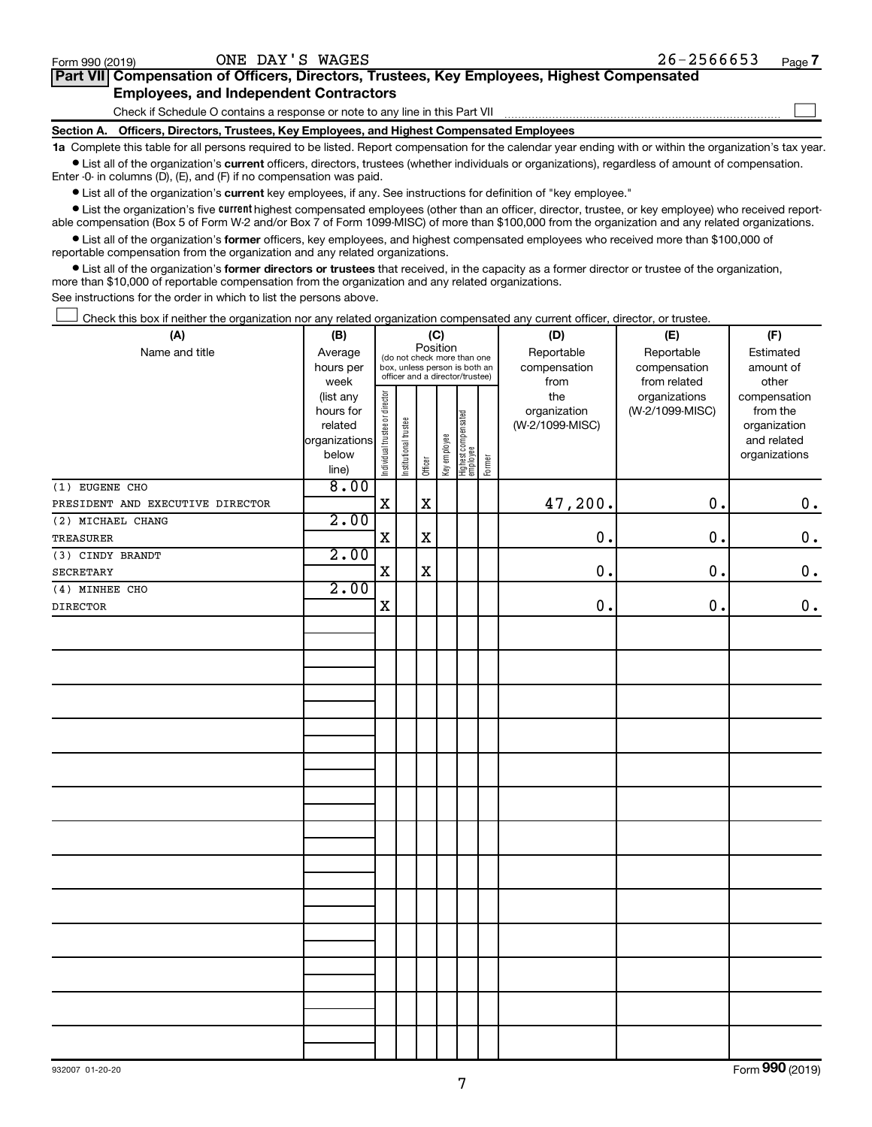$\Box$ 

| Part VII Compensation of Officers, Directors, Trustees, Key Employees, Highest Compensated |  |  |  |
|--------------------------------------------------------------------------------------------|--|--|--|
| <b>Employees, and Independent Contractors</b>                                              |  |  |  |

Check if Schedule O contains a response or note to any line in this Part VII

**Section A. Officers, Directors, Trustees, Key Employees, and Highest Compensated Employees**

**1a**  Complete this table for all persons required to be listed. Report compensation for the calendar year ending with or within the organization's tax year.  $\bullet$  List all of the organization's current officers, directors, trustees (whether individuals or organizations), regardless of amount of compensation.

Enter -0- in columns (D), (E), and (F) if no compensation was paid.

**•** List all of the organization's current key employees, if any. See instructions for definition of "key employee."

• List the organization's five *current* highest compensated employees (other than an officer, director, trustee, or key employee) who received reportable compensation (Box 5 of Form W-2 and/or Box 7 of Form 1099-MISC) of more than \$100,000 from the organization and any related organizations.

 $\bullet$  List all of the organization's former officers, key employees, and highest compensated employees who received more than \$100,000 of reportable compensation from the organization and any related organizations.

**•** List all of the organization's former directors or trustees that received, in the capacity as a former director or trustee of the organization, more than \$10,000 of reportable compensation from the organization and any related organizations.

See instructions for the order in which to list the persons above.

Check this box if neither the organization nor any related organization compensated any current officer, director, or trustee.  $\Box$ 

| (A)                              | (B)                    | (C)                            |                                                                                                             | (D)         | (E)          | (F)                             |           |                 |                 |                    |
|----------------------------------|------------------------|--------------------------------|-------------------------------------------------------------------------------------------------------------|-------------|--------------|---------------------------------|-----------|-----------------|-----------------|--------------------|
| Name and title                   | Average                |                                | Position<br>(do not check more than one<br>box, unless person is both an<br>officer and a director/trustee) |             | Reportable   | Reportable                      | Estimated |                 |                 |                    |
|                                  | hours per              |                                |                                                                                                             |             | compensation | compensation                    | amount of |                 |                 |                    |
|                                  | week                   |                                |                                                                                                             |             |              |                                 |           | from            | from related    | other              |
|                                  | (list any              |                                |                                                                                                             |             |              |                                 |           | the             | organizations   | compensation       |
|                                  | hours for              |                                |                                                                                                             |             |              |                                 |           | organization    | (W-2/1099-MISC) | from the           |
|                                  | related                |                                |                                                                                                             |             |              |                                 |           | (W-2/1099-MISC) |                 | organization       |
|                                  | organizations<br>below |                                |                                                                                                             |             |              |                                 |           |                 |                 | and related        |
|                                  | line)                  | Individual trustee or director | Institutional trustee                                                                                       | Officer     | Key employee | Highest compensated<br>employee | Former    |                 |                 | organizations      |
| (1) EUGENE CHO                   | 8.00                   |                                |                                                                                                             |             |              |                                 |           |                 |                 |                    |
| PRESIDENT AND EXECUTIVE DIRECTOR |                        | $\mathbf X$                    |                                                                                                             | $\mathbf x$ |              |                                 |           | 47,200.         | 0.              | $\boldsymbol{0}$ . |
| (2) MICHAEL CHANG                | 2.00                   |                                |                                                                                                             |             |              |                                 |           |                 |                 |                    |
| TREASURER                        |                        | $\mathbf X$                    |                                                                                                             | $\mathbf X$ |              |                                 |           | 0.              | $\mathbf 0$ .   | $\mathbf 0$ .      |
| (3) CINDY BRANDT                 | 2.00                   |                                |                                                                                                             |             |              |                                 |           |                 |                 |                    |
| SECRETARY                        |                        | X                              |                                                                                                             | $\mathbf x$ |              |                                 |           | 0.              | 0.              | $\mathbf 0$ .      |
| (4) MINHEE CHO                   | 2.00                   |                                |                                                                                                             |             |              |                                 |           |                 |                 |                    |
| DIRECTOR                         |                        | $\mathbf X$                    |                                                                                                             |             |              |                                 |           | $\mathbf 0$ .   | $\mathbf 0$ .   | $\mathbf 0$ .      |
|                                  |                        |                                |                                                                                                             |             |              |                                 |           |                 |                 |                    |
|                                  |                        |                                |                                                                                                             |             |              |                                 |           |                 |                 |                    |
|                                  |                        |                                |                                                                                                             |             |              |                                 |           |                 |                 |                    |
|                                  |                        |                                |                                                                                                             |             |              |                                 |           |                 |                 |                    |
|                                  |                        |                                |                                                                                                             |             |              |                                 |           |                 |                 |                    |
|                                  |                        |                                |                                                                                                             |             |              |                                 |           |                 |                 |                    |
|                                  |                        |                                |                                                                                                             |             |              |                                 |           |                 |                 |                    |
|                                  |                        |                                |                                                                                                             |             |              |                                 |           |                 |                 |                    |
|                                  |                        |                                |                                                                                                             |             |              |                                 |           |                 |                 |                    |
|                                  |                        |                                |                                                                                                             |             |              |                                 |           |                 |                 |                    |
|                                  |                        |                                |                                                                                                             |             |              |                                 |           |                 |                 |                    |
|                                  |                        |                                |                                                                                                             |             |              |                                 |           |                 |                 |                    |
|                                  |                        |                                |                                                                                                             |             |              |                                 |           |                 |                 |                    |
|                                  |                        |                                |                                                                                                             |             |              |                                 |           |                 |                 |                    |
|                                  |                        |                                |                                                                                                             |             |              |                                 |           |                 |                 |                    |
|                                  |                        |                                |                                                                                                             |             |              |                                 |           |                 |                 |                    |
|                                  |                        |                                |                                                                                                             |             |              |                                 |           |                 |                 |                    |
|                                  |                        |                                |                                                                                                             |             |              |                                 |           |                 |                 |                    |
|                                  |                        |                                |                                                                                                             |             |              |                                 |           |                 |                 |                    |
|                                  |                        |                                |                                                                                                             |             |              |                                 |           |                 |                 |                    |
|                                  |                        |                                |                                                                                                             |             |              |                                 |           |                 |                 |                    |
|                                  |                        |                                |                                                                                                             |             |              |                                 |           |                 |                 |                    |
|                                  |                        |                                |                                                                                                             |             |              |                                 |           |                 |                 |                    |
|                                  |                        |                                |                                                                                                             |             |              |                                 |           |                 |                 |                    |

Form (2019) **990**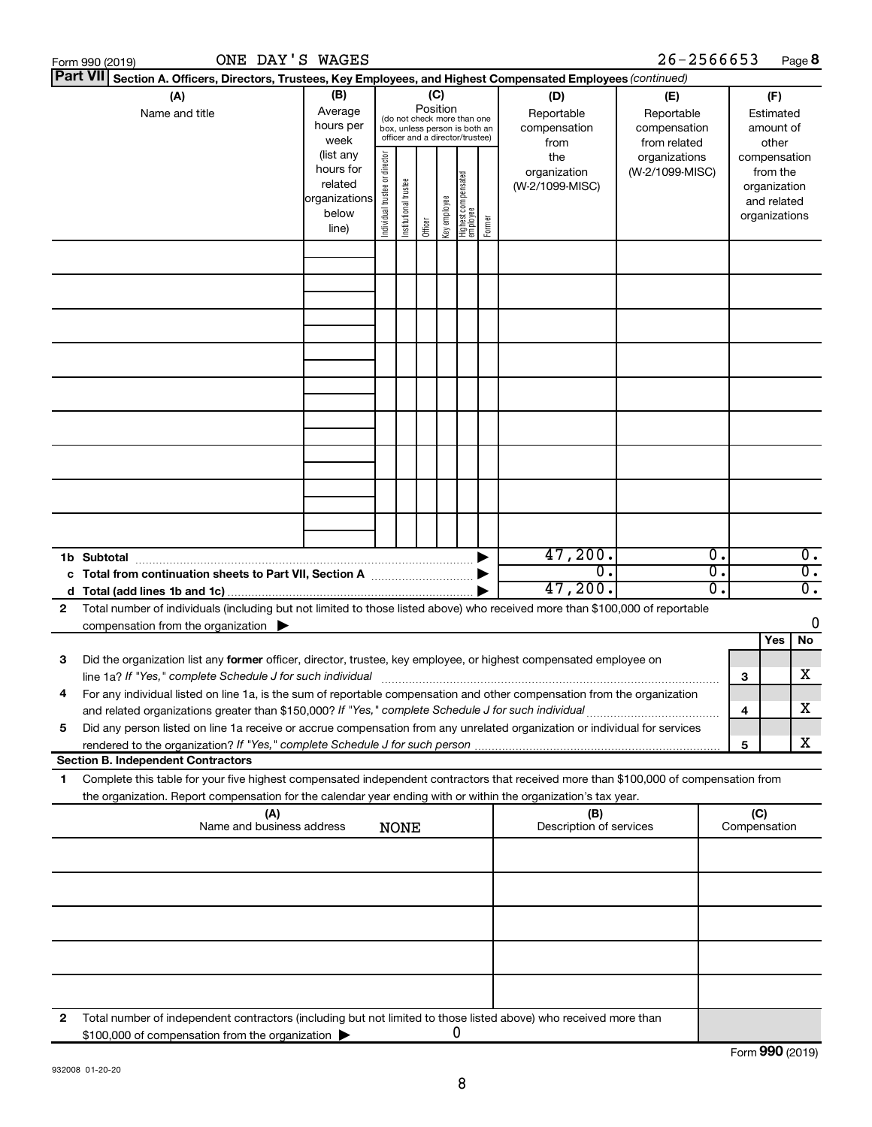|    | ONE DAY'S WAGES<br>Form 990 (2019)                                                                                                                                                                                                                     |                                                                      |                                |                       |                 |              |                                                                                                 |        |                                           | 26-2566653                                        |              |                                                                          | Page 8           |
|----|--------------------------------------------------------------------------------------------------------------------------------------------------------------------------------------------------------------------------------------------------------|----------------------------------------------------------------------|--------------------------------|-----------------------|-----------------|--------------|-------------------------------------------------------------------------------------------------|--------|-------------------------------------------|---------------------------------------------------|--------------|--------------------------------------------------------------------------|------------------|
|    | Part VII Section A. Officers, Directors, Trustees, Key Employees, and Highest Compensated Employees (continued)                                                                                                                                        |                                                                      |                                |                       |                 |              |                                                                                                 |        |                                           |                                                   |              |                                                                          |                  |
|    | (A)<br>Name and title                                                                                                                                                                                                                                  | (B)<br>Average<br>hours per<br>week                                  |                                |                       | (C)<br>Position |              | (do not check more than one<br>box, unless person is both an<br>officer and a director/trustee) |        | (D)<br>Reportable<br>compensation<br>from | (E)<br>Reportable<br>compensation<br>from related |              | (F)<br>Estimated<br>amount of<br>other                                   |                  |
|    |                                                                                                                                                                                                                                                        | (list any<br>hours for<br>related<br>organizations<br>below<br>line) | Individual trustee or director | Institutional trustee | Officer         | Key employee | Highest compensated<br>  employee                                                               | Former | the<br>organization<br>(W-2/1099-MISC)    | organizations<br>(W-2/1099-MISC)                  |              | compensation<br>from the<br>organization<br>and related<br>organizations |                  |
|    |                                                                                                                                                                                                                                                        |                                                                      |                                |                       |                 |              |                                                                                                 |        |                                           |                                                   |              |                                                                          |                  |
|    |                                                                                                                                                                                                                                                        |                                                                      |                                |                       |                 |              |                                                                                                 |        |                                           |                                                   |              |                                                                          |                  |
|    |                                                                                                                                                                                                                                                        |                                                                      |                                |                       |                 |              |                                                                                                 |        |                                           |                                                   |              |                                                                          |                  |
|    |                                                                                                                                                                                                                                                        |                                                                      |                                |                       |                 |              |                                                                                                 |        |                                           |                                                   |              |                                                                          |                  |
|    |                                                                                                                                                                                                                                                        |                                                                      |                                |                       |                 |              |                                                                                                 |        |                                           |                                                   |              |                                                                          |                  |
|    |                                                                                                                                                                                                                                                        |                                                                      |                                |                       |                 |              |                                                                                                 |        |                                           |                                                   |              |                                                                          |                  |
|    |                                                                                                                                                                                                                                                        |                                                                      |                                |                       |                 |              |                                                                                                 |        |                                           |                                                   |              |                                                                          |                  |
|    |                                                                                                                                                                                                                                                        |                                                                      |                                |                       |                 |              |                                                                                                 |        |                                           |                                                   |              |                                                                          |                  |
|    | 1b Subtotal                                                                                                                                                                                                                                            |                                                                      |                                |                       |                 |              |                                                                                                 |        | 47,200.                                   | $\overline{\mathbf{0}}$ .                         |              |                                                                          | $\overline{0}$ . |
|    | c Total from continuation sheets to Part VII, Section A manufactured by                                                                                                                                                                                |                                                                      |                                |                       |                 |              |                                                                                                 |        | $\overline{0}$ .                          | 0.                                                |              |                                                                          | $\overline{0}$ . |
|    |                                                                                                                                                                                                                                                        |                                                                      |                                |                       |                 |              |                                                                                                 |        | 47,200.                                   | 0.                                                |              |                                                                          | $\overline{0}$ . |
| 2  | Total number of individuals (including but not limited to those listed above) who received more than \$100,000 of reportable<br>compensation from the organization $\blacktriangleright$                                                               |                                                                      |                                |                       |                 |              |                                                                                                 |        |                                           |                                                   |              |                                                                          | 0                |
|    |                                                                                                                                                                                                                                                        |                                                                      |                                |                       |                 |              |                                                                                                 |        |                                           |                                                   |              | Yes                                                                      | No               |
| 3  | Did the organization list any former officer, director, trustee, key employee, or highest compensated employee on<br>line 1a? If "Yes," complete Schedule J for such individual [11] manufacture manufacture in the set of the set o                   |                                                                      |                                |                       |                 |              |                                                                                                 |        |                                           |                                                   | з            |                                                                          | х                |
|    | For any individual listed on line 1a, is the sum of reportable compensation and other compensation from the organization<br>and related organizations greater than \$150,000? If "Yes," complete Schedule J for such individual                        |                                                                      |                                |                       |                 |              |                                                                                                 |        |                                           |                                                   | 4            |                                                                          | x                |
| 5  | Did any person listed on line 1a receive or accrue compensation from any unrelated organization or individual for services                                                                                                                             |                                                                      |                                |                       |                 |              |                                                                                                 |        |                                           |                                                   | 5            |                                                                          | x                |
|    | <b>Section B. Independent Contractors</b>                                                                                                                                                                                                              |                                                                      |                                |                       |                 |              |                                                                                                 |        |                                           |                                                   |              |                                                                          |                  |
| 1. | Complete this table for your five highest compensated independent contractors that received more than \$100,000 of compensation from<br>the organization. Report compensation for the calendar year ending with or within the organization's tax year. |                                                                      |                                |                       |                 |              |                                                                                                 |        |                                           |                                                   |              |                                                                          |                  |
|    | (A)<br>Name and business address                                                                                                                                                                                                                       |                                                                      |                                | <b>NONE</b>           |                 |              |                                                                                                 |        | (B)<br>Description of services            |                                                   | Compensation | (C)                                                                      |                  |
|    |                                                                                                                                                                                                                                                        |                                                                      |                                |                       |                 |              |                                                                                                 |        |                                           |                                                   |              |                                                                          |                  |
|    |                                                                                                                                                                                                                                                        |                                                                      |                                |                       |                 |              |                                                                                                 |        |                                           |                                                   |              |                                                                          |                  |
|    |                                                                                                                                                                                                                                                        |                                                                      |                                |                       |                 |              |                                                                                                 |        |                                           |                                                   |              |                                                                          |                  |
|    |                                                                                                                                                                                                                                                        |                                                                      |                                |                       |                 |              |                                                                                                 |        |                                           |                                                   |              |                                                                          |                  |
| 2  | Total number of independent contractors (including but not limited to those listed above) who received more than<br>\$100,000 of compensation from the organization                                                                                    |                                                                      |                                |                       |                 |              | O                                                                                               |        |                                           |                                                   |              |                                                                          |                  |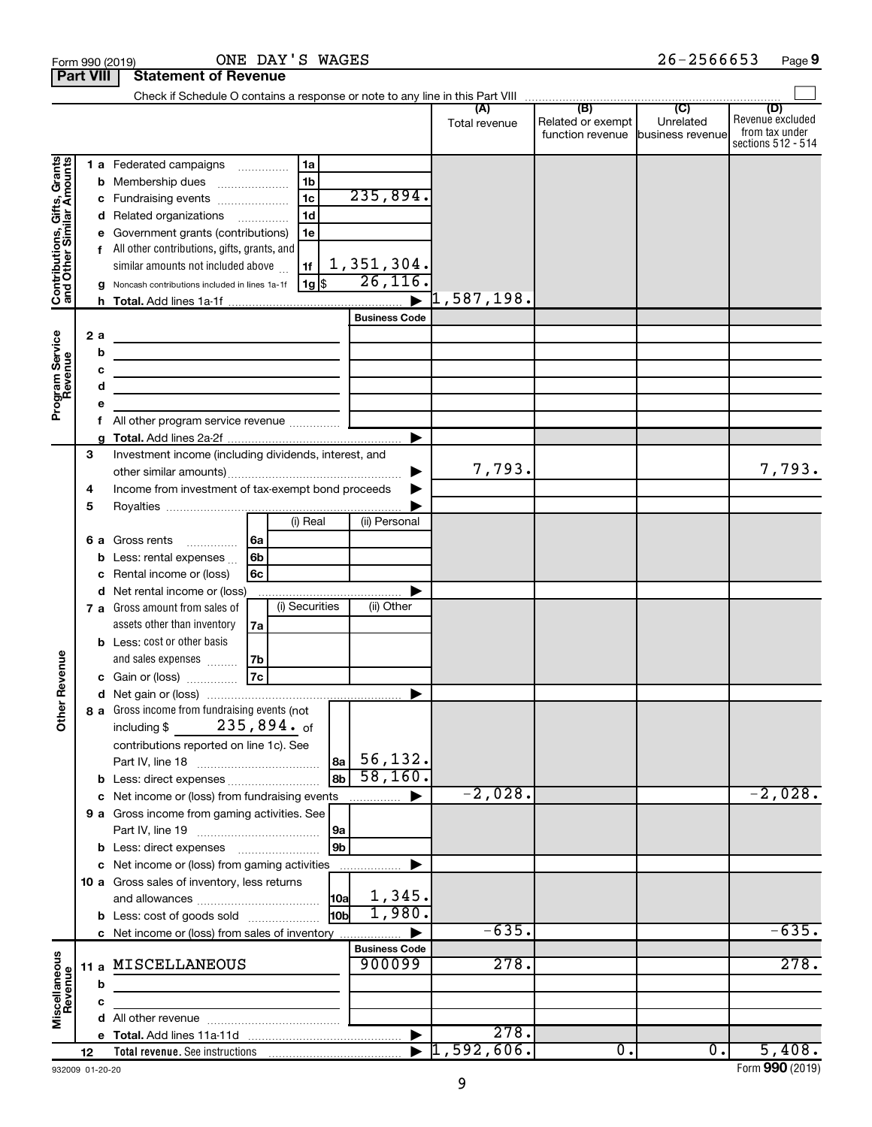|                                                           | Form 990 (2019)  | ONE DAY'S WAGES                                                                                                                                                                                     |                                     |               |                                       | $26 - 2566653$                | Page 9                                                          |
|-----------------------------------------------------------|------------------|-----------------------------------------------------------------------------------------------------------------------------------------------------------------------------------------------------|-------------------------------------|---------------|---------------------------------------|-------------------------------|-----------------------------------------------------------------|
|                                                           | <b>Part VIII</b> | <b>Statement of Revenue</b>                                                                                                                                                                         |                                     |               |                                       |                               |                                                                 |
|                                                           |                  |                                                                                                                                                                                                     |                                     |               |                                       |                               |                                                                 |
|                                                           |                  |                                                                                                                                                                                                     |                                     | Total revenue | Related or exempt<br>function revenue | Unrelated<br>business revenue | (D)<br>Revenue excluded<br>from tax under<br>sections 512 - 514 |
|                                                           |                  | 1 a Federated campaigns<br>1a                                                                                                                                                                       |                                     |               |                                       |                               |                                                                 |
| Contributions, Gifts, Grants<br>and Other Similar Amounts |                  | 1 <sub>b</sub><br><b>b</b> Membership dues                                                                                                                                                          |                                     |               |                                       |                               |                                                                 |
|                                                           | С                | 1 <sub>c</sub><br>Fundraising events                                                                                                                                                                | 235,894.                            |               |                                       |                               |                                                                 |
|                                                           |                  | 1 <sub>d</sub><br>d Related organizations                                                                                                                                                           |                                     |               |                                       |                               |                                                                 |
|                                                           |                  | e Government grants (contributions)<br>1e                                                                                                                                                           |                                     |               |                                       |                               |                                                                 |
|                                                           |                  | f All other contributions, gifts, grants, and                                                                                                                                                       |                                     |               |                                       |                               |                                                                 |
|                                                           |                  | similar amounts not included above<br>1f                                                                                                                                                            | 1,351,304.<br>$\overline{26,116}$ . |               |                                       |                               |                                                                 |
|                                                           |                  | 1g <br>g Noncash contributions included in lines 1a-1f                                                                                                                                              |                                     |               |                                       |                               |                                                                 |
|                                                           |                  |                                                                                                                                                                                                     | <b>Business Code</b>                |               |                                       |                               |                                                                 |
|                                                           | 2a               |                                                                                                                                                                                                     |                                     |               |                                       |                               |                                                                 |
|                                                           | b                | <u> 1989 - Johann Barn, mars ann an t-Amhain an t-Amhain an t-Amhain an t-Amhain an t-Amhain an t-Amhain an t-Amh</u><br>the control of the control of the control of the control of the control of |                                     |               |                                       |                               |                                                                 |
|                                                           | с                | the contract of the contract of the contract of the contract of the contract of                                                                                                                     |                                     |               |                                       |                               |                                                                 |
|                                                           | d                |                                                                                                                                                                                                     |                                     |               |                                       |                               |                                                                 |
| Program Service<br>Revenue                                | е                |                                                                                                                                                                                                     |                                     |               |                                       |                               |                                                                 |
|                                                           | f                |                                                                                                                                                                                                     |                                     |               |                                       |                               |                                                                 |
|                                                           |                  |                                                                                                                                                                                                     |                                     |               |                                       |                               |                                                                 |
|                                                           | 3                | Investment income (including dividends, interest, and                                                                                                                                               |                                     |               |                                       |                               |                                                                 |
|                                                           |                  |                                                                                                                                                                                                     | ▶                                   | 7,793.        |                                       |                               | 7,793.                                                          |
|                                                           | 4                | Income from investment of tax-exempt bond proceeds                                                                                                                                                  |                                     |               |                                       |                               |                                                                 |
|                                                           | 5                | (i) Real                                                                                                                                                                                            | (ii) Personal                       |               |                                       |                               |                                                                 |
|                                                           |                  | 6 a Gross rents<br>6a                                                                                                                                                                               |                                     |               |                                       |                               |                                                                 |
|                                                           |                  | <b>b</b> Less: rental expenses $\ldots$<br>6b                                                                                                                                                       |                                     |               |                                       |                               |                                                                 |
|                                                           | c                | Rental income or (loss)<br>6с                                                                                                                                                                       |                                     |               |                                       |                               |                                                                 |
|                                                           |                  | d Net rental income or (loss)                                                                                                                                                                       |                                     |               |                                       |                               |                                                                 |
|                                                           |                  | (i) Securities<br>7 a Gross amount from sales of                                                                                                                                                    | (ii) Other                          |               |                                       |                               |                                                                 |
|                                                           |                  | assets other than inventory<br>7a                                                                                                                                                                   |                                     |               |                                       |                               |                                                                 |
|                                                           |                  | <b>b</b> Less: cost or other basis                                                                                                                                                                  |                                     |               |                                       |                               |                                                                 |
| venue                                                     |                  | and sales expenses<br>7b                                                                                                                                                                            |                                     |               |                                       |                               |                                                                 |
|                                                           |                  | 7c<br>c Gain or (loss)                                                                                                                                                                              |                                     |               |                                       |                               |                                                                 |
|                                                           |                  | 8 a Gross income from fundraising events (not                                                                                                                                                       |                                     |               |                                       |                               |                                                                 |
| Other Re                                                  |                  | $235$ ,894. $_{\sf of}$<br>including \$                                                                                                                                                             |                                     |               |                                       |                               |                                                                 |
|                                                           |                  | contributions reported on line 1c). See                                                                                                                                                             |                                     |               |                                       |                               |                                                                 |
|                                                           |                  | 8a                                                                                                                                                                                                  | 56, 132.                            |               |                                       |                               |                                                                 |
|                                                           |                  | l 8b<br>b Less: direct expenses                                                                                                                                                                     | 58,160.                             |               |                                       |                               |                                                                 |
|                                                           |                  | Net income or (loss) from fundraising events                                                                                                                                                        |                                     | $-2,028.$     |                                       |                               | $-2,028.$                                                       |
|                                                           |                  | <b>9 a</b> Gross income from gaming activities. See                                                                                                                                                 |                                     |               |                                       |                               |                                                                 |
|                                                           |                  | 9a                                                                                                                                                                                                  |                                     |               |                                       |                               |                                                                 |
|                                                           |                  | 9b                                                                                                                                                                                                  |                                     |               |                                       |                               |                                                                 |
|                                                           |                  | c Net income or (loss) from gaming activities                                                                                                                                                       | .                                   |               |                                       |                               |                                                                 |
|                                                           |                  | 10 a Gross sales of inventory, less returns                                                                                                                                                         | 1,345.                              |               |                                       |                               |                                                                 |
|                                                           |                  | 10a<br>10b<br><b>b</b> Less: cost of goods sold                                                                                                                                                     | 1,980.                              |               |                                       |                               |                                                                 |
|                                                           |                  | c Net income or (loss) from sales of inventory                                                                                                                                                      |                                     | $-635.$       |                                       |                               | $-635.$                                                         |
|                                                           |                  |                                                                                                                                                                                                     | <b>Business Code</b>                |               |                                       |                               |                                                                 |
| Miscellaneous<br>Revenue                                  |                  | 11 a MISCELLANEOUS                                                                                                                                                                                  | 900099                              | 278.          |                                       |                               | 278.                                                            |
|                                                           | b                |                                                                                                                                                                                                     |                                     |               |                                       |                               |                                                                 |
|                                                           | c                |                                                                                                                                                                                                     |                                     |               |                                       |                               |                                                                 |
|                                                           | d                |                                                                                                                                                                                                     |                                     |               |                                       |                               |                                                                 |
|                                                           |                  |                                                                                                                                                                                                     | ▶                                   | 278.          |                                       |                               |                                                                 |
|                                                           | 12               |                                                                                                                                                                                                     |                                     | 1,592,606.    | $\overline{0}$ .                      | $\overline{0}$ .              | 5,408.                                                          |

932009 01-20-20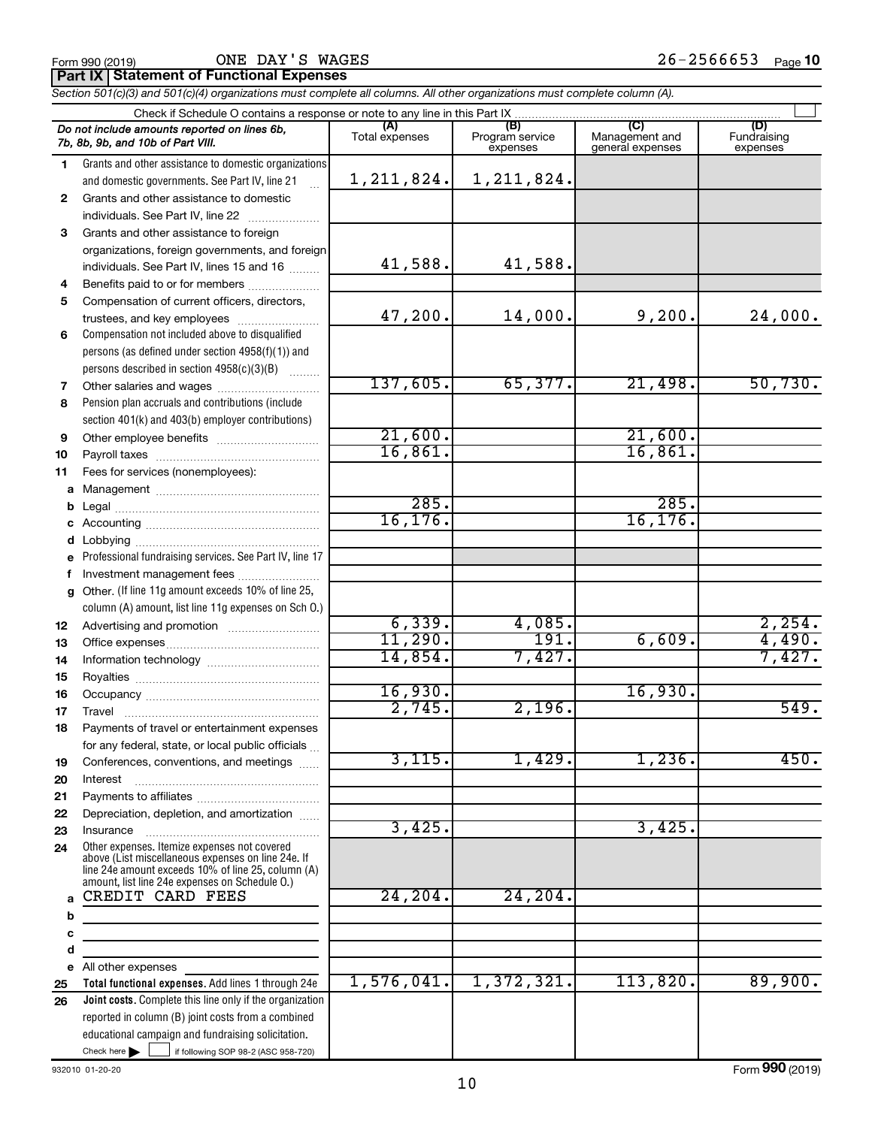**Part IX Statement of Functional Expenses**

*Section 501(c)(3) and 501(c)(4) organizations must complete all columns. All other organizations must complete column (A).*

|                | Do not include amounts reported on lines 6b,<br>7b, 8b, 9b, and 10b of Part VIII.                                                                                                                          | (A)<br>Total expenses | (B)<br>Program service<br>expenses | (C)<br>Management and<br>general expenses | (D)<br>Fundraising<br>expenses |  |  |  |
|----------------|------------------------------------------------------------------------------------------------------------------------------------------------------------------------------------------------------------|-----------------------|------------------------------------|-------------------------------------------|--------------------------------|--|--|--|
| 1.             | Grants and other assistance to domestic organizations                                                                                                                                                      |                       |                                    |                                           |                                |  |  |  |
|                | and domestic governments. See Part IV, line 21                                                                                                                                                             | 1, 211, 824.          | 1, 211, 824.                       |                                           |                                |  |  |  |
| $\mathbf{2}^-$ | Grants and other assistance to domestic                                                                                                                                                                    |                       |                                    |                                           |                                |  |  |  |
|                | individuals. See Part IV, line 22                                                                                                                                                                          |                       |                                    |                                           |                                |  |  |  |
| 3.             | Grants and other assistance to foreign                                                                                                                                                                     |                       |                                    |                                           |                                |  |  |  |
|                | organizations, foreign governments, and foreign                                                                                                                                                            |                       |                                    |                                           |                                |  |  |  |
|                | individuals. See Part IV, lines 15 and 16                                                                                                                                                                  | 41,588.               | 41,588.                            |                                           |                                |  |  |  |
| 4              | Benefits paid to or for members                                                                                                                                                                            |                       |                                    |                                           |                                |  |  |  |
| 5              | Compensation of current officers, directors,                                                                                                                                                               |                       |                                    |                                           |                                |  |  |  |
|                | trustees, and key employees                                                                                                                                                                                | 47,200.               | 14,000.                            | 9,200.                                    | 24,000.                        |  |  |  |
| 6              | Compensation not included above to disqualified                                                                                                                                                            |                       |                                    |                                           |                                |  |  |  |
|                | persons (as defined under section 4958(f)(1)) and                                                                                                                                                          |                       |                                    |                                           |                                |  |  |  |
|                | persons described in section 4958(c)(3)(B)                                                                                                                                                                 |                       |                                    |                                           |                                |  |  |  |
| 7              | Other salaries and wages                                                                                                                                                                                   | 137,605.              | 65,377.                            | 21,498.                                   | 50,730.                        |  |  |  |
| 8              | Pension plan accruals and contributions (include                                                                                                                                                           |                       |                                    |                                           |                                |  |  |  |
|                | section 401(k) and 403(b) employer contributions)                                                                                                                                                          | 21,600.               |                                    | 21,600.                                   |                                |  |  |  |
| 9              |                                                                                                                                                                                                            | 16,861.               |                                    | 16,861.                                   |                                |  |  |  |
| 10             |                                                                                                                                                                                                            |                       |                                    |                                           |                                |  |  |  |
| 11             | Fees for services (nonemployees):                                                                                                                                                                          |                       |                                    |                                           |                                |  |  |  |
| a              |                                                                                                                                                                                                            | 285.                  |                                    | 285.                                      |                                |  |  |  |
| b<br>с         |                                                                                                                                                                                                            | 16, 176.              |                                    | 16, 176.                                  |                                |  |  |  |
| d              |                                                                                                                                                                                                            |                       |                                    |                                           |                                |  |  |  |
| e              | Professional fundraising services. See Part IV, line 17                                                                                                                                                    |                       |                                    |                                           |                                |  |  |  |
| f              | Investment management fees                                                                                                                                                                                 |                       |                                    |                                           |                                |  |  |  |
| g              | Other. (If line 11g amount exceeds 10% of line 25,                                                                                                                                                         |                       |                                    |                                           |                                |  |  |  |
|                | column (A) amount, list line 11g expenses on Sch O.)                                                                                                                                                       |                       |                                    |                                           |                                |  |  |  |
| 12             |                                                                                                                                                                                                            | 6,339.                | 4,085.                             |                                           | 2,254.                         |  |  |  |
| 13             |                                                                                                                                                                                                            | 11,290.               | 191.                               | 6,609.                                    | 4,490.                         |  |  |  |
| 14             |                                                                                                                                                                                                            | 14,854.               | 7,427.                             |                                           | 7,427.                         |  |  |  |
| 15             |                                                                                                                                                                                                            |                       |                                    |                                           |                                |  |  |  |
| 16             |                                                                                                                                                                                                            | 16,930.               |                                    | 16,930.                                   |                                |  |  |  |
| 17             | Travel                                                                                                                                                                                                     | 2,745.                | 2,196.                             |                                           | 549.                           |  |  |  |
| 18             | Payments of travel or entertainment expenses                                                                                                                                                               |                       |                                    |                                           |                                |  |  |  |
|                | for any federal, state, or local public officials                                                                                                                                                          |                       |                                    |                                           |                                |  |  |  |
| 19             | Conferences, conventions, and meetings                                                                                                                                                                     | 3,115.                | 1,429.                             | 1,236.                                    | 450.                           |  |  |  |
| 20             | Interest                                                                                                                                                                                                   |                       |                                    |                                           |                                |  |  |  |
| 21             |                                                                                                                                                                                                            |                       |                                    |                                           |                                |  |  |  |
| 22             | Depreciation, depletion, and amortization                                                                                                                                                                  |                       |                                    |                                           |                                |  |  |  |
| 23             | Insurance                                                                                                                                                                                                  | 3,425.                |                                    | 3,425.                                    |                                |  |  |  |
| 24             | Other expenses. Itemize expenses not covered<br>above (List miscellaneous expenses on line 24e. If<br>line 24e amount exceeds 10% of line 25, column (A)<br>amount, list line 24e expenses on Schedule O.) |                       |                                    |                                           |                                |  |  |  |
| a              | CREDIT CARD FEES                                                                                                                                                                                           | 24, 204.              | 24, 204.                           |                                           |                                |  |  |  |
| b              |                                                                                                                                                                                                            |                       |                                    |                                           |                                |  |  |  |
| с              |                                                                                                                                                                                                            |                       |                                    |                                           |                                |  |  |  |
| d              |                                                                                                                                                                                                            |                       |                                    |                                           |                                |  |  |  |
|                | e All other expenses                                                                                                                                                                                       |                       |                                    |                                           |                                |  |  |  |
| 25             | Total functional expenses. Add lines 1 through 24e                                                                                                                                                         | 1,576,041.            | 1,372,321.                         | 113,820.                                  | 89,900.                        |  |  |  |
| 26             | Joint costs. Complete this line only if the organization                                                                                                                                                   |                       |                                    |                                           |                                |  |  |  |
|                | reported in column (B) joint costs from a combined                                                                                                                                                         |                       |                                    |                                           |                                |  |  |  |
|                | educational campaign and fundraising solicitation.                                                                                                                                                         |                       |                                    |                                           |                                |  |  |  |
|                | Check here $\blacktriangleright$<br>if following SOP 98-2 (ASC 958-720)                                                                                                                                    |                       |                                    |                                           |                                |  |  |  |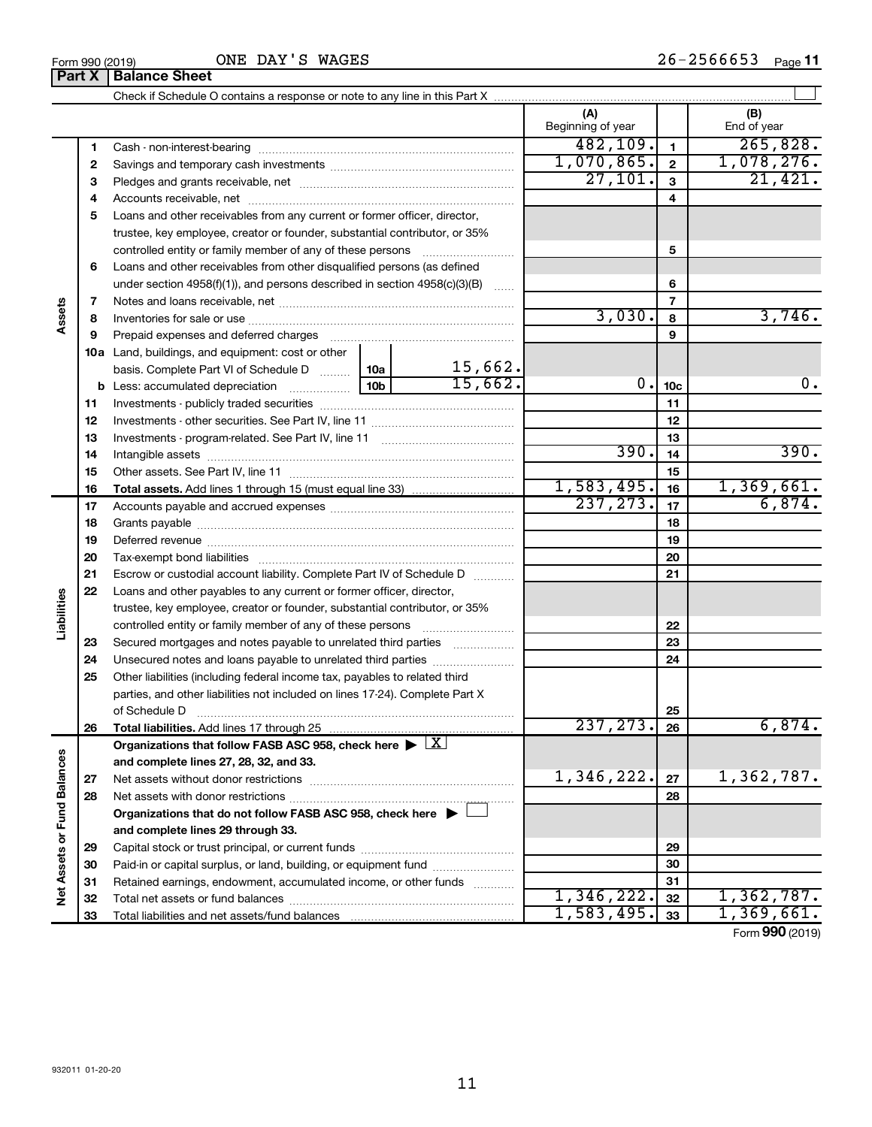|                             |          |                                                                                                        |                 |                    | (A)<br>Beginning of year |                | (B)<br>End of year |
|-----------------------------|----------|--------------------------------------------------------------------------------------------------------|-----------------|--------------------|--------------------------|----------------|--------------------|
|                             | 1        |                                                                                                        |                 |                    | 482, 109.                | $\mathbf{1}$   | 265,828.           |
|                             | 2        |                                                                                                        |                 |                    | 1,070,865.               | $\overline{2}$ | 1,078,276.         |
|                             | З        |                                                                                                        |                 |                    | 27,101.                  | $\mathbf{3}$   | 21,421.            |
|                             | 4        |                                                                                                        |                 |                    | 4                        |                |                    |
|                             | 5        | Loans and other receivables from any current or former officer, director,                              |                 |                    |                          |                |                    |
|                             |          | trustee, key employee, creator or founder, substantial contributor, or 35%                             |                 |                    |                          |                |                    |
|                             |          | controlled entity or family member of any of these persons                                             |                 |                    |                          | 5              |                    |
|                             | 6        | Loans and other receivables from other disqualified persons (as defined                                |                 |                    |                          |                |                    |
|                             |          | under section 4958(f)(1)), and persons described in section 4958(c)(3)(B)                              |                 | 6                  |                          |                |                    |
|                             | 7        |                                                                                                        |                 |                    |                          | $\overline{7}$ |                    |
| Assets                      | 8        |                                                                                                        |                 |                    | 3,030.                   | 8              | 3,746.             |
|                             | 9        | Prepaid expenses and deferred charges                                                                  |                 |                    |                          | 9              |                    |
|                             |          | <b>10a</b> Land, buildings, and equipment: cost or other                                               |                 |                    |                          |                |                    |
|                             |          | basis. Complete Part VI of Schedule D  10a                                                             | 10 <sub>b</sub> | 15,662.<br>15,662. |                          |                |                    |
|                             |          |                                                                                                        | 0.              | 10 <sub>c</sub>    | 0.                       |                |                    |
|                             | 11       |                                                                                                        |                 |                    | 11                       |                |                    |
|                             | 12       |                                                                                                        |                 |                    | 12                       |                |                    |
|                             | 13       |                                                                                                        |                 |                    | 13                       |                |                    |
|                             | 14       |                                                                                                        | 390.            | 14                 | 390.                     |                |                    |
|                             | 15       |                                                                                                        |                 |                    |                          | 15             |                    |
|                             | 16       |                                                                                                        |                 |                    | 1,583,495.               | 16             | 1,369,661.         |
|                             | 17       |                                                                                                        |                 |                    | 237, 273.                | 17             | 6,874.             |
|                             | 18       |                                                                                                        |                 | 18                 |                          |                |                    |
|                             | 19       |                                                                                                        |                 |                    | 19                       |                |                    |
|                             | 20       |                                                                                                        |                 |                    |                          | 20             |                    |
|                             | 21       | Escrow or custodial account liability. Complete Part IV of Schedule D                                  |                 |                    |                          | 21             |                    |
| Liabilities                 | 22       | Loans and other payables to any current or former officer, director,                                   |                 |                    |                          |                |                    |
|                             |          | trustee, key employee, creator or founder, substantial contributor, or 35%                             |                 |                    |                          |                |                    |
|                             |          | controlled entity or family member of any of these persons                                             |                 |                    |                          | 22             |                    |
|                             | 23       | Secured mortgages and notes payable to unrelated third parties                                         |                 |                    |                          | 23             |                    |
|                             | 24       | Unsecured notes and loans payable to unrelated third parties                                           |                 |                    |                          | 24             |                    |
|                             | 25       | Other liabilities (including federal income tax, payables to related third                             |                 |                    |                          |                |                    |
|                             |          | parties, and other liabilities not included on lines 17-24). Complete Part X                           |                 |                    |                          |                |                    |
|                             |          | Total liabilities. Add lines 17 through 25                                                             |                 |                    | 237, 273.                | 25             | 6,874.             |
|                             | 26       | Organizations that follow FASB ASC 958, check here $\blacktriangleright \lfloor \underline{X} \rfloor$ |                 |                    |                          | 26             |                    |
|                             |          | and complete lines 27, 28, 32, and 33.                                                                 |                 |                    |                          |                |                    |
|                             | 27       | Net assets without donor restrictions                                                                  |                 |                    | 1,346,222.               | 27             | 1,362,787.         |
|                             | 28       |                                                                                                        |                 |                    |                          | 28             |                    |
|                             |          | Organizations that do not follow FASB ASC 958, check here $\blacktriangleright$                        |                 |                    |                          |                |                    |
|                             |          | and complete lines 29 through 33.                                                                      |                 |                    |                          |                |                    |
|                             |          |                                                                                                        |                 |                    |                          | 29             |                    |
|                             | 29<br>30 | Paid-in or capital surplus, or land, building, or equipment fund                                       |                 |                    |                          | 30             |                    |
|                             | 31       | Retained earnings, endowment, accumulated income, or other funds                                       |                 |                    |                          | 31             |                    |
| Net Assets or Fund Balances | 32       |                                                                                                        |                 |                    | 1,346,222.               | 32             | 1,362,787.         |
|                             | 33       | Total liabilities and net assets/fund balances                                                         |                 |                    | 1,583,495.               | 33             | 1,369,661.         |
|                             |          |                                                                                                        |                 |                    |                          |                |                    |

11

Form (2019) **990**

**Part X Balance Sheet**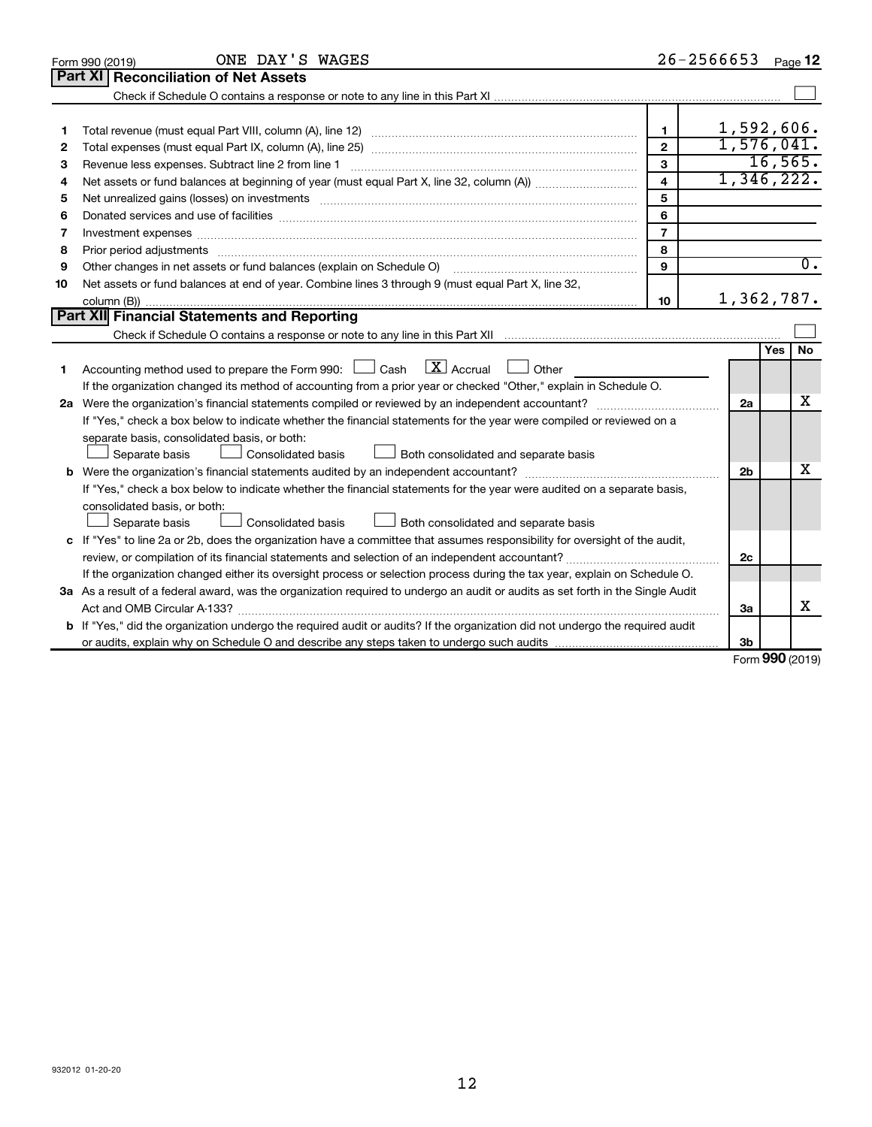|    | ONE DAY'S WAGES<br>Form 990 (2019)                                                                                                   |                | 26-2566653     |        | Page 12          |
|----|--------------------------------------------------------------------------------------------------------------------------------------|----------------|----------------|--------|------------------|
|    | Part XI<br><b>Reconciliation of Net Assets</b>                                                                                       |                |                |        |                  |
|    |                                                                                                                                      |                |                |        |                  |
|    |                                                                                                                                      |                |                |        |                  |
| 1  |                                                                                                                                      | 1              | 1,592,606.     |        |                  |
| 2  |                                                                                                                                      | $\mathbf{2}$   | 1,576,041.     |        |                  |
| 3  | Revenue less expenses. Subtract line 2 from line 1                                                                                   | 3              |                |        | 16, 565.         |
| 4  |                                                                                                                                      | 4              | 1,346,222.     |        |                  |
| 5  |                                                                                                                                      | 5              |                |        |                  |
| 6  |                                                                                                                                      | 6              |                |        |                  |
| 7  | Investment expenses www.communication.com/www.communication.com/www.communication.com/www.com                                        | $\overline{7}$ |                |        |                  |
| 8  |                                                                                                                                      | 8              |                |        |                  |
| 9  | Other changes in net assets or fund balances (explain on Schedule O)                                                                 | 9              |                |        | $\overline{0}$ . |
| 10 | Net assets or fund balances at end of year. Combine lines 3 through 9 (must equal Part X, line 32,                                   |                |                |        |                  |
|    |                                                                                                                                      | 10             | 1,362,787.     |        |                  |
|    | Part XII Financial Statements and Reporting                                                                                          |                |                |        |                  |
|    |                                                                                                                                      |                |                |        |                  |
|    |                                                                                                                                      |                |                | Yes    | No               |
| 1  | $\lfloor \mathbf{X} \rfloor$ Accrual<br>Accounting method used to prepare the Form 990: $\Box$ Cash<br>Other                         |                |                |        |                  |
|    | If the organization changed its method of accounting from a prior year or checked "Other," explain in Schedule O.                    |                |                |        |                  |
|    |                                                                                                                                      |                | 2a             |        | х                |
|    | If "Yes," check a box below to indicate whether the financial statements for the year were compiled or reviewed on a                 |                |                |        |                  |
|    | separate basis, consolidated basis, or both:                                                                                         |                |                |        |                  |
|    | Both consolidated and separate basis<br>Separate basis<br>Consolidated basis                                                         |                |                |        |                  |
|    |                                                                                                                                      |                | 2 <sub>b</sub> |        | x                |
|    | If "Yes," check a box below to indicate whether the financial statements for the year were audited on a separate basis,              |                |                |        |                  |
|    | consolidated basis, or both:                                                                                                         |                |                |        |                  |
|    | Consolidated basis<br>Separate basis<br>Both consolidated and separate basis                                                         |                |                |        |                  |
|    | c If "Yes" to line 2a or 2b, does the organization have a committee that assumes responsibility for oversight of the audit,          |                |                |        |                  |
|    |                                                                                                                                      |                | 2c             |        |                  |
|    | If the organization changed either its oversight process or selection process during the tax year, explain on Schedule O.            |                |                |        |                  |
|    | 3a As a result of a federal award, was the organization required to undergo an audit or audits as set forth in the Single Audit      |                |                |        |                  |
|    | Act and OMB Circular A-133?                                                                                                          |                | Зa             |        | x                |
|    | <b>b</b> If "Yes," did the organization undergo the required audit or audits? If the organization did not undergo the required audit |                |                |        |                  |
|    |                                                                                                                                      |                | 3b             | $\sim$ |                  |

Form (2019) **990**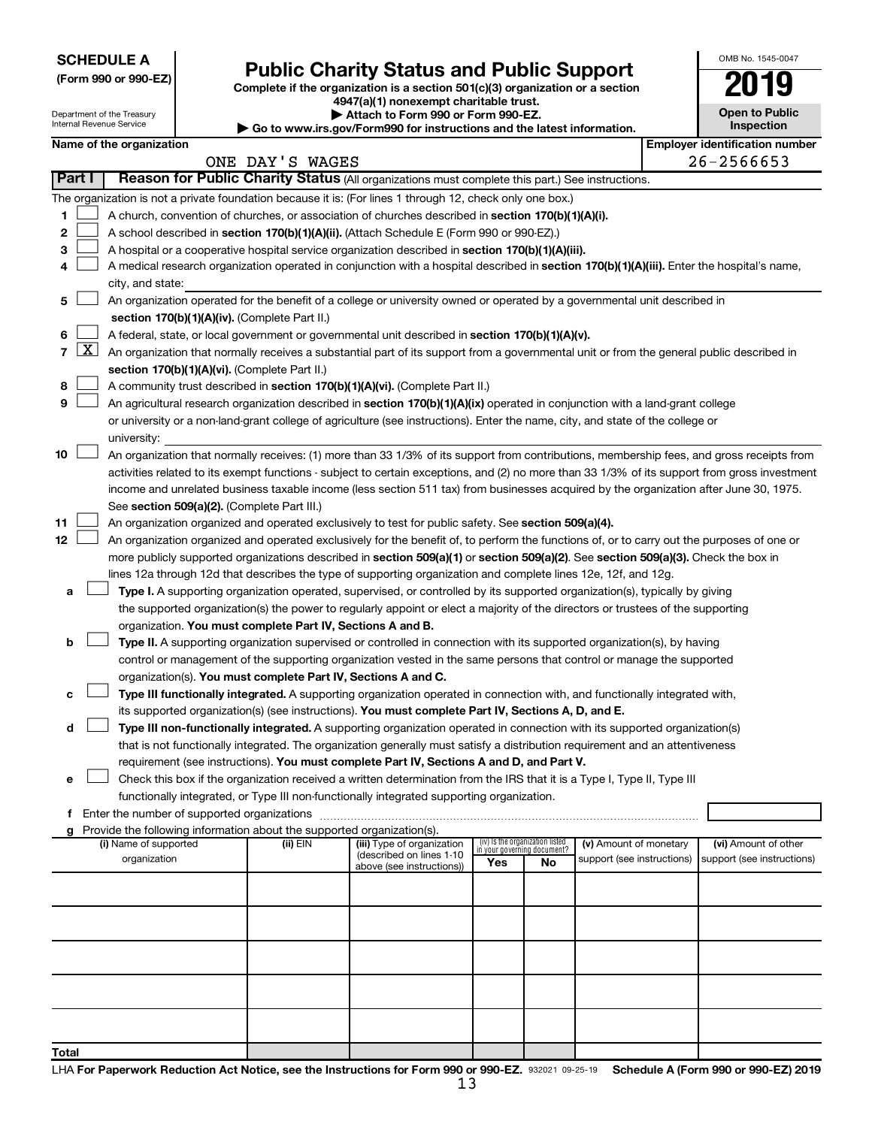| <b>SCHEDULE A</b> |  |
|-------------------|--|
|-------------------|--|

Department of the Treasury Internal Revenue Service

|  |  | (Form 990 or 990-EZ) |  |
|--|--|----------------------|--|
|  |  |                      |  |

# Form 990 or 990-EZ)<br>
Complete if the organization is a section 501(c)(3) organization or a section<br> **Public Charity Status and Public Support**

**4947(a)(1) nonexempt charitable trust. | Attach to Form 990 or Form 990-EZ.** 

| <b>P</b> Allach to Form 330 of Form 330-LL.                              |
|--------------------------------------------------------------------------|
| ▶ Go to www.irs.gov/Form990 for instructions and the latest information. |

| <b>Open to Public</b><br>Inspection |
|-------------------------------------|

OMB No. 1545-0047

|  | Name of the organization |  |
|--|--------------------------|--|

|                |  | Name of the organization                                                                                                                                                                                                                           |                 |                                                        |                                                                |    |                            | <b>Employer identification number</b>              |
|----------------|--|----------------------------------------------------------------------------------------------------------------------------------------------------------------------------------------------------------------------------------------------------|-----------------|--------------------------------------------------------|----------------------------------------------------------------|----|----------------------------|----------------------------------------------------|
|                |  |                                                                                                                                                                                                                                                    | ONE DAY'S WAGES |                                                        |                                                                |    |                            | 26-2566653                                         |
| Part I         |  | Reason for Public Charity Status (All organizations must complete this part.) See instructions.                                                                                                                                                    |                 |                                                        |                                                                |    |                            |                                                    |
|                |  | The organization is not a private foundation because it is: (For lines 1 through 12, check only one box.)                                                                                                                                          |                 |                                                        |                                                                |    |                            |                                                    |
| 1              |  | A church, convention of churches, or association of churches described in section 170(b)(1)(A)(i).                                                                                                                                                 |                 |                                                        |                                                                |    |                            |                                                    |
| $\mathbf{2}$   |  | A school described in section 170(b)(1)(A)(ii). (Attach Schedule E (Form 990 or 990-EZ).)                                                                                                                                                          |                 |                                                        |                                                                |    |                            |                                                    |
| З              |  | A hospital or a cooperative hospital service organization described in section 170(b)(1)(A)(iii).                                                                                                                                                  |                 |                                                        |                                                                |    |                            |                                                    |
| 4              |  | A medical research organization operated in conjunction with a hospital described in section 170(b)(1)(A)(iii). Enter the hospital's name,                                                                                                         |                 |                                                        |                                                                |    |                            |                                                    |
|                |  | city, and state:                                                                                                                                                                                                                                   |                 |                                                        |                                                                |    |                            |                                                    |
| 5              |  | An organization operated for the benefit of a college or university owned or operated by a governmental unit described in                                                                                                                          |                 |                                                        |                                                                |    |                            |                                                    |
|                |  | section 170(b)(1)(A)(iv). (Complete Part II.)                                                                                                                                                                                                      |                 |                                                        |                                                                |    |                            |                                                    |
| 6.             |  | A federal, state, or local government or governmental unit described in section 170(b)(1)(A)(v).                                                                                                                                                   |                 |                                                        |                                                                |    |                            |                                                    |
| $\overline{7}$ |  | $X$ An organization that normally receives a substantial part of its support from a governmental unit or from the general public described in                                                                                                      |                 |                                                        |                                                                |    |                            |                                                    |
|                |  | section 170(b)(1)(A)(vi). (Complete Part II.)                                                                                                                                                                                                      |                 |                                                        |                                                                |    |                            |                                                    |
| 8              |  | A community trust described in section 170(b)(1)(A)(vi). (Complete Part II.)                                                                                                                                                                       |                 |                                                        |                                                                |    |                            |                                                    |
| 9              |  | An agricultural research organization described in section 170(b)(1)(A)(ix) operated in conjunction with a land-grant college                                                                                                                      |                 |                                                        |                                                                |    |                            |                                                    |
|                |  | or university or a non-land-grant college of agriculture (see instructions). Enter the name, city, and state of the college or                                                                                                                     |                 |                                                        |                                                                |    |                            |                                                    |
|                |  | university:                                                                                                                                                                                                                                        |                 |                                                        |                                                                |    |                            |                                                    |
| 10             |  | An organization that normally receives: (1) more than 33 1/3% of its support from contributions, membership fees, and gross receipts from                                                                                                          |                 |                                                        |                                                                |    |                            |                                                    |
|                |  | activities related to its exempt functions - subject to certain exceptions, and (2) no more than 33 1/3% of its support from gross investment                                                                                                      |                 |                                                        |                                                                |    |                            |                                                    |
|                |  | income and unrelated business taxable income (less section 511 tax) from businesses acquired by the organization after June 30, 1975.                                                                                                              |                 |                                                        |                                                                |    |                            |                                                    |
|                |  | See section 509(a)(2). (Complete Part III.)                                                                                                                                                                                                        |                 |                                                        |                                                                |    |                            |                                                    |
| 11<br>12       |  | An organization organized and operated exclusively to test for public safety. See section 509(a)(4).<br>An organization organized and operated exclusively for the benefit of, to perform the functions of, or to carry out the purposes of one or |                 |                                                        |                                                                |    |                            |                                                    |
|                |  | more publicly supported organizations described in section 509(a)(1) or section 509(a)(2). See section 509(a)(3). Check the box in                                                                                                                 |                 |                                                        |                                                                |    |                            |                                                    |
|                |  | lines 12a through 12d that describes the type of supporting organization and complete lines 12e, 12f, and 12g.                                                                                                                                     |                 |                                                        |                                                                |    |                            |                                                    |
| а              |  | Type I. A supporting organization operated, supervised, or controlled by its supported organization(s), typically by giving                                                                                                                        |                 |                                                        |                                                                |    |                            |                                                    |
|                |  | the supported organization(s) the power to regularly appoint or elect a majority of the directors or trustees of the supporting                                                                                                                    |                 |                                                        |                                                                |    |                            |                                                    |
|                |  | organization. You must complete Part IV, Sections A and B.                                                                                                                                                                                         |                 |                                                        |                                                                |    |                            |                                                    |
| b              |  | Type II. A supporting organization supervised or controlled in connection with its supported organization(s), by having                                                                                                                            |                 |                                                        |                                                                |    |                            |                                                    |
|                |  | control or management of the supporting organization vested in the same persons that control or manage the supported                                                                                                                               |                 |                                                        |                                                                |    |                            |                                                    |
|                |  | organization(s). You must complete Part IV, Sections A and C.                                                                                                                                                                                      |                 |                                                        |                                                                |    |                            |                                                    |
| с              |  | Type III functionally integrated. A supporting organization operated in connection with, and functionally integrated with,                                                                                                                         |                 |                                                        |                                                                |    |                            |                                                    |
|                |  | its supported organization(s) (see instructions). You must complete Part IV, Sections A, D, and E.                                                                                                                                                 |                 |                                                        |                                                                |    |                            |                                                    |
| d              |  | Type III non-functionally integrated. A supporting organization operated in connection with its supported organization(s)                                                                                                                          |                 |                                                        |                                                                |    |                            |                                                    |
|                |  | that is not functionally integrated. The organization generally must satisfy a distribution requirement and an attentiveness                                                                                                                       |                 |                                                        |                                                                |    |                            |                                                    |
|                |  | requirement (see instructions). You must complete Part IV, Sections A and D, and Part V.                                                                                                                                                           |                 |                                                        |                                                                |    |                            |                                                    |
|                |  | Check this box if the organization received a written determination from the IRS that it is a Type I, Type II, Type III                                                                                                                            |                 |                                                        |                                                                |    |                            |                                                    |
|                |  | functionally integrated, or Type III non-functionally integrated supporting organization.                                                                                                                                                          |                 |                                                        |                                                                |    |                            |                                                    |
|                |  | f Enter the number of supported organizations                                                                                                                                                                                                      |                 |                                                        |                                                                |    |                            |                                                    |
| a              |  | Provide the following information about the supported organization(s).                                                                                                                                                                             |                 |                                                        |                                                                |    |                            |                                                    |
|                |  | (i) Name of supported<br>organization                                                                                                                                                                                                              | (ii) EIN        | (iii) Type of organization<br>(described on lines 1-10 | (iv) Is the organization listed<br>in your governing document? |    | (v) Amount of monetary     | (vi) Amount of other<br>support (see instructions) |
|                |  |                                                                                                                                                                                                                                                    |                 | above (see instructions))                              | Yes                                                            | No | support (see instructions) |                                                    |
|                |  |                                                                                                                                                                                                                                                    |                 |                                                        |                                                                |    |                            |                                                    |
|                |  |                                                                                                                                                                                                                                                    |                 |                                                        |                                                                |    |                            |                                                    |
|                |  |                                                                                                                                                                                                                                                    |                 |                                                        |                                                                |    |                            |                                                    |
|                |  |                                                                                                                                                                                                                                                    |                 |                                                        |                                                                |    |                            |                                                    |
|                |  |                                                                                                                                                                                                                                                    |                 |                                                        |                                                                |    |                            |                                                    |
|                |  |                                                                                                                                                                                                                                                    |                 |                                                        |                                                                |    |                            |                                                    |
|                |  |                                                                                                                                                                                                                                                    |                 |                                                        |                                                                |    |                            |                                                    |
|                |  |                                                                                                                                                                                                                                                    |                 |                                                        |                                                                |    |                            |                                                    |
|                |  |                                                                                                                                                                                                                                                    |                 |                                                        |                                                                |    |                            |                                                    |
| <b>Total</b>   |  |                                                                                                                                                                                                                                                    |                 |                                                        |                                                                |    |                            |                                                    |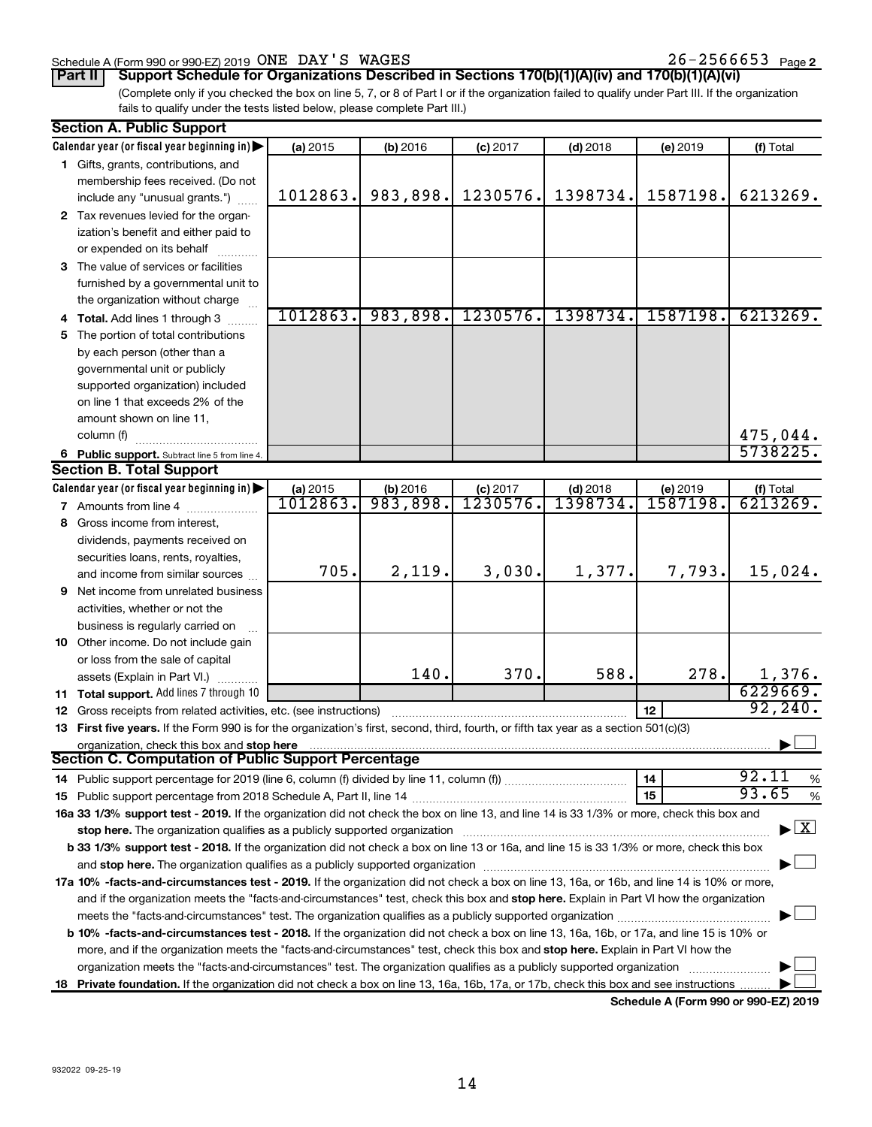#### Schedule A (Form 990 or 990-EZ) 2019 Page ONE DAY'S WAGES 26-2566653

26-2566653 Page 2

**Part II Support Schedule for Organizations Described in Sections 170(b)(1)(A)(iv) and 170(b)(1)(A)(vi)**

(Complete only if you checked the box on line 5, 7, or 8 of Part I or if the organization failed to qualify under Part III. If the organization fails to qualify under the tests listed below, please complete Part III.)

|   | <b>Section A. Public Support</b>                                                                                                                                                                                               |          |          |            |            |          |                                          |
|---|--------------------------------------------------------------------------------------------------------------------------------------------------------------------------------------------------------------------------------|----------|----------|------------|------------|----------|------------------------------------------|
|   | Calendar year (or fiscal year beginning in)                                                                                                                                                                                    | (a) 2015 | (b) 2016 | $(c)$ 2017 | $(d)$ 2018 | (e) 2019 | (f) Total                                |
|   | 1 Gifts, grants, contributions, and                                                                                                                                                                                            |          |          |            |            |          |                                          |
|   | membership fees received. (Do not                                                                                                                                                                                              |          |          |            |            |          |                                          |
|   | include any "unusual grants.")                                                                                                                                                                                                 | 1012863. | 983,898. | 1230576.   | 1398734.   | 1587198. | 6213269.                                 |
|   | 2 Tax revenues levied for the organ-                                                                                                                                                                                           |          |          |            |            |          |                                          |
|   | ization's benefit and either paid to                                                                                                                                                                                           |          |          |            |            |          |                                          |
|   | or expended on its behalf                                                                                                                                                                                                      |          |          |            |            |          |                                          |
|   | 3 The value of services or facilities                                                                                                                                                                                          |          |          |            |            |          |                                          |
|   | furnished by a governmental unit to                                                                                                                                                                                            |          |          |            |            |          |                                          |
|   | the organization without charge                                                                                                                                                                                                |          |          |            |            |          |                                          |
|   | 4 Total. Add lines 1 through 3                                                                                                                                                                                                 | 1012863. | 983,898. | 1230576.   | 1398734.   | 1587198. | 6213269.                                 |
|   | 5 The portion of total contributions                                                                                                                                                                                           |          |          |            |            |          |                                          |
|   | by each person (other than a                                                                                                                                                                                                   |          |          |            |            |          |                                          |
|   | governmental unit or publicly                                                                                                                                                                                                  |          |          |            |            |          |                                          |
|   | supported organization) included                                                                                                                                                                                               |          |          |            |            |          |                                          |
|   | on line 1 that exceeds 2% of the                                                                                                                                                                                               |          |          |            |            |          |                                          |
|   | amount shown on line 11,                                                                                                                                                                                                       |          |          |            |            |          |                                          |
|   | column (f)                                                                                                                                                                                                                     |          |          |            |            |          | 475,044.                                 |
|   | 6 Public support. Subtract line 5 from line 4.                                                                                                                                                                                 |          |          |            |            |          | 5738225.                                 |
|   | <b>Section B. Total Support</b>                                                                                                                                                                                                |          |          |            |            |          |                                          |
|   | Calendar year (or fiscal year beginning in)                                                                                                                                                                                    | (a) 2015 | (b) 2016 | $(c)$ 2017 | $(d)$ 2018 | (e) 2019 | (f) Total                                |
|   | 7 Amounts from line 4                                                                                                                                                                                                          | 1012863. | 983,898. | 1230576.   | 1398734    | 1587198. | 6213269.                                 |
|   | 8 Gross income from interest,                                                                                                                                                                                                  |          |          |            |            |          |                                          |
|   | dividends, payments received on                                                                                                                                                                                                |          |          |            |            |          |                                          |
|   | securities loans, rents, royalties,                                                                                                                                                                                            |          |          |            |            |          |                                          |
|   | and income from similar sources                                                                                                                                                                                                | 705.     | 2,119.   | 3,030.     | 1,377.     | 7,793.   | 15,024.                                  |
| 9 | Net income from unrelated business                                                                                                                                                                                             |          |          |            |            |          |                                          |
|   | activities, whether or not the                                                                                                                                                                                                 |          |          |            |            |          |                                          |
|   | business is regularly carried on                                                                                                                                                                                               |          |          |            |            |          |                                          |
|   | 10 Other income. Do not include gain                                                                                                                                                                                           |          |          |            |            |          |                                          |
|   | or loss from the sale of capital                                                                                                                                                                                               |          |          |            |            |          |                                          |
|   | assets (Explain in Part VI.)                                                                                                                                                                                                   |          | 140.     | 370.       | 588.       | 278.     | 1,376.                                   |
|   | 11 Total support. Add lines 7 through 10                                                                                                                                                                                       |          |          |            |            |          | 6229669.                                 |
|   | <b>12</b> Gross receipts from related activities, etc. (see instructions)                                                                                                                                                      |          |          |            |            | 12       | 92, 240.                                 |
|   | 13 First five years. If the Form 990 is for the organization's first, second, third, fourth, or fifth tax year as a section 501(c)(3)                                                                                          |          |          |            |            |          |                                          |
|   | organization, check this box and stop here                                                                                                                                                                                     |          |          |            |            |          |                                          |
|   | <b>Section C. Computation of Public Support Percentage</b>                                                                                                                                                                     |          |          |            |            |          |                                          |
|   |                                                                                                                                                                                                                                |          |          |            |            | 14       | 92.11<br>$\%$                            |
|   |                                                                                                                                                                                                                                |          |          |            |            | 15       | 93.65<br>$\%$                            |
|   | 16a 33 1/3% support test - 2019. If the organization did not check the box on line 13, and line 14 is 33 1/3% or more, check this box and                                                                                      |          |          |            |            |          |                                          |
|   | stop here. The organization qualifies as a publicly supported organization manufaction manufacture or manufacture or the state of the state of the state of the state of the state of the state of the state of the state of t |          |          |            |            |          | $\blacktriangleright$ $\boxed{\text{X}}$ |
|   | b 33 1/3% support test - 2018. If the organization did not check a box on line 13 or 16a, and line 15 is 33 1/3% or more, check this box                                                                                       |          |          |            |            |          |                                          |
|   |                                                                                                                                                                                                                                |          |          |            |            |          |                                          |
|   | 17a 10% -facts-and-circumstances test - 2019. If the organization did not check a box on line 13, 16a, or 16b, and line 14 is 10% or more,                                                                                     |          |          |            |            |          |                                          |
|   | and if the organization meets the "facts-and-circumstances" test, check this box and stop here. Explain in Part VI how the organization                                                                                        |          |          |            |            |          |                                          |
|   |                                                                                                                                                                                                                                |          |          |            |            |          |                                          |
|   | <b>b 10%</b> -facts-and-circumstances test - 2018. If the organization did not check a box on line 13, 16a, 16b, or 17a, and line 15 is 10% or                                                                                 |          |          |            |            |          |                                          |
|   |                                                                                                                                                                                                                                |          |          |            |            |          |                                          |
|   | more, and if the organization meets the "facts-and-circumstances" test, check this box and stop here. Explain in Part VI how the                                                                                               |          |          |            |            |          |                                          |
|   | organization meets the "facts-and-circumstances" test. The organization qualifies as a publicly supported organization                                                                                                         |          |          |            |            |          |                                          |
|   | 18 Private foundation. If the organization did not check a box on line 13, 16a, 16b, 17a, or 17b, check this box and see instructions                                                                                          |          |          |            |            |          |                                          |

**Schedule A (Form 990 or 990-EZ) 2019**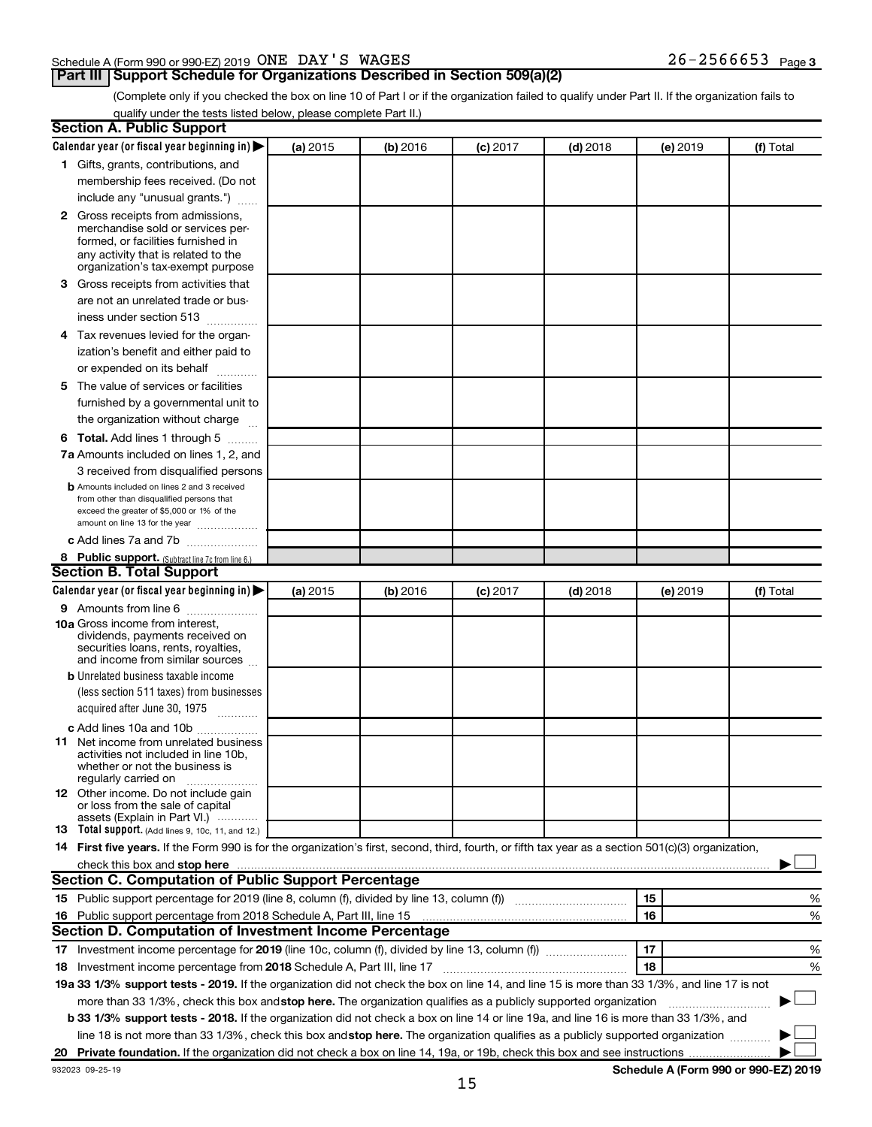#### Schedule A (Form 990 or 990-EZ) 2019 Page ONE DAY'S WAGES 26-2566653

## **Part III Support Schedule for Organizations Described in Section 509(a)(2)**

26-2566653 Page 3

(Complete only if you checked the box on line 10 of Part I or if the organization failed to qualify under Part II. If the organization fails to qualify under the tests listed below, please complete Part II.)

| <b>Section A. Public Support</b>                                                                                                                                                                                                                                       |          |          |          |            |          |                                      |
|------------------------------------------------------------------------------------------------------------------------------------------------------------------------------------------------------------------------------------------------------------------------|----------|----------|----------|------------|----------|--------------------------------------|
| Calendar year (or fiscal year beginning in)                                                                                                                                                                                                                            | (a) 2015 | (b) 2016 | (c) 2017 | $(d)$ 2018 | (e) 2019 | (f) Total                            |
| 1 Gifts, grants, contributions, and                                                                                                                                                                                                                                    |          |          |          |            |          |                                      |
| membership fees received. (Do not                                                                                                                                                                                                                                      |          |          |          |            |          |                                      |
| include any "unusual grants.")                                                                                                                                                                                                                                         |          |          |          |            |          |                                      |
| <b>2</b> Gross receipts from admissions,<br>merchandise sold or services per-<br>formed, or facilities furnished in<br>any activity that is related to the<br>organization's tax-exempt purpose                                                                        |          |          |          |            |          |                                      |
| 3 Gross receipts from activities that                                                                                                                                                                                                                                  |          |          |          |            |          |                                      |
| are not an unrelated trade or bus-<br>iness under section 513                                                                                                                                                                                                          |          |          |          |            |          |                                      |
| 4 Tax revenues levied for the organ-                                                                                                                                                                                                                                   |          |          |          |            |          |                                      |
| ization's benefit and either paid to                                                                                                                                                                                                                                   |          |          |          |            |          |                                      |
| or expended on its behalf<br>.                                                                                                                                                                                                                                         |          |          |          |            |          |                                      |
| 5 The value of services or facilities                                                                                                                                                                                                                                  |          |          |          |            |          |                                      |
| furnished by a governmental unit to                                                                                                                                                                                                                                    |          |          |          |            |          |                                      |
| the organization without charge                                                                                                                                                                                                                                        |          |          |          |            |          |                                      |
| <b>6 Total.</b> Add lines 1 through 5                                                                                                                                                                                                                                  |          |          |          |            |          |                                      |
| 7a Amounts included on lines 1, 2, and                                                                                                                                                                                                                                 |          |          |          |            |          |                                      |
| 3 received from disqualified persons                                                                                                                                                                                                                                   |          |          |          |            |          |                                      |
| <b>b</b> Amounts included on lines 2 and 3 received<br>from other than disqualified persons that<br>exceed the greater of \$5,000 or 1% of the<br>amount on line 13 for the year                                                                                       |          |          |          |            |          |                                      |
| c Add lines 7a and 7b                                                                                                                                                                                                                                                  |          |          |          |            |          |                                      |
| 8 Public support. (Subtract line 7c from line 6.)                                                                                                                                                                                                                      |          |          |          |            |          |                                      |
| <b>Section B. Total Support</b>                                                                                                                                                                                                                                        |          |          |          |            |          |                                      |
| Calendar year (or fiscal year beginning in)                                                                                                                                                                                                                            | (a) 2015 | (b) 2016 | (c) 2017 | $(d)$ 2018 | (e) 2019 | (f) Total                            |
| <b>9</b> Amounts from line 6                                                                                                                                                                                                                                           |          |          |          |            |          |                                      |
| <b>10a</b> Gross income from interest,<br>dividends, payments received on<br>securities loans, rents, royalties,<br>and income from similar sources                                                                                                                    |          |          |          |            |          |                                      |
| <b>b</b> Unrelated business taxable income                                                                                                                                                                                                                             |          |          |          |            |          |                                      |
| (less section 511 taxes) from businesses<br>acquired after June 30, 1975                                                                                                                                                                                               |          |          |          |            |          |                                      |
| c Add lines 10a and 10b                                                                                                                                                                                                                                                |          |          |          |            |          |                                      |
| <b>11</b> Net income from unrelated business<br>activities not included in line 10b.<br>whether or not the business is<br>regularly carried on                                                                                                                         |          |          |          |            |          |                                      |
| 12 Other income. Do not include gain<br>or loss from the sale of capital<br>assets (Explain in Part VI.)                                                                                                                                                               |          |          |          |            |          |                                      |
| <b>13</b> Total support. (Add lines 9, 10c, 11, and 12.)                                                                                                                                                                                                               |          |          |          |            |          |                                      |
| 14 First five years. If the Form 990 is for the organization's first, second, third, fourth, or fifth tax year as a section 501(c)(3) organization,                                                                                                                    |          |          |          |            |          |                                      |
| check this box and stop here <b>construction and construction</b> and stop here <b>constructed</b> and stop here <b>constructed</b> and stop here <b>constructed</b> and <b>construction</b> and <b>construction</b> and <b>construction</b> and <b>construction</b> a |          |          |          |            |          |                                      |
| <b>Section C. Computation of Public Support Percentage</b>                                                                                                                                                                                                             |          |          |          |            |          |                                      |
| 15 Public support percentage for 2019 (line 8, column (f), divided by line 13, column (f) <i></i>                                                                                                                                                                      |          |          |          |            | 15       | %                                    |
| 16 Public support percentage from 2018 Schedule A, Part III, line 15                                                                                                                                                                                                   |          |          |          |            | 16       | %                                    |
| Section D. Computation of Investment Income Percentage                                                                                                                                                                                                                 |          |          |          |            |          |                                      |
| 17 Investment income percentage for 2019 (line 10c, column (f), divided by line 13, column (f))                                                                                                                                                                        |          |          |          |            | 17       | %                                    |
| 18 Investment income percentage from 2018 Schedule A, Part III, line 17                                                                                                                                                                                                |          |          |          |            | 18       | %                                    |
| 19a 33 1/3% support tests - 2019. If the organization did not check the box on line 14, and line 15 is more than 33 1/3%, and line 17 is not                                                                                                                           |          |          |          |            |          |                                      |
| more than 33 1/3%, check this box and stop here. The organization qualifies as a publicly supported organization                                                                                                                                                       |          |          |          |            |          |                                      |
| b 33 1/3% support tests - 2018. If the organization did not check a box on line 14 or line 19a, and line 16 is more than 33 1/3%, and                                                                                                                                  |          |          |          |            |          |                                      |
| line 18 is not more than 33 1/3%, check this box and stop here. The organization qualifies as a publicly supported organization                                                                                                                                        |          |          |          |            |          |                                      |
|                                                                                                                                                                                                                                                                        |          |          |          |            |          |                                      |
| 932023 09-25-19                                                                                                                                                                                                                                                        |          |          |          |            |          | Schedule A (Form 990 or 990-EZ) 2019 |

**Schedule A (Form 990 or 990-EZ) 2019**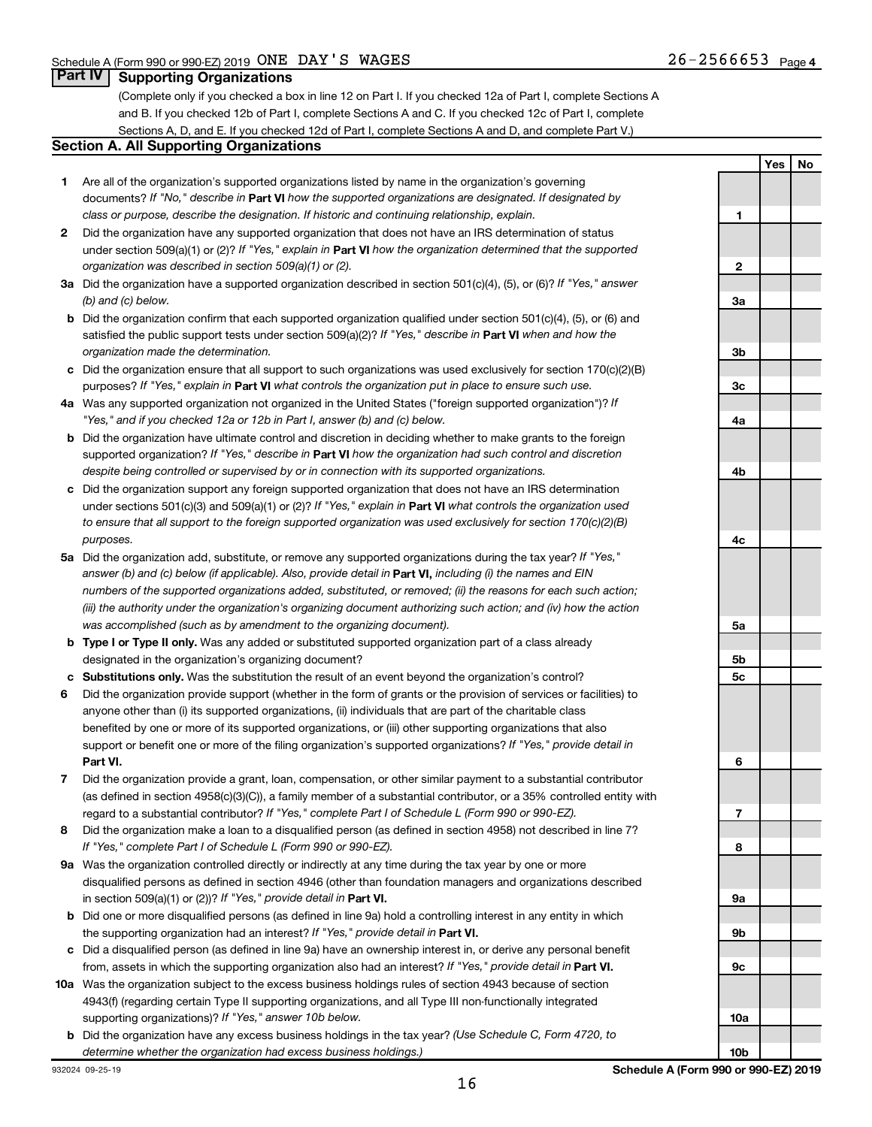**Yes No**

## **Part IV Supporting Organizations**

(Complete only if you checked a box in line 12 on Part I. If you checked 12a of Part I, complete Sections A and B. If you checked 12b of Part I, complete Sections A and C. If you checked 12c of Part I, complete Sections A, D, and E. If you checked 12d of Part I, complete Sections A and D, and complete Part V.)

#### **Section A. All Supporting Organizations**

- **1** Are all of the organization's supported organizations listed by name in the organization's governing documents? If "No," describe in Part VI how the supported organizations are designated. If designated by *class or purpose, describe the designation. If historic and continuing relationship, explain.*
- **2** Did the organization have any supported organization that does not have an IRS determination of status under section 509(a)(1) or (2)? If "Yes," explain in Part **VI** how the organization determined that the supported *organization was described in section 509(a)(1) or (2).*
- **3a** Did the organization have a supported organization described in section 501(c)(4), (5), or (6)? If "Yes," answer *(b) and (c) below.*
- **b** Did the organization confirm that each supported organization qualified under section 501(c)(4), (5), or (6) and satisfied the public support tests under section 509(a)(2)? If "Yes," describe in Part VI when and how the *organization made the determination.*
- **c** Did the organization ensure that all support to such organizations was used exclusively for section 170(c)(2)(B) purposes? If "Yes," explain in Part VI what controls the organization put in place to ensure such use.
- **4 a** *If* Was any supported organization not organized in the United States ("foreign supported organization")? *"Yes," and if you checked 12a or 12b in Part I, answer (b) and (c) below.*
- **b** Did the organization have ultimate control and discretion in deciding whether to make grants to the foreign supported organization? If "Yes," describe in Part VI how the organization had such control and discretion *despite being controlled or supervised by or in connection with its supported organizations.*
- **c** Did the organization support any foreign supported organization that does not have an IRS determination under sections 501(c)(3) and 509(a)(1) or (2)? If "Yes," explain in Part VI what controls the organization used *to ensure that all support to the foreign supported organization was used exclusively for section 170(c)(2)(B) purposes.*
- **5a** Did the organization add, substitute, or remove any supported organizations during the tax year? If "Yes," answer (b) and (c) below (if applicable). Also, provide detail in **Part VI,** including (i) the names and EIN *numbers of the supported organizations added, substituted, or removed; (ii) the reasons for each such action; (iii) the authority under the organization's organizing document authorizing such action; and (iv) how the action was accomplished (such as by amendment to the organizing document).*
- **b Type I or Type II only.** Was any added or substituted supported organization part of a class already designated in the organization's organizing document?
- **c Substitutions only.**  Was the substitution the result of an event beyond the organization's control?
- **6** Did the organization provide support (whether in the form of grants or the provision of services or facilities) to **Part VI.** support or benefit one or more of the filing organization's supported organizations? If "Yes," provide detail in anyone other than (i) its supported organizations, (ii) individuals that are part of the charitable class benefited by one or more of its supported organizations, or (iii) other supporting organizations that also
- **7** Did the organization provide a grant, loan, compensation, or other similar payment to a substantial contributor regard to a substantial contributor? If "Yes," complete Part I of Schedule L (Form 990 or 990-EZ). (as defined in section 4958(c)(3)(C)), a family member of a substantial contributor, or a 35% controlled entity with
- **8** Did the organization make a loan to a disqualified person (as defined in section 4958) not described in line 7? *If "Yes," complete Part I of Schedule L (Form 990 or 990-EZ).*
- **9 a** Was the organization controlled directly or indirectly at any time during the tax year by one or more in section 509(a)(1) or (2))? If "Yes," provide detail in **Part VI.** disqualified persons as defined in section 4946 (other than foundation managers and organizations described
- **b** Did one or more disqualified persons (as defined in line 9a) hold a controlling interest in any entity in which the supporting organization had an interest? If "Yes," provide detail in Part VI.
- **c** Did a disqualified person (as defined in line 9a) have an ownership interest in, or derive any personal benefit from, assets in which the supporting organization also had an interest? If "Yes," provide detail in Part VI.
- **10 a** Was the organization subject to the excess business holdings rules of section 4943 because of section supporting organizations)? If "Yes," answer 10b below. 4943(f) (regarding certain Type II supporting organizations, and all Type III non-functionally integrated
- **b** Did the organization have any excess business holdings in the tax year? (Use Schedule C, Form 4720, to *determine whether the organization had excess business holdings.)*

**1 2 3a 3b 3c 4a 4b 4c 5a 5b 5c 6 7 8 9a 9b 9c 10a**

932024 09-25-19

**10b**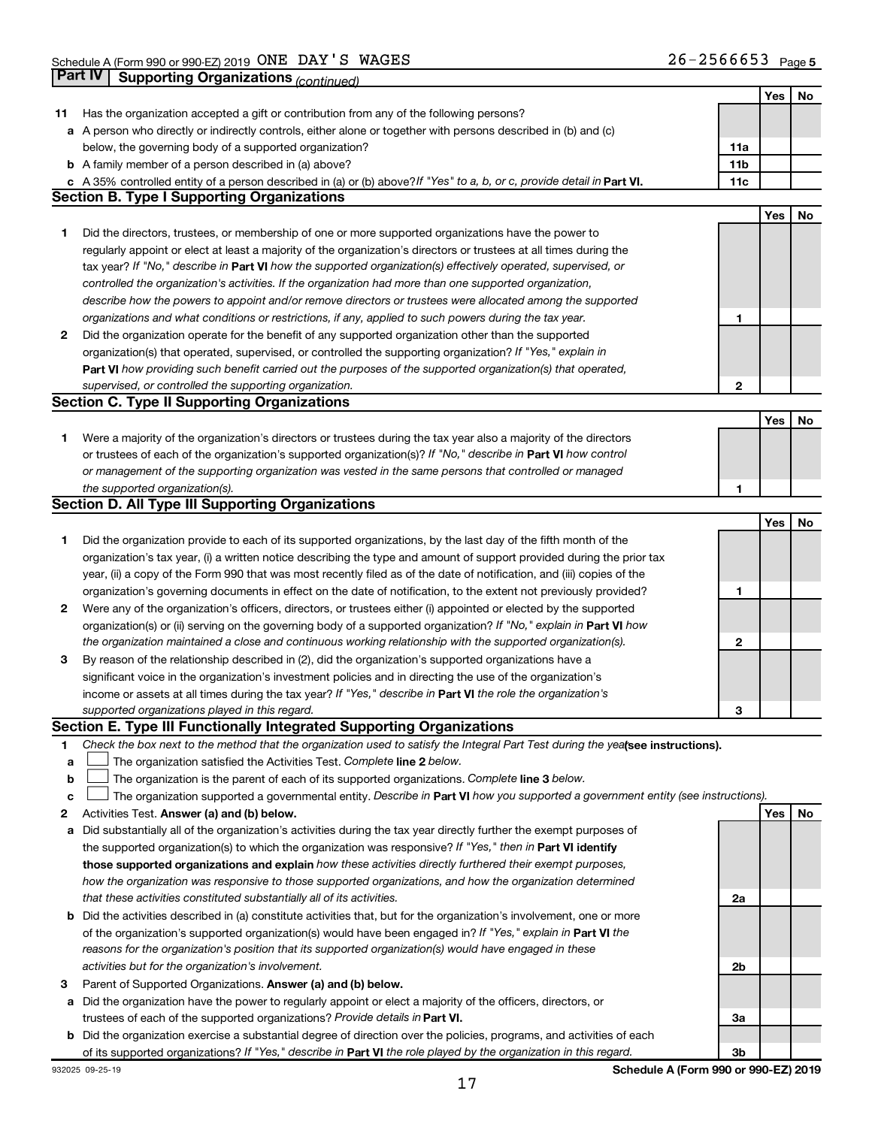|    |                                                                                                                                                                         |                | Yes | No |
|----|-------------------------------------------------------------------------------------------------------------------------------------------------------------------------|----------------|-----|----|
| 11 | Has the organization accepted a gift or contribution from any of the following persons?                                                                                 |                |     |    |
|    | a A person who directly or indirectly controls, either alone or together with persons described in (b) and (c)                                                          |                |     |    |
|    | below, the governing body of a supported organization?                                                                                                                  | 11a            |     |    |
|    | <b>b</b> A family member of a person described in (a) above?                                                                                                            | 11b            |     |    |
|    | A 35% controlled entity of a person described in (a) or (b) above? If "Yes" to a, b, or c, provide detail in Part VI.                                                   | 11c            |     |    |
|    | <b>Section B. Type I Supporting Organizations</b>                                                                                                                       |                |     |    |
|    |                                                                                                                                                                         |                | Yes | No |
| 1. | Did the directors, trustees, or membership of one or more supported organizations have the power to                                                                     |                |     |    |
|    | regularly appoint or elect at least a majority of the organization's directors or trustees at all times during the                                                      |                |     |    |
|    | tax year? If "No," describe in Part VI how the supported organization(s) effectively operated, supervised, or                                                           |                |     |    |
|    |                                                                                                                                                                         |                |     |    |
|    | controlled the organization's activities. If the organization had more than one supported organization,                                                                 |                |     |    |
|    | describe how the powers to appoint and/or remove directors or trustees were allocated among the supported                                                               |                |     |    |
|    | organizations and what conditions or restrictions, if any, applied to such powers during the tax year.                                                                  | 1              |     |    |
| 2  | Did the organization operate for the benefit of any supported organization other than the supported                                                                     |                |     |    |
|    | organization(s) that operated, supervised, or controlled the supporting organization? If "Yes," explain in                                                              |                |     |    |
|    | Part VI how providing such benefit carried out the purposes of the supported organization(s) that operated,                                                             |                |     |    |
|    | supervised, or controlled the supporting organization.                                                                                                                  | $\mathbf{2}$   |     |    |
|    | <b>Section C. Type II Supporting Organizations</b>                                                                                                                      |                |     |    |
|    |                                                                                                                                                                         |                | Yes | No |
| 1. | Were a majority of the organization's directors or trustees during the tax year also a majority of the directors                                                        |                |     |    |
|    | or trustees of each of the organization's supported organization(s)? If "No," describe in Part VI how control                                                           |                |     |    |
|    | or management of the supporting organization was vested in the same persons that controlled or managed                                                                  |                |     |    |
|    | the supported organization(s).                                                                                                                                          | 1              |     |    |
|    | <b>Section D. All Type III Supporting Organizations</b>                                                                                                                 |                |     |    |
|    |                                                                                                                                                                         |                | Yes | No |
| 1  | Did the organization provide to each of its supported organizations, by the last day of the fifth month of the                                                          |                |     |    |
|    | organization's tax year, (i) a written notice describing the type and amount of support provided during the prior tax                                                   |                |     |    |
|    | year, (ii) a copy of the Form 990 that was most recently filed as of the date of notification, and (iii) copies of the                                                  |                |     |    |
|    | organization's governing documents in effect on the date of notification, to the extent not previously provided?                                                        | 1              |     |    |
| 2  | Were any of the organization's officers, directors, or trustees either (i) appointed or elected by the supported                                                        |                |     |    |
|    | organization(s) or (ii) serving on the governing body of a supported organization? If "No," explain in Part VI how                                                      |                |     |    |
|    | the organization maintained a close and continuous working relationship with the supported organization(s).                                                             | 2              |     |    |
| 3  | By reason of the relationship described in (2), did the organization's supported organizations have a                                                                   |                |     |    |
|    | significant voice in the organization's investment policies and in directing the use of the organization's                                                              |                |     |    |
|    | income or assets at all times during the tax year? If "Yes," describe in Part VI the role the organization's                                                            |                |     |    |
|    | supported organizations played in this regard.                                                                                                                          | З              |     |    |
|    | Section E. Type III Functionally Integrated Supporting Organizations                                                                                                    |                |     |    |
| 1. | Check the box next to the method that the organization used to satisfy the Integral Part Test during the yealsee instructions).                                         |                |     |    |
|    |                                                                                                                                                                         |                |     |    |
| а  | The organization satisfied the Activities Test. Complete line 2 below.<br>The organization is the parent of each of its supported organizations. Complete line 3 below. |                |     |    |
| b  |                                                                                                                                                                         |                |     |    |
| с  | The organization supported a governmental entity. Describe in Part VI how you supported a government entity (see instructions).                                         |                |     |    |
| 2  | Activities Test. Answer (a) and (b) below.                                                                                                                              |                | Yes | No |
| а  | Did substantially all of the organization's activities during the tax year directly further the exempt purposes of                                                      |                |     |    |
|    | the supported organization(s) to which the organization was responsive? If "Yes," then in Part VI identify                                                              |                |     |    |
|    | those supported organizations and explain how these activities directly furthered their exempt purposes,                                                                |                |     |    |
|    | how the organization was responsive to those supported organizations, and how the organization determined                                                               |                |     |    |
|    | that these activities constituted substantially all of its activities.                                                                                                  | 2a             |     |    |
| b  | Did the activities described in (a) constitute activities that, but for the organization's involvement, one or more                                                     |                |     |    |
|    | of the organization's supported organization(s) would have been engaged in? If "Yes," explain in Part VI the                                                            |                |     |    |
|    | reasons for the organization's position that its supported organization(s) would have engaged in these                                                                  |                |     |    |
|    | activities but for the organization's involvement.                                                                                                                      | 2b             |     |    |
| 3  | Parent of Supported Organizations. Answer (a) and (b) below.                                                                                                            |                |     |    |
| а  | Did the organization have the power to regularly appoint or elect a majority of the officers, directors, or                                                             |                |     |    |
|    | trustees of each of the supported organizations? Provide details in Part VI.                                                                                            | За             |     |    |
| b  | Did the organization exercise a substantial degree of direction over the policies, programs, and activities of each                                                     |                |     |    |
|    | of its supported organizations? If "Yes," describe in Part VI the role played by the organization in this regard.                                                       | 3 <sub>b</sub> |     |    |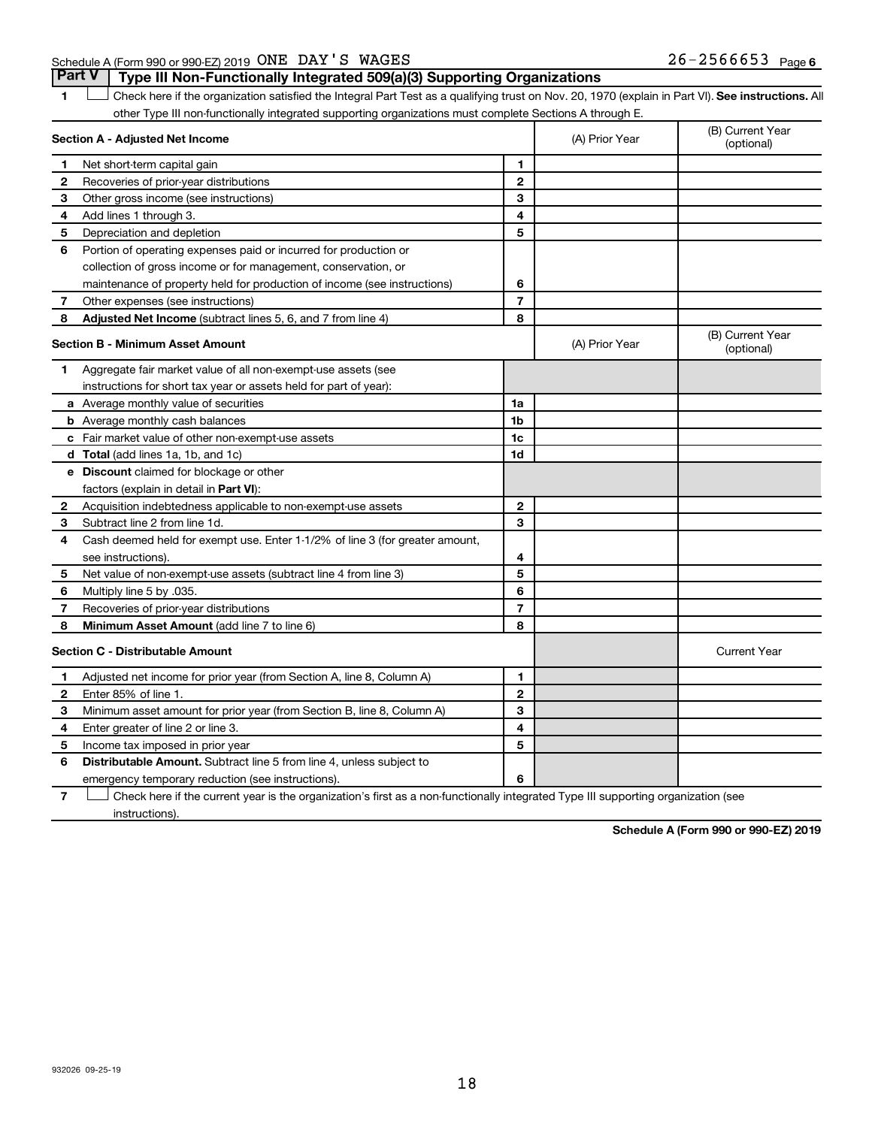1 **Letter See instructions.** All Check here if the organization satisfied the Integral Part Test as a qualifying trust on Nov. 20, 1970 (explain in Part VI). See instructions. All other Type III non-functionally integrated supporting organizations must complete Sections A through E.

| Section A - Adjusted Net Income |                                                                              |                | (A) Prior Year | (B) Current Year<br>(optional) |
|---------------------------------|------------------------------------------------------------------------------|----------------|----------------|--------------------------------|
| 1                               | Net short-term capital gain                                                  | 1              |                |                                |
| 2                               | Recoveries of prior-year distributions                                       | $\mathbf{2}$   |                |                                |
| 3                               | Other gross income (see instructions)                                        | 3              |                |                                |
| 4                               | Add lines 1 through 3.                                                       | 4              |                |                                |
| 5                               | Depreciation and depletion                                                   | 5              |                |                                |
| 6                               | Portion of operating expenses paid or incurred for production or             |                |                |                                |
|                                 | collection of gross income or for management, conservation, or               |                |                |                                |
|                                 | maintenance of property held for production of income (see instructions)     | 6              |                |                                |
| 7                               | Other expenses (see instructions)                                            | $\overline{7}$ |                |                                |
| 8                               | Adjusted Net Income (subtract lines 5, 6, and 7 from line 4)                 | 8              |                |                                |
|                                 | <b>Section B - Minimum Asset Amount</b>                                      |                | (A) Prior Year | (B) Current Year<br>(optional) |
| 1.                              | Aggregate fair market value of all non-exempt-use assets (see                |                |                |                                |
|                                 | instructions for short tax year or assets held for part of year):            |                |                |                                |
|                                 | a Average monthly value of securities                                        | 1a             |                |                                |
|                                 | <b>b</b> Average monthly cash balances                                       | 1 <sub>b</sub> |                |                                |
|                                 | c Fair market value of other non-exempt-use assets                           | 1c             |                |                                |
|                                 | d Total (add lines 1a, 1b, and 1c)                                           | 1d             |                |                                |
|                                 | e Discount claimed for blockage or other                                     |                |                |                                |
|                                 | factors (explain in detail in <b>Part VI</b> ):                              |                |                |                                |
| 2                               | Acquisition indebtedness applicable to non-exempt-use assets                 | $\mathbf{2}$   |                |                                |
| 3                               | Subtract line 2 from line 1d.                                                | 3              |                |                                |
| 4                               | Cash deemed held for exempt use. Enter 1-1/2% of line 3 (for greater amount, |                |                |                                |
|                                 | see instructions).                                                           | 4              |                |                                |
| 5                               | Net value of non-exempt-use assets (subtract line 4 from line 3)             | 5              |                |                                |
| 6                               | Multiply line 5 by .035.                                                     | 6              |                |                                |
| 7                               | Recoveries of prior-year distributions                                       | $\overline{7}$ |                |                                |
| 8                               | Minimum Asset Amount (add line 7 to line 6)                                  | 8              |                |                                |
|                                 | <b>Section C - Distributable Amount</b>                                      |                |                | <b>Current Year</b>            |
| 1                               | Adjusted net income for prior year (from Section A, line 8, Column A)        | 1              |                |                                |
| 2                               | Enter 85% of line 1.                                                         | $\mathbf{2}$   |                |                                |
| 3                               | Minimum asset amount for prior year (from Section B, line 8, Column A)       | 3              |                |                                |
| 4                               | Enter greater of line 2 or line 3.                                           | 4              |                |                                |
| 5                               | Income tax imposed in prior year                                             | 5              |                |                                |
| 6                               | Distributable Amount. Subtract line 5 from line 4, unless subject to         |                |                |                                |
|                                 | emergency temporary reduction (see instructions).                            | 6              |                |                                |
|                                 |                                                                              |                |                |                                |

**7** Let Check here if the current year is the organization's first as a non-functionally integrated Type III supporting organization (see instructions).

**Schedule A (Form 990 or 990-EZ) 2019**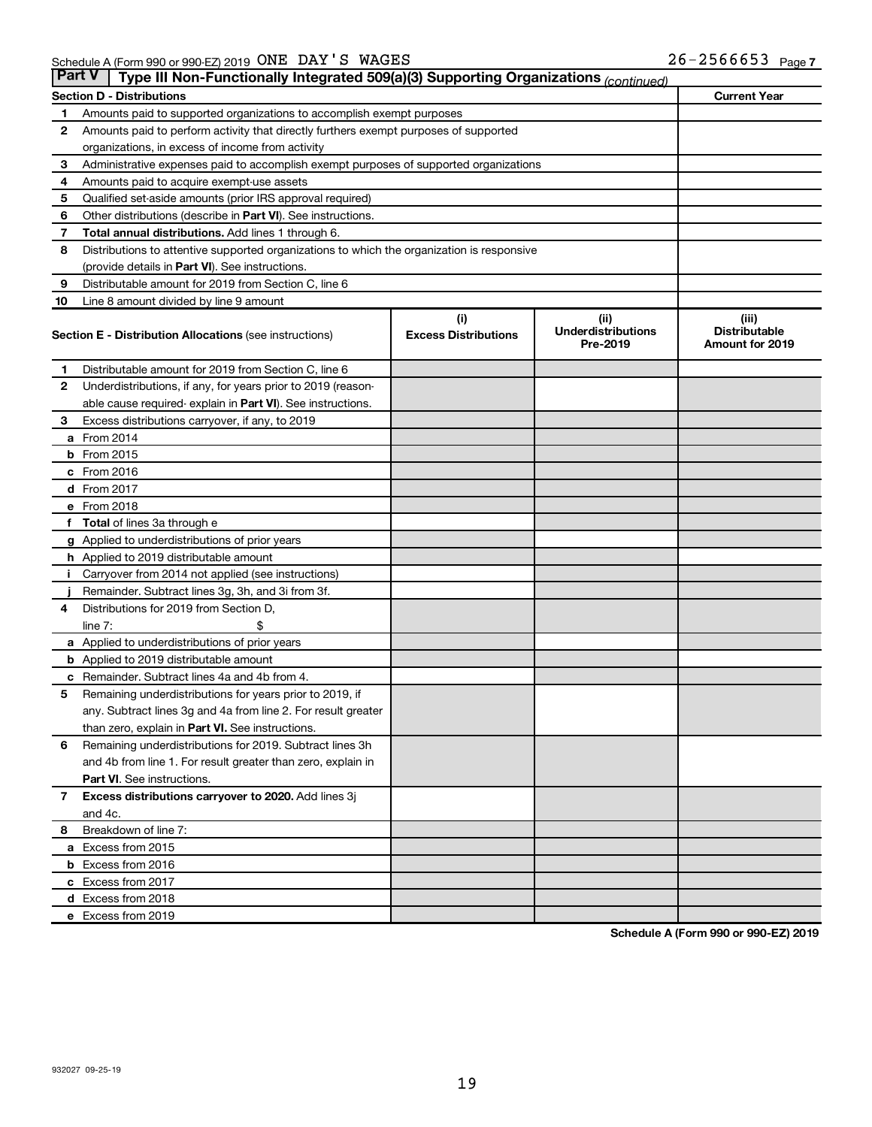|                                                         | <b>Part V</b><br>Type III Non-Functionally Integrated 509(a)(3) Supporting Organizations (continued) |                             |                                       |                                                |  |  |
|---------------------------------------------------------|------------------------------------------------------------------------------------------------------|-----------------------------|---------------------------------------|------------------------------------------------|--|--|
| <b>Current Year</b><br><b>Section D - Distributions</b> |                                                                                                      |                             |                                       |                                                |  |  |
| 1                                                       | Amounts paid to supported organizations to accomplish exempt purposes                                |                             |                                       |                                                |  |  |
| 2                                                       | Amounts paid to perform activity that directly furthers exempt purposes of supported                 |                             |                                       |                                                |  |  |
|                                                         | organizations, in excess of income from activity                                                     |                             |                                       |                                                |  |  |
| 3                                                       | Administrative expenses paid to accomplish exempt purposes of supported organizations                |                             |                                       |                                                |  |  |
| 4                                                       | Amounts paid to acquire exempt-use assets                                                            |                             |                                       |                                                |  |  |
| 5                                                       | Qualified set-aside amounts (prior IRS approval required)                                            |                             |                                       |                                                |  |  |
| 6                                                       | Other distributions (describe in <b>Part VI</b> ). See instructions.                                 |                             |                                       |                                                |  |  |
| 7                                                       | <b>Total annual distributions.</b> Add lines 1 through 6.                                            |                             |                                       |                                                |  |  |
| 8                                                       | Distributions to attentive supported organizations to which the organization is responsive           |                             |                                       |                                                |  |  |
|                                                         | (provide details in Part VI). See instructions.                                                      |                             |                                       |                                                |  |  |
| 9                                                       | Distributable amount for 2019 from Section C, line 6                                                 |                             |                                       |                                                |  |  |
| 10                                                      | Line 8 amount divided by line 9 amount                                                               |                             |                                       |                                                |  |  |
|                                                         |                                                                                                      | (i)                         | (iii)                                 | (iii)                                          |  |  |
|                                                         | <b>Section E - Distribution Allocations (see instructions)</b>                                       | <b>Excess Distributions</b> | <b>Underdistributions</b><br>Pre-2019 | <b>Distributable</b><br><b>Amount for 2019</b> |  |  |
| 1                                                       | Distributable amount for 2019 from Section C, line 6                                                 |                             |                                       |                                                |  |  |
| 2                                                       | Underdistributions, if any, for years prior to 2019 (reason-                                         |                             |                                       |                                                |  |  |
|                                                         | able cause required- explain in Part VI). See instructions.                                          |                             |                                       |                                                |  |  |
| 3                                                       | Excess distributions carryover, if any, to 2019                                                      |                             |                                       |                                                |  |  |
|                                                         | a From 2014                                                                                          |                             |                                       |                                                |  |  |
|                                                         | $b$ From 2015                                                                                        |                             |                                       |                                                |  |  |
|                                                         | c From 2016                                                                                          |                             |                                       |                                                |  |  |
|                                                         | d From 2017                                                                                          |                             |                                       |                                                |  |  |
|                                                         | e From 2018                                                                                          |                             |                                       |                                                |  |  |
| f                                                       | <b>Total</b> of lines 3a through e                                                                   |                             |                                       |                                                |  |  |
|                                                         | <b>g</b> Applied to underdistributions of prior years                                                |                             |                                       |                                                |  |  |
|                                                         | <b>h</b> Applied to 2019 distributable amount                                                        |                             |                                       |                                                |  |  |
|                                                         | Carryover from 2014 not applied (see instructions)                                                   |                             |                                       |                                                |  |  |
|                                                         | Remainder. Subtract lines 3g, 3h, and 3i from 3f.                                                    |                             |                                       |                                                |  |  |
| 4                                                       | Distributions for 2019 from Section D,                                                               |                             |                                       |                                                |  |  |
|                                                         | line $7:$                                                                                            |                             |                                       |                                                |  |  |
|                                                         | a Applied to underdistributions of prior years                                                       |                             |                                       |                                                |  |  |
|                                                         | <b>b</b> Applied to 2019 distributable amount                                                        |                             |                                       |                                                |  |  |
| с                                                       | Remainder. Subtract lines 4a and 4b from 4.                                                          |                             |                                       |                                                |  |  |
| 5                                                       | Remaining underdistributions for years prior to 2019, if                                             |                             |                                       |                                                |  |  |
|                                                         | any. Subtract lines 3g and 4a from line 2. For result greater                                        |                             |                                       |                                                |  |  |
|                                                         | than zero, explain in Part VI. See instructions.                                                     |                             |                                       |                                                |  |  |
| 6                                                       | Remaining underdistributions for 2019. Subtract lines 3h                                             |                             |                                       |                                                |  |  |
|                                                         | and 4b from line 1. For result greater than zero, explain in                                         |                             |                                       |                                                |  |  |
|                                                         | <b>Part VI.</b> See instructions.                                                                    |                             |                                       |                                                |  |  |
| $\mathbf{7}$                                            | Excess distributions carryover to 2020. Add lines 3j                                                 |                             |                                       |                                                |  |  |
|                                                         | and 4c.                                                                                              |                             |                                       |                                                |  |  |
| 8                                                       | Breakdown of line 7:                                                                                 |                             |                                       |                                                |  |  |
|                                                         | a Excess from 2015                                                                                   |                             |                                       |                                                |  |  |
|                                                         | <b>b</b> Excess from 2016                                                                            |                             |                                       |                                                |  |  |
|                                                         | c Excess from 2017                                                                                   |                             |                                       |                                                |  |  |
|                                                         | d Excess from 2018                                                                                   |                             |                                       |                                                |  |  |
|                                                         | e Excess from 2019                                                                                   |                             |                                       |                                                |  |  |

**Schedule A (Form 990 or 990-EZ) 2019**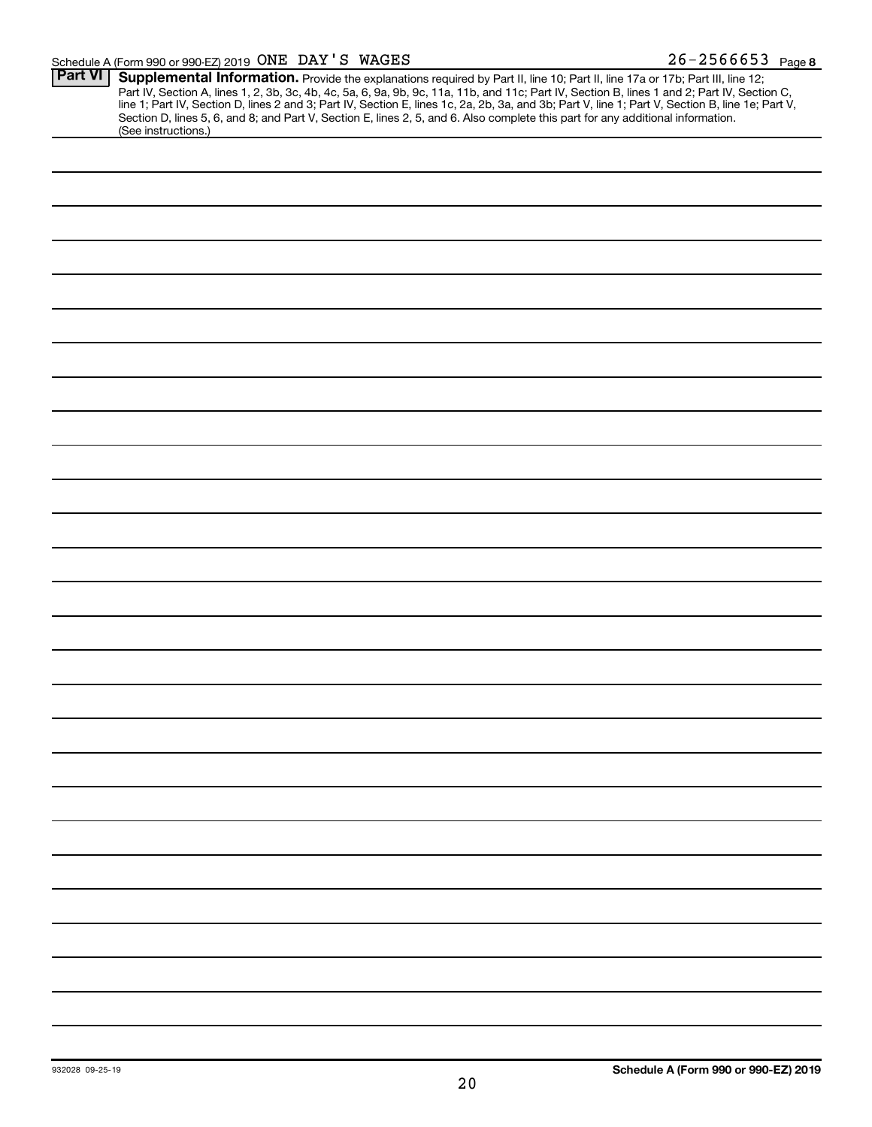#### Schedule A (Form 990 or 990-EZ) 2019 Page ONE DAY'S WAGES 26-2566653

| <b>Part VI</b> | Supplemental Information. Provide the explanations required by Part II, line 10; Part II, line 17a or 17b; Part III, line 12;                    |
|----------------|--------------------------------------------------------------------------------------------------------------------------------------------------|
|                | Part IV, Section A, lines 1, 2, 3b, 3c, 4b, 4c, 5a, 6, 9a, 9b, 9c, 11a, 11b, and 11c; Part IV, Section B, lines 1 and 2; Part IV, Section C,     |
|                | line 1; Part IV, Section D, lines 2 and 3; Part IV, Section E, lines 1c, 2a, 2b, 3a, and 3b; Part V, line 1; Part V, Section B, line 1e; Part V, |
|                | Section D, lines 5, 6, and 8; and Part V, Section E, lines 2, 5, and 6. Also complete this part for any additional information.                  |
|                | (See instructions.)                                                                                                                              |
|                |                                                                                                                                                  |
|                |                                                                                                                                                  |
|                |                                                                                                                                                  |
|                |                                                                                                                                                  |
|                |                                                                                                                                                  |
|                |                                                                                                                                                  |
|                |                                                                                                                                                  |
|                |                                                                                                                                                  |
|                |                                                                                                                                                  |
|                |                                                                                                                                                  |
|                |                                                                                                                                                  |
|                |                                                                                                                                                  |
|                |                                                                                                                                                  |
|                |                                                                                                                                                  |
|                |                                                                                                                                                  |
|                |                                                                                                                                                  |
|                |                                                                                                                                                  |
|                |                                                                                                                                                  |
|                |                                                                                                                                                  |
|                |                                                                                                                                                  |
|                |                                                                                                                                                  |
|                |                                                                                                                                                  |
|                |                                                                                                                                                  |
|                |                                                                                                                                                  |
|                |                                                                                                                                                  |
|                |                                                                                                                                                  |
|                |                                                                                                                                                  |
|                |                                                                                                                                                  |
|                |                                                                                                                                                  |
|                |                                                                                                                                                  |
|                |                                                                                                                                                  |
|                |                                                                                                                                                  |
|                |                                                                                                                                                  |
|                |                                                                                                                                                  |
|                |                                                                                                                                                  |
|                |                                                                                                                                                  |
|                |                                                                                                                                                  |
|                |                                                                                                                                                  |
|                |                                                                                                                                                  |
|                |                                                                                                                                                  |
|                |                                                                                                                                                  |
|                |                                                                                                                                                  |
|                |                                                                                                                                                  |
|                |                                                                                                                                                  |
|                |                                                                                                                                                  |
|                |                                                                                                                                                  |
|                |                                                                                                                                                  |
|                |                                                                                                                                                  |
|                |                                                                                                                                                  |
|                |                                                                                                                                                  |
|                |                                                                                                                                                  |
|                |                                                                                                                                                  |
|                |                                                                                                                                                  |
|                |                                                                                                                                                  |
|                |                                                                                                                                                  |
|                |                                                                                                                                                  |
|                |                                                                                                                                                  |
|                |                                                                                                                                                  |
|                |                                                                                                                                                  |
|                |                                                                                                                                                  |
|                |                                                                                                                                                  |
|                |                                                                                                                                                  |
|                |                                                                                                                                                  |
|                |                                                                                                                                                  |
|                |                                                                                                                                                  |
|                |                                                                                                                                                  |
|                |                                                                                                                                                  |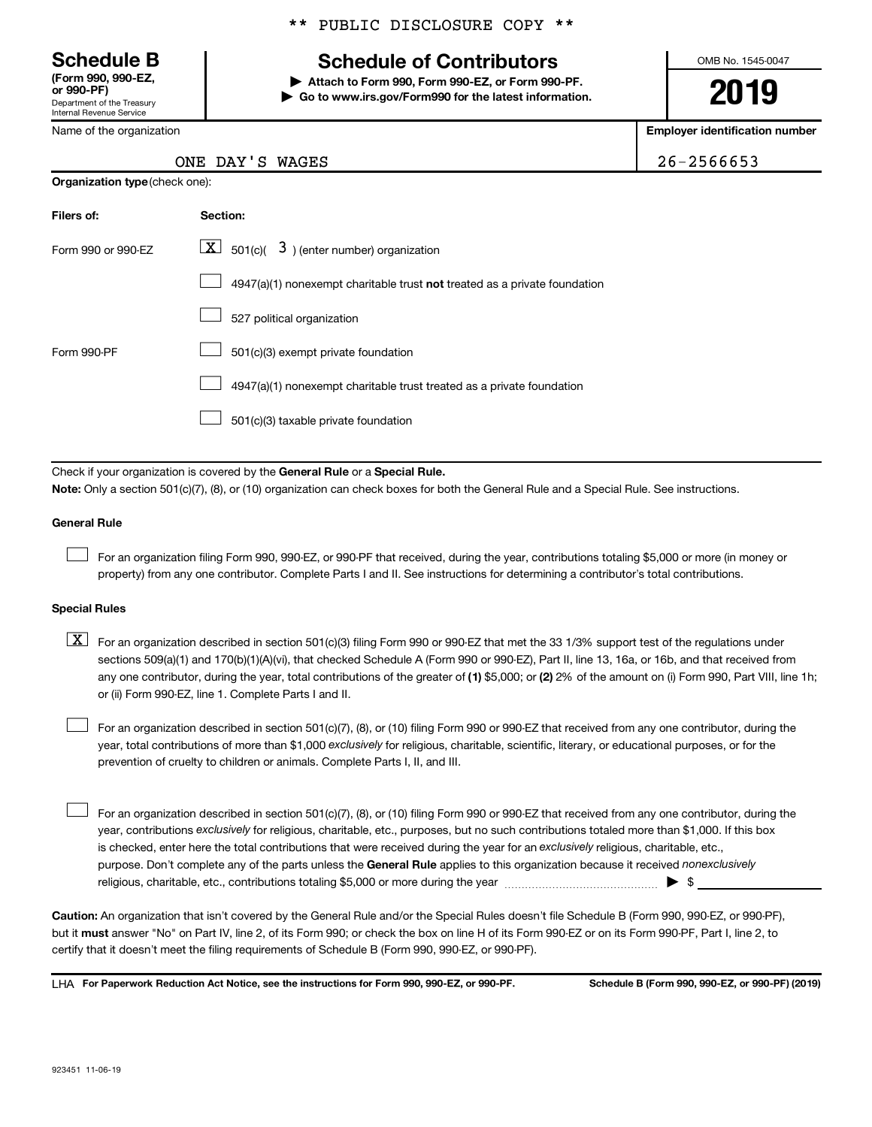Department of the Treasury Internal Revenue Service **(Form 990, 990-EZ,**

Name of the organization

**Organization type** (check one):

### \*\* PUBLIC DISCLOSURE COPY \*\*

## **Schedule B Schedule of Contributors**

**or 990-PF) | Attach to Form 990, Form 990-EZ, or Form 990-PF. | Go to www.irs.gov/Form990 for the latest information.** OMB No. 1545-0047

**2019**

**Employer identification number**

|  | $6 - 2566653$ |
|--|---------------|

| 26-2566653<br>ONE DAY'S WAGES |
|-------------------------------|
|-------------------------------|

| Filers of:         | Section:                                                                           |
|--------------------|------------------------------------------------------------------------------------|
| Form 990 or 990-FZ | $ \mathbf{X} $ 501(c)( 3) (enter number) organization                              |
|                    | $4947(a)(1)$ nonexempt charitable trust <b>not</b> treated as a private foundation |
|                    | 527 political organization                                                         |
| Form 990-PF        | 501(c)(3) exempt private foundation                                                |
|                    | 4947(a)(1) nonexempt charitable trust treated as a private foundation              |
|                    | 501(c)(3) taxable private foundation                                               |

Check if your organization is covered by the General Rule or a Special Rule.

**Note:**  Only a section 501(c)(7), (8), or (10) organization can check boxes for both the General Rule and a Special Rule. See instructions.

#### **General Rule**

 $\Box$ 

For an organization filing Form 990, 990-EZ, or 990-PF that received, during the year, contributions totaling \$5,000 or more (in money or property) from any one contributor. Complete Parts I and II. See instructions for determining a contributor's total contributions.

#### **Special Rules**

any one contributor, during the year, total contributions of the greater of (1) \$5,000; or (2) 2% of the amount on (i) Form 990, Part VIII, line 1h;  $\boxed{\text{X}}$  For an organization described in section 501(c)(3) filing Form 990 or 990-EZ that met the 33 1/3% support test of the regulations under sections 509(a)(1) and 170(b)(1)(A)(vi), that checked Schedule A (Form 990 or 990-EZ), Part II, line 13, 16a, or 16b, and that received from or (ii) Form 990-EZ, line 1. Complete Parts I and II.

year, total contributions of more than \$1,000 *exclusively* for religious, charitable, scientific, literary, or educational purposes, or for the For an organization described in section 501(c)(7), (8), or (10) filing Form 990 or 990-EZ that received from any one contributor, during the prevention of cruelty to children or animals. Complete Parts I, II, and III.  $\Box$ 

purpose. Don't complete any of the parts unless the General Rule applies to this organization because it received nonexclusively year, contributions exclusively for religious, charitable, etc., purposes, but no such contributions totaled more than \$1,000. If this box is checked, enter here the total contributions that were received during the year for an exclusively religious, charitable, etc., For an organization described in section 501(c)(7), (8), or (10) filing Form 990 or 990-EZ that received from any one contributor, during the religious, charitable, etc., contributions totaling \$5,000 or more during the year  $~\ldots\ldots\ldots\ldots\ldots\ldots\ldots\ldots\blacktriangleright~$ \$  $\Box$ 

**Caution:**  An organization that isn't covered by the General Rule and/or the Special Rules doesn't file Schedule B (Form 990, 990-EZ, or 990-PF),  **must** but it answer "No" on Part IV, line 2, of its Form 990; or check the box on line H of its Form 990-EZ or on its Form 990-PF, Part I, line 2, to certify that it doesn't meet the filing requirements of Schedule B (Form 990, 990-EZ, or 990-PF).

**For Paperwork Reduction Act Notice, see the instructions for Form 990, 990-EZ, or 990-PF. Schedule B (Form 990, 990-EZ, or 990-PF) (2019)** LHA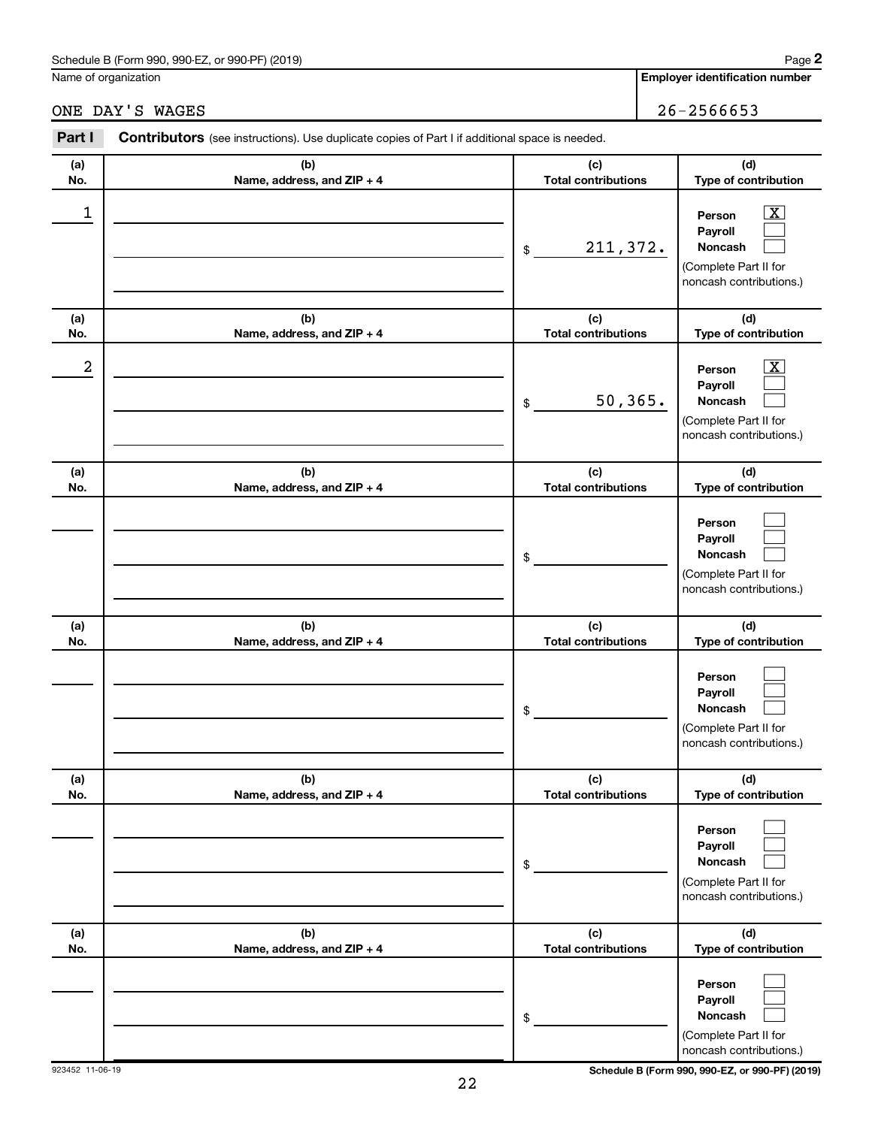### Schedule B (Form 990, 990-EZ, or 990-PF) (2019)

Name of organization

## ONE DAY'S WAGES 26-2566653

| Part I | <b>Contributors</b> (see instructions). Use duplicate copies of Part I if additional space is needed. |                            |                                                                                                                  |
|--------|-------------------------------------------------------------------------------------------------------|----------------------------|------------------------------------------------------------------------------------------------------------------|
| (a)    | (b)                                                                                                   | (c)                        | (d)                                                                                                              |
| No.    | Name, address, and $ZIP + 4$                                                                          | <b>Total contributions</b> | <b>Type of contribution</b>                                                                                      |
|        |                                                                                                       | 211,372.<br>\$             | $\overline{\text{X}}$<br>Person<br>Payroll<br><b>Noncash</b><br>(Complete Part II for<br>noncash contributions.) |
| (a)    | (b)                                                                                                   | (c)                        | (d)                                                                                                              |
| No.    | Name, address, and $ZIP + 4$                                                                          | <b>Total contributions</b> | <b>Type of contribution</b>                                                                                      |

| (a)            | (D)                        | (C)                        | (u)                                                                                          |
|----------------|----------------------------|----------------------------|----------------------------------------------------------------------------------------------|
| No.            | Name, address, and ZIP + 4 | <b>Total contributions</b> | <b>Type of contribution</b>                                                                  |
| $\overline{a}$ |                            | 50, 365.<br>$\$$           | х<br>Person<br>Payroll<br><b>Noncash</b><br>(Complete Part II for<br>noncash contributions.) |
| (a)            | (b)                        | (c)                        | (d)                                                                                          |
| No.            | Name, address, and ZIP + 4 | <b>Total contributions</b> | Type of contribution                                                                         |
|                |                            | \$                         | Person<br>Payroll<br><b>Noncash</b><br>(Complete Part II for<br>noncash contributions.)      |
| (a)            | (b)                        | (c)                        | (d)                                                                                          |
| No.            | Name, address, and ZIP + 4 | <b>Total contributions</b> | Type of contribution                                                                         |
|                |                            | \$                         | Person<br>Payroll<br><b>Noncash</b><br>(Complete Part II for<br>noncash contributions.)      |
| (a)            | (b)                        | (c)                        | (d)                                                                                          |
| No.            | Name, address, and ZIP + 4 | <b>Total contributions</b> | Type of contribution                                                                         |
|                |                            | \$                         | Person<br>Payroll<br>Noncash<br>(Complete Part II for<br>noncash contributions.)             |
| (a)            | (b)                        | (c)                        | (d)                                                                                          |
| No.            | Name, address, and ZIP + 4 | <b>Total contributions</b> | Type of contribution                                                                         |
|                |                            | \$                         | Person<br>Payroll<br><b>Noncash</b><br>(Complete Part II for<br>noncash contributions.)      |

22

923452 11-06-19 **Schedule B (Form 990, 990-EZ, or 990-PF) (2019)**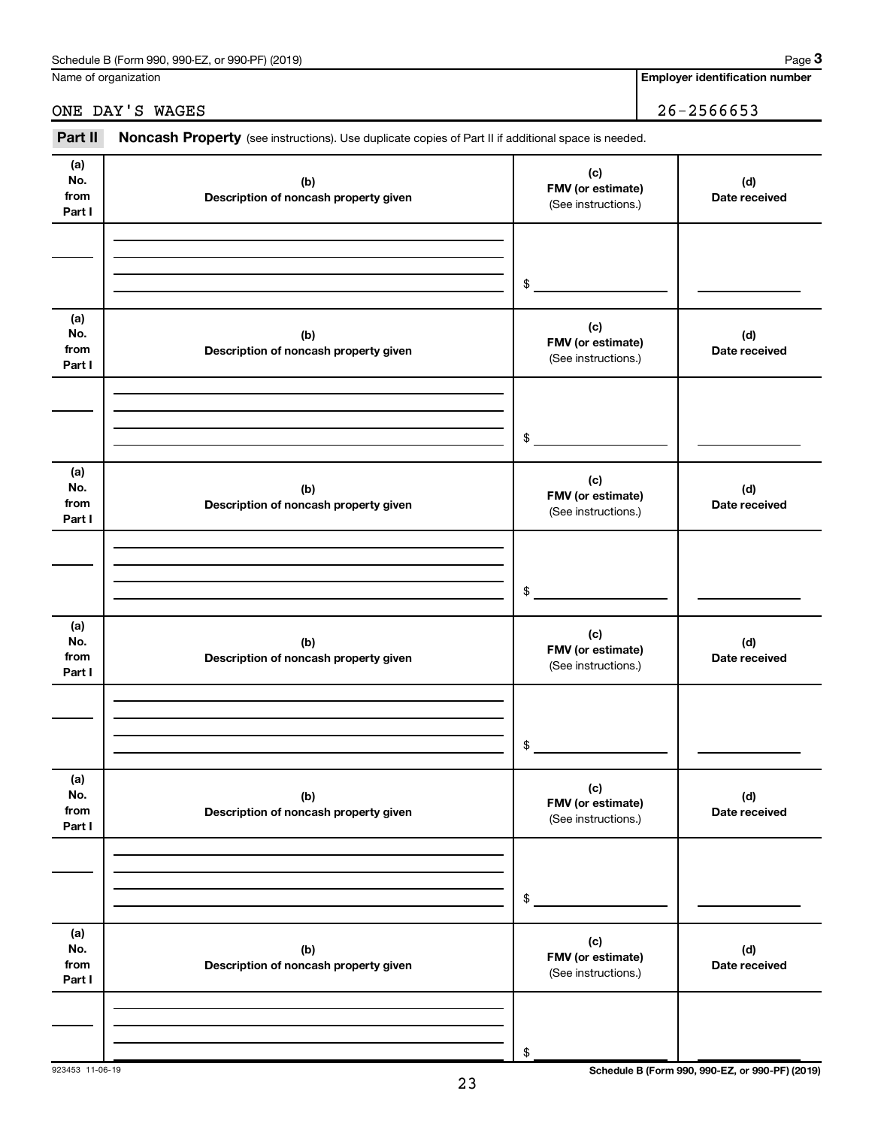| (2019)<br>990-EZ.<br>Schedule<br>. or 990-PF)<br>: B (Form 990. | Paɑe |
|-----------------------------------------------------------------|------|
|                                                                 |      |

Name of organization

**Employer identification number**

ONE DAY'S WAGES 26-2566653

| Part II                      | Noncash Property (see instructions). Use duplicate copies of Part II if additional space is needed. |                                                 |                      |
|------------------------------|-----------------------------------------------------------------------------------------------------|-------------------------------------------------|----------------------|
| (a)<br>No.<br>from<br>Part I | (b)<br>Description of noncash property given                                                        | (c)<br>FMV (or estimate)<br>(See instructions.) | (d)<br>Date received |
|                              |                                                                                                     | \$                                              |                      |
| (a)<br>No.<br>from<br>Part I | (b)<br>Description of noncash property given                                                        | (c)<br>FMV (or estimate)<br>(See instructions.) | (d)<br>Date received |
|                              |                                                                                                     | \$                                              |                      |
| (a)<br>No.<br>from<br>Part I | (b)<br>Description of noncash property given                                                        | (c)<br>FMV (or estimate)<br>(See instructions.) | (d)<br>Date received |
|                              |                                                                                                     | \$                                              |                      |
| (a)<br>No.<br>from<br>Part I | (b)<br>Description of noncash property given                                                        | (c)<br>FMV (or estimate)<br>(See instructions.) | (d)<br>Date received |
|                              |                                                                                                     | \$                                              |                      |
| (a)<br>No.<br>from<br>Part I | (b)<br>Description of noncash property given                                                        | (c)<br>FMV (or estimate)<br>(See instructions.) | (d)<br>Date received |
|                              |                                                                                                     | \$                                              |                      |
| (a)<br>No.<br>from<br>Part I | (b)<br>Description of noncash property given                                                        | (c)<br>FMV (or estimate)<br>(See instructions.) | (d)<br>Date received |
|                              |                                                                                                     | \$                                              |                      |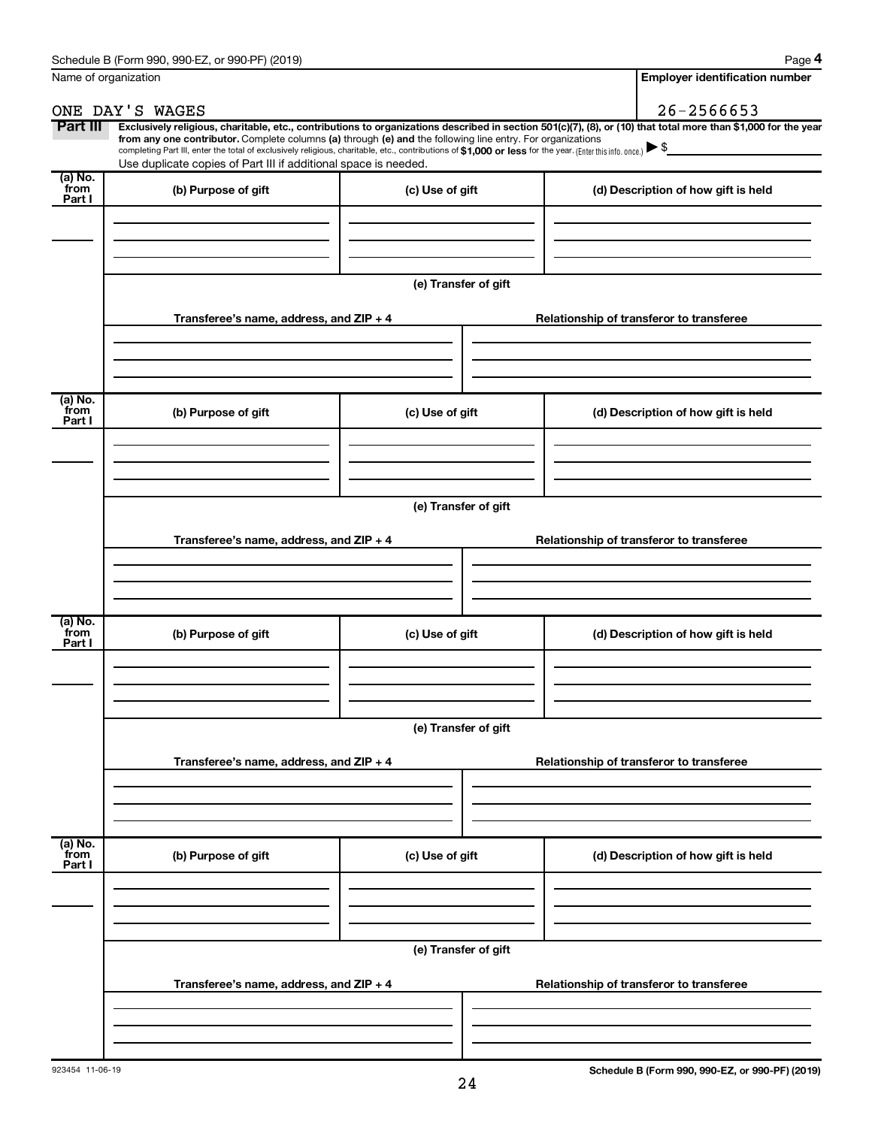| Name of organization      |                                                                                                                                                                                                                                                                                                                                                                                                                                                                                                             | <b>Employer identification number</b> |  |                                          |
|---------------------------|-------------------------------------------------------------------------------------------------------------------------------------------------------------------------------------------------------------------------------------------------------------------------------------------------------------------------------------------------------------------------------------------------------------------------------------------------------------------------------------------------------------|---------------------------------------|--|------------------------------------------|
|                           | ONE DAY'S WAGES                                                                                                                                                                                                                                                                                                                                                                                                                                                                                             |                                       |  | $26 - 2566653$                           |
| Part III                  | Exclusively religious, charitable, etc., contributions to organizations described in section 501(c)(7), (8), or (10) that total more than \$1,000 for the year<br>from any one contributor. Complete columns (a) through (e) and the following line entry. For organizations<br>completing Part III, enter the total of exclusively religious, charitable, etc., contributions of \$1,000 or less for the year. (Enter this info. once.)<br>Use duplicate copies of Part III if additional space is needed. |                                       |  |                                          |
| (a) No.<br>from<br>Part I | (b) Purpose of gift                                                                                                                                                                                                                                                                                                                                                                                                                                                                                         | (c) Use of gift                       |  | (d) Description of how gift is held      |
|                           |                                                                                                                                                                                                                                                                                                                                                                                                                                                                                                             |                                       |  |                                          |
|                           |                                                                                                                                                                                                                                                                                                                                                                                                                                                                                                             | (e) Transfer of gift                  |  |                                          |
|                           | Transferee's name, address, and ZIP + 4                                                                                                                                                                                                                                                                                                                                                                                                                                                                     |                                       |  | Relationship of transferor to transferee |
| (a) No.                   |                                                                                                                                                                                                                                                                                                                                                                                                                                                                                                             |                                       |  |                                          |
| from<br>Part I            | (b) Purpose of gift                                                                                                                                                                                                                                                                                                                                                                                                                                                                                         | (c) Use of gift                       |  | (d) Description of how gift is held      |
|                           |                                                                                                                                                                                                                                                                                                                                                                                                                                                                                                             | (e) Transfer of gift                  |  |                                          |
|                           | Transferee's name, address, and ZIP + 4                                                                                                                                                                                                                                                                                                                                                                                                                                                                     |                                       |  | Relationship of transferor to transferee |
|                           |                                                                                                                                                                                                                                                                                                                                                                                                                                                                                                             |                                       |  |                                          |
| (a) No.<br>from<br>Part I | (b) Purpose of gift                                                                                                                                                                                                                                                                                                                                                                                                                                                                                         | (c) Use of gift                       |  | (d) Description of how gift is held      |
|                           |                                                                                                                                                                                                                                                                                                                                                                                                                                                                                                             |                                       |  |                                          |
|                           |                                                                                                                                                                                                                                                                                                                                                                                                                                                                                                             | (e) Transfer of gift                  |  |                                          |
|                           | Transferee's name, address, and ZIP + 4                                                                                                                                                                                                                                                                                                                                                                                                                                                                     |                                       |  | Relationship of transferor to transferee |
|                           |                                                                                                                                                                                                                                                                                                                                                                                                                                                                                                             |                                       |  |                                          |
| (a) No.<br>from<br>Part I | (b) Purpose of gift                                                                                                                                                                                                                                                                                                                                                                                                                                                                                         | (c) Use of gift                       |  | (d) Description of how gift is held      |
|                           |                                                                                                                                                                                                                                                                                                                                                                                                                                                                                                             |                                       |  |                                          |
|                           |                                                                                                                                                                                                                                                                                                                                                                                                                                                                                                             | (e) Transfer of gift                  |  |                                          |
|                           | Transferee's name, address, and ZIP + 4                                                                                                                                                                                                                                                                                                                                                                                                                                                                     |                                       |  | Relationship of transferor to transferee |
|                           |                                                                                                                                                                                                                                                                                                                                                                                                                                                                                                             |                                       |  |                                          |
|                           |                                                                                                                                                                                                                                                                                                                                                                                                                                                                                                             |                                       |  |                                          |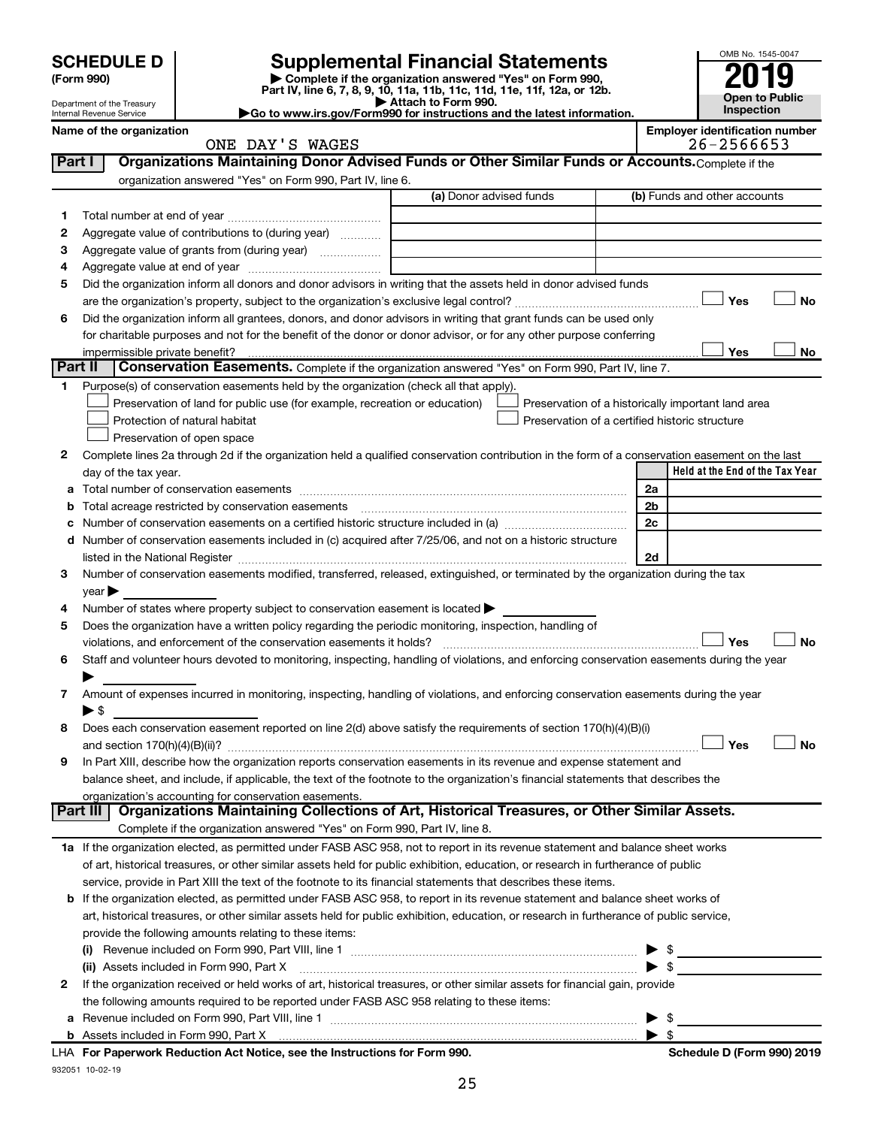| <b>SCHEDULE D</b> |  |
|-------------------|--|
|-------------------|--|

| (Form 990) |  |
|------------|--|
|------------|--|

# **SCHEDULE D Supplemental Financial Statements**<br> **Form 990 2019**<br> **Part IV** line 6.7.8.9.10, 11a, 11b, 11d, 11d, 11d, 11d, 11d, 12a, 0r, 12b

**(Form 990) | Complete if the organization answered "Yes" on Form 990, Part IV, line 6, 7, 8, 9, 10, 11a, 11b, 11c, 11d, 11e, 11f, 12a, or 12b.**

**| Attach to Form 990. |Go to www.irs.gov/Form990 for instructions and the latest information.**



Department of the Treasury Internal Revenue Service **Name of the organization <b>Employer is a set of the organization Employer in the organization Employer is a set of the organization Employer in the organization Employer is a set of the organization Employer in t** 

| ployer identification number |                                  |  |  |  |  |  |
|------------------------------|----------------------------------|--|--|--|--|--|
|                              | $\begin{array}{c} \n\end{array}$ |  |  |  |  |  |

|         | ONE DAY'S WAGES                                                                                                                                |                         | 26-2566653                                         |
|---------|------------------------------------------------------------------------------------------------------------------------------------------------|-------------------------|----------------------------------------------------|
| Part I  | Organizations Maintaining Donor Advised Funds or Other Similar Funds or Accounts. Complete if the                                              |                         |                                                    |
|         | organization answered "Yes" on Form 990, Part IV, line 6.                                                                                      |                         |                                                    |
|         |                                                                                                                                                | (a) Donor advised funds | (b) Funds and other accounts                       |
| 1       |                                                                                                                                                |                         |                                                    |
| 2       | Aggregate value of contributions to (during year)                                                                                              |                         |                                                    |
| З       | Aggregate value of grants from (during year)                                                                                                   |                         |                                                    |
| 4       |                                                                                                                                                |                         |                                                    |
| 5       | Did the organization inform all donors and donor advisors in writing that the assets held in donor advised funds                               |                         |                                                    |
|         |                                                                                                                                                |                         | Yes<br>No                                          |
|         |                                                                                                                                                |                         |                                                    |
| 6       | Did the organization inform all grantees, donors, and donor advisors in writing that grant funds can be used only                              |                         |                                                    |
|         | for charitable purposes and not for the benefit of the donor or donor advisor, or for any other purpose conferring                             |                         |                                                    |
|         |                                                                                                                                                |                         | Yes<br>No                                          |
| Part II | <b>Conservation Easements.</b> Complete if the organization answered "Yes" on Form 990, Part IV, line 7.                                       |                         |                                                    |
| 1.      | Purpose(s) of conservation easements held by the organization (check all that apply).                                                          |                         |                                                    |
|         | Preservation of land for public use (for example, recreation or education)                                                                     |                         | Preservation of a historically important land area |
|         | Protection of natural habitat                                                                                                                  |                         | Preservation of a certified historic structure     |
|         | Preservation of open space                                                                                                                     |                         |                                                    |
| 2       | Complete lines 2a through 2d if the organization held a qualified conservation contribution in the form of a conservation easement on the last |                         |                                                    |
|         | day of the tax year.                                                                                                                           |                         | Held at the End of the Tax Year                    |
| а       |                                                                                                                                                |                         | 2a                                                 |
| b       |                                                                                                                                                |                         | 2b                                                 |
|         |                                                                                                                                                |                         | 2c                                                 |
| d       | Number of conservation easements included in (c) acquired after 7/25/06, and not on a historic structure                                       |                         |                                                    |
|         | listed in the National Register [111] [12] The Marian Marian Marian Marian Marian Marian Marian Marian Marian M                                |                         | 2d                                                 |
| 3       | Number of conservation easements modified, transferred, released, extinguished, or terminated by the organization during the tax               |                         |                                                    |
|         | $year \blacktriangleright$                                                                                                                     |                         |                                                    |
| 4       | Number of states where property subject to conservation easement is located >                                                                  |                         |                                                    |
| 5       | Does the organization have a written policy regarding the periodic monitoring, inspection, handling of                                         |                         |                                                    |
|         | violations, and enforcement of the conservation easements it holds?                                                                            |                         | Yes<br>No                                          |
| 6       | Staff and volunteer hours devoted to monitoring, inspecting, handling of violations, and enforcing conservation easements during the year      |                         |                                                    |
|         |                                                                                                                                                |                         |                                                    |
| 7       | Amount of expenses incurred in monitoring, inspecting, handling of violations, and enforcing conservation easements during the year            |                         |                                                    |
|         | $\blacktriangleright$ \$                                                                                                                       |                         |                                                    |
| 8       | Does each conservation easement reported on line 2(d) above satisfy the requirements of section 170(h)(4)(B)(i)                                |                         |                                                    |
|         |                                                                                                                                                |                         | Yes<br>No                                          |
| 9       | In Part XIII, describe how the organization reports conservation easements in its revenue and expense statement and                            |                         |                                                    |
|         | balance sheet, and include, if applicable, the text of the footnote to the organization's financial statements that describes the              |                         |                                                    |
|         | organization's accounting for conservation easements.                                                                                          |                         |                                                    |
|         | Organizations Maintaining Collections of Art, Historical Treasures, or Other Similar Assets.<br>Part III                                       |                         |                                                    |
|         | Complete if the organization answered "Yes" on Form 990, Part IV, line 8.                                                                      |                         |                                                    |
|         | 1a If the organization elected, as permitted under FASB ASC 958, not to report in its revenue statement and balance sheet works                |                         |                                                    |
|         | of art, historical treasures, or other similar assets held for public exhibition, education, or research in furtherance of public              |                         |                                                    |
|         | service, provide in Part XIII the text of the footnote to its financial statements that describes these items.                                 |                         |                                                    |
|         | <b>b</b> If the organization elected, as permitted under FASB ASC 958, to report in its revenue statement and balance sheet works of           |                         |                                                    |
|         | art, historical treasures, or other similar assets held for public exhibition, education, or research in furtherance of public service,        |                         |                                                    |
|         |                                                                                                                                                |                         |                                                    |
|         | provide the following amounts relating to these items:                                                                                         |                         |                                                    |
|         |                                                                                                                                                |                         | $\frac{1}{2}$                                      |
|         | (ii) Assets included in Form 990, Part X                                                                                                       |                         | $\blacktriangleright$ \$                           |
| 2       | If the organization received or held works of art, historical treasures, or other similar assets for financial gain, provide                   |                         |                                                    |
|         | the following amounts required to be reported under FASB ASC 958 relating to these items:                                                      |                         |                                                    |
| а       |                                                                                                                                                |                         | - \$                                               |
|         |                                                                                                                                                |                         | $\blacktriangleright$ s                            |

932051 10-02-19 **For Paperwork Reduction Act Notice, see the Instructions for Form 990. Schedule D (Form 990) 2019** LHA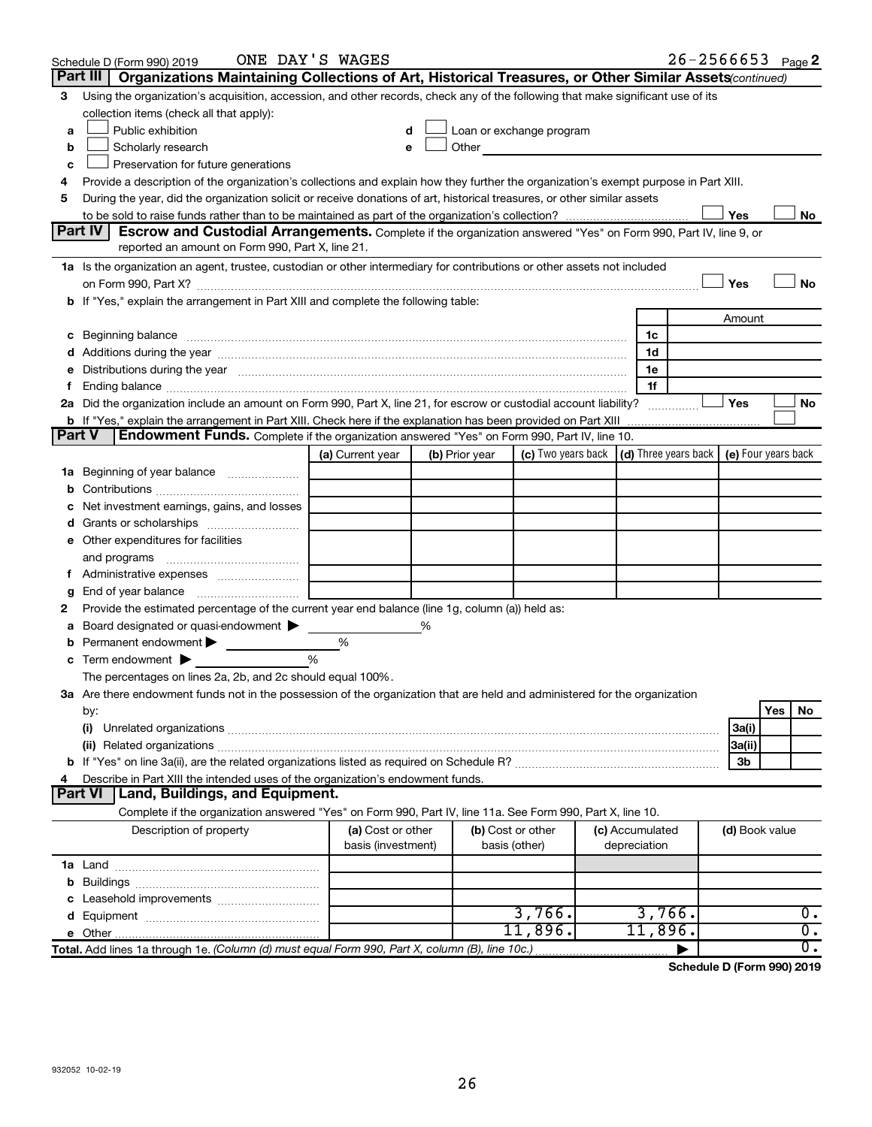| Part III  <br>Organizations Maintaining Collections of Art, Historical Treasures, or Other Similar Assets (continued)<br>Using the organization's acquisition, accession, and other records, check any of the following that make significant use of its<br>3<br>collection items (check all that apply):<br>Public exhibition<br>Loan or exchange program<br>a<br>Other and the contract of the contract of the contract of the contract of the contract of the contract of the contract of the contract of the contract of the contract of the contract of the contract of the contract of the<br>Scholarly research<br>b<br>Preservation for future generations<br>с<br>Provide a description of the organization's collections and explain how they further the organization's exempt purpose in Part XIII.<br>4<br>During the year, did the organization solicit or receive donations of art, historical treasures, or other similar assets<br>5<br>Yes<br>No<br>Part IV<br><b>Escrow and Custodial Arrangements.</b> Complete if the organization answered "Yes" on Form 990, Part IV, line 9, or<br>reported an amount on Form 990, Part X, line 21.<br>1a Is the organization an agent, trustee, custodian or other intermediary for contributions or other assets not included<br>Yes<br>No<br>on Form 990, Part X? [11] matter contracts and contracts and contracts are contracted and contracts are contracted and contract and contract of the set of the set of the set of the set of the set of the set of the set of t<br>b If "Yes," explain the arrangement in Part XIII and complete the following table:<br>Amount<br>c Beginning balance <b>communications</b> and the contract of the contract of the contract of the contract of the contract of the contract of the contract of the contract of the contract of the contract of the contract of the c<br>1c<br>1d<br>e Distributions during the year manufactured and continuum control of the control of the control of the set of<br>1e<br>1f<br>f Ending balance measurements and the contract of the contract of the contract of the contract of the contract of the contract of the contract of the contract of the contract of the contract of the contract of the contract<br>2a Did the organization include an amount on Form 990, Part X, line 21, for escrow or custodial account liability?<br>∣ Yes<br>No<br>b If "Yes," explain the arrangement in Part XIII. Check here if the explanation has been provided on Part XIII <i>mummumumum</i><br>Endowment Funds. Complete if the organization answered "Yes" on Form 990, Part IV, line 10.<br><b>Part V</b><br>(c) Two years back $\vert$ (d) Three years back $\vert$ (e) Four years back<br>(a) Current year<br>(b) Prior year<br>1a Beginning of year balance<br>b<br>Net investment earnings, gains, and losses<br>e Other expenditures for facilities<br>f Administrative expenses<br>g<br>Provide the estimated percentage of the current year end balance (line 1g, column (a)) held as:<br>2<br>Board designated or quasi-endowment<br>%<br>а<br><b>b</b> Permanent endowment $\blacktriangleright$<br>%<br>$\frac{0}{0}$<br>$\mathbf c$ Term endowment $\blacktriangleright$<br>The percentages on lines 2a, 2b, and 2c should equal 100%.<br>3a Are there endowment funds not in the possession of the organization that are held and administered for the organization<br>Yes<br>No<br>by:<br>3a(i)<br>(i)<br>3a(ii)<br>3b<br>Describe in Part XIII the intended uses of the organization's endowment funds.<br>4<br>Land, Buildings, and Equipment.<br><b>Part VI</b><br>Complete if the organization answered "Yes" on Form 990, Part IV, line 11a. See Form 990, Part X, line 10.<br>Description of property<br>(a) Cost or other<br>(b) Cost or other<br>(c) Accumulated<br>(d) Book value<br>basis (investment)<br>depreciation<br>basis (other)<br>b<br>3,766.<br>3,766.<br>0.<br>11,896.<br>$\overline{0}$ .<br>11,896.<br>$\overline{0}$ .<br>Total. Add lines 1a through 1e. (Column (d) must equal Form 990, Part X, column (B), line 10c.) | Schedule D (Form 990) 2019 | ONE DAY'S WAGES |  |  |  | $26 - 2566653$ Page 2 |
|---------------------------------------------------------------------------------------------------------------------------------------------------------------------------------------------------------------------------------------------------------------------------------------------------------------------------------------------------------------------------------------------------------------------------------------------------------------------------------------------------------------------------------------------------------------------------------------------------------------------------------------------------------------------------------------------------------------------------------------------------------------------------------------------------------------------------------------------------------------------------------------------------------------------------------------------------------------------------------------------------------------------------------------------------------------------------------------------------------------------------------------------------------------------------------------------------------------------------------------------------------------------------------------------------------------------------------------------------------------------------------------------------------------------------------------------------------------------------------------------------------------------------------------------------------------------------------------------------------------------------------------------------------------------------------------------------------------------------------------------------------------------------------------------------------------------------------------------------------------------------------------------------------------------------------------------------------------------------------------------------------------------------------------------------------------------------------------------------------------------------------------------------------------------------------------------------------------------------------------------------------------------------------------------------------------------------------------------------------------------------------------------------------------------------------------------------------------------------------------------------------------------------------------------------------------------------------------------------------------------------------------------------------------------------------------------------------------------------------------------------------------------------------------------------------------------------------------------------------------------------------------------------------------------------------------------------------------------------------------------------------------------------------------------------------------------------------------------------------------------------------------------------------------------------------------------------------------------------------------------------------------------------------------------------------------------------------------------------------------------------------------------------------------------------------------------------------------------------------------------------------------------------------------------------------------------------------------------------------------------------------------------------------------------------------------------------------------------------------------------------------------------------------------------------------------------------------------------------------------------------------------------------------------------------------------------------------------------------------------------------------------------------------------------------------------------------------------------------------|----------------------------|-----------------|--|--|--|-----------------------|
|                                                                                                                                                                                                                                                                                                                                                                                                                                                                                                                                                                                                                                                                                                                                                                                                                                                                                                                                                                                                                                                                                                                                                                                                                                                                                                                                                                                                                                                                                                                                                                                                                                                                                                                                                                                                                                                                                                                                                                                                                                                                                                                                                                                                                                                                                                                                                                                                                                                                                                                                                                                                                                                                                                                                                                                                                                                                                                                                                                                                                                                                                                                                                                                                                                                                                                                                                                                                                                                                                                                                                                                                                                                                                                                                                                                                                                                                                                                                                                                                                                                                                                         |                            |                 |  |  |  |                       |
|                                                                                                                                                                                                                                                                                                                                                                                                                                                                                                                                                                                                                                                                                                                                                                                                                                                                                                                                                                                                                                                                                                                                                                                                                                                                                                                                                                                                                                                                                                                                                                                                                                                                                                                                                                                                                                                                                                                                                                                                                                                                                                                                                                                                                                                                                                                                                                                                                                                                                                                                                                                                                                                                                                                                                                                                                                                                                                                                                                                                                                                                                                                                                                                                                                                                                                                                                                                                                                                                                                                                                                                                                                                                                                                                                                                                                                                                                                                                                                                                                                                                                                         |                            |                 |  |  |  |                       |
|                                                                                                                                                                                                                                                                                                                                                                                                                                                                                                                                                                                                                                                                                                                                                                                                                                                                                                                                                                                                                                                                                                                                                                                                                                                                                                                                                                                                                                                                                                                                                                                                                                                                                                                                                                                                                                                                                                                                                                                                                                                                                                                                                                                                                                                                                                                                                                                                                                                                                                                                                                                                                                                                                                                                                                                                                                                                                                                                                                                                                                                                                                                                                                                                                                                                                                                                                                                                                                                                                                                                                                                                                                                                                                                                                                                                                                                                                                                                                                                                                                                                                                         |                            |                 |  |  |  |                       |
|                                                                                                                                                                                                                                                                                                                                                                                                                                                                                                                                                                                                                                                                                                                                                                                                                                                                                                                                                                                                                                                                                                                                                                                                                                                                                                                                                                                                                                                                                                                                                                                                                                                                                                                                                                                                                                                                                                                                                                                                                                                                                                                                                                                                                                                                                                                                                                                                                                                                                                                                                                                                                                                                                                                                                                                                                                                                                                                                                                                                                                                                                                                                                                                                                                                                                                                                                                                                                                                                                                                                                                                                                                                                                                                                                                                                                                                                                                                                                                                                                                                                                                         |                            |                 |  |  |  |                       |
|                                                                                                                                                                                                                                                                                                                                                                                                                                                                                                                                                                                                                                                                                                                                                                                                                                                                                                                                                                                                                                                                                                                                                                                                                                                                                                                                                                                                                                                                                                                                                                                                                                                                                                                                                                                                                                                                                                                                                                                                                                                                                                                                                                                                                                                                                                                                                                                                                                                                                                                                                                                                                                                                                                                                                                                                                                                                                                                                                                                                                                                                                                                                                                                                                                                                                                                                                                                                                                                                                                                                                                                                                                                                                                                                                                                                                                                                                                                                                                                                                                                                                                         |                            |                 |  |  |  |                       |
|                                                                                                                                                                                                                                                                                                                                                                                                                                                                                                                                                                                                                                                                                                                                                                                                                                                                                                                                                                                                                                                                                                                                                                                                                                                                                                                                                                                                                                                                                                                                                                                                                                                                                                                                                                                                                                                                                                                                                                                                                                                                                                                                                                                                                                                                                                                                                                                                                                                                                                                                                                                                                                                                                                                                                                                                                                                                                                                                                                                                                                                                                                                                                                                                                                                                                                                                                                                                                                                                                                                                                                                                                                                                                                                                                                                                                                                                                                                                                                                                                                                                                                         |                            |                 |  |  |  |                       |
|                                                                                                                                                                                                                                                                                                                                                                                                                                                                                                                                                                                                                                                                                                                                                                                                                                                                                                                                                                                                                                                                                                                                                                                                                                                                                                                                                                                                                                                                                                                                                                                                                                                                                                                                                                                                                                                                                                                                                                                                                                                                                                                                                                                                                                                                                                                                                                                                                                                                                                                                                                                                                                                                                                                                                                                                                                                                                                                                                                                                                                                                                                                                                                                                                                                                                                                                                                                                                                                                                                                                                                                                                                                                                                                                                                                                                                                                                                                                                                                                                                                                                                         |                            |                 |  |  |  |                       |
|                                                                                                                                                                                                                                                                                                                                                                                                                                                                                                                                                                                                                                                                                                                                                                                                                                                                                                                                                                                                                                                                                                                                                                                                                                                                                                                                                                                                                                                                                                                                                                                                                                                                                                                                                                                                                                                                                                                                                                                                                                                                                                                                                                                                                                                                                                                                                                                                                                                                                                                                                                                                                                                                                                                                                                                                                                                                                                                                                                                                                                                                                                                                                                                                                                                                                                                                                                                                                                                                                                                                                                                                                                                                                                                                                                                                                                                                                                                                                                                                                                                                                                         |                            |                 |  |  |  |                       |
|                                                                                                                                                                                                                                                                                                                                                                                                                                                                                                                                                                                                                                                                                                                                                                                                                                                                                                                                                                                                                                                                                                                                                                                                                                                                                                                                                                                                                                                                                                                                                                                                                                                                                                                                                                                                                                                                                                                                                                                                                                                                                                                                                                                                                                                                                                                                                                                                                                                                                                                                                                                                                                                                                                                                                                                                                                                                                                                                                                                                                                                                                                                                                                                                                                                                                                                                                                                                                                                                                                                                                                                                                                                                                                                                                                                                                                                                                                                                                                                                                                                                                                         |                            |                 |  |  |  |                       |
|                                                                                                                                                                                                                                                                                                                                                                                                                                                                                                                                                                                                                                                                                                                                                                                                                                                                                                                                                                                                                                                                                                                                                                                                                                                                                                                                                                                                                                                                                                                                                                                                                                                                                                                                                                                                                                                                                                                                                                                                                                                                                                                                                                                                                                                                                                                                                                                                                                                                                                                                                                                                                                                                                                                                                                                                                                                                                                                                                                                                                                                                                                                                                                                                                                                                                                                                                                                                                                                                                                                                                                                                                                                                                                                                                                                                                                                                                                                                                                                                                                                                                                         |                            |                 |  |  |  |                       |
|                                                                                                                                                                                                                                                                                                                                                                                                                                                                                                                                                                                                                                                                                                                                                                                                                                                                                                                                                                                                                                                                                                                                                                                                                                                                                                                                                                                                                                                                                                                                                                                                                                                                                                                                                                                                                                                                                                                                                                                                                                                                                                                                                                                                                                                                                                                                                                                                                                                                                                                                                                                                                                                                                                                                                                                                                                                                                                                                                                                                                                                                                                                                                                                                                                                                                                                                                                                                                                                                                                                                                                                                                                                                                                                                                                                                                                                                                                                                                                                                                                                                                                         |                            |                 |  |  |  |                       |
|                                                                                                                                                                                                                                                                                                                                                                                                                                                                                                                                                                                                                                                                                                                                                                                                                                                                                                                                                                                                                                                                                                                                                                                                                                                                                                                                                                                                                                                                                                                                                                                                                                                                                                                                                                                                                                                                                                                                                                                                                                                                                                                                                                                                                                                                                                                                                                                                                                                                                                                                                                                                                                                                                                                                                                                                                                                                                                                                                                                                                                                                                                                                                                                                                                                                                                                                                                                                                                                                                                                                                                                                                                                                                                                                                                                                                                                                                                                                                                                                                                                                                                         |                            |                 |  |  |  |                       |
|                                                                                                                                                                                                                                                                                                                                                                                                                                                                                                                                                                                                                                                                                                                                                                                                                                                                                                                                                                                                                                                                                                                                                                                                                                                                                                                                                                                                                                                                                                                                                                                                                                                                                                                                                                                                                                                                                                                                                                                                                                                                                                                                                                                                                                                                                                                                                                                                                                                                                                                                                                                                                                                                                                                                                                                                                                                                                                                                                                                                                                                                                                                                                                                                                                                                                                                                                                                                                                                                                                                                                                                                                                                                                                                                                                                                                                                                                                                                                                                                                                                                                                         |                            |                 |  |  |  |                       |
|                                                                                                                                                                                                                                                                                                                                                                                                                                                                                                                                                                                                                                                                                                                                                                                                                                                                                                                                                                                                                                                                                                                                                                                                                                                                                                                                                                                                                                                                                                                                                                                                                                                                                                                                                                                                                                                                                                                                                                                                                                                                                                                                                                                                                                                                                                                                                                                                                                                                                                                                                                                                                                                                                                                                                                                                                                                                                                                                                                                                                                                                                                                                                                                                                                                                                                                                                                                                                                                                                                                                                                                                                                                                                                                                                                                                                                                                                                                                                                                                                                                                                                         |                            |                 |  |  |  |                       |
|                                                                                                                                                                                                                                                                                                                                                                                                                                                                                                                                                                                                                                                                                                                                                                                                                                                                                                                                                                                                                                                                                                                                                                                                                                                                                                                                                                                                                                                                                                                                                                                                                                                                                                                                                                                                                                                                                                                                                                                                                                                                                                                                                                                                                                                                                                                                                                                                                                                                                                                                                                                                                                                                                                                                                                                                                                                                                                                                                                                                                                                                                                                                                                                                                                                                                                                                                                                                                                                                                                                                                                                                                                                                                                                                                                                                                                                                                                                                                                                                                                                                                                         |                            |                 |  |  |  |                       |
|                                                                                                                                                                                                                                                                                                                                                                                                                                                                                                                                                                                                                                                                                                                                                                                                                                                                                                                                                                                                                                                                                                                                                                                                                                                                                                                                                                                                                                                                                                                                                                                                                                                                                                                                                                                                                                                                                                                                                                                                                                                                                                                                                                                                                                                                                                                                                                                                                                                                                                                                                                                                                                                                                                                                                                                                                                                                                                                                                                                                                                                                                                                                                                                                                                                                                                                                                                                                                                                                                                                                                                                                                                                                                                                                                                                                                                                                                                                                                                                                                                                                                                         |                            |                 |  |  |  |                       |
|                                                                                                                                                                                                                                                                                                                                                                                                                                                                                                                                                                                                                                                                                                                                                                                                                                                                                                                                                                                                                                                                                                                                                                                                                                                                                                                                                                                                                                                                                                                                                                                                                                                                                                                                                                                                                                                                                                                                                                                                                                                                                                                                                                                                                                                                                                                                                                                                                                                                                                                                                                                                                                                                                                                                                                                                                                                                                                                                                                                                                                                                                                                                                                                                                                                                                                                                                                                                                                                                                                                                                                                                                                                                                                                                                                                                                                                                                                                                                                                                                                                                                                         |                            |                 |  |  |  |                       |
|                                                                                                                                                                                                                                                                                                                                                                                                                                                                                                                                                                                                                                                                                                                                                                                                                                                                                                                                                                                                                                                                                                                                                                                                                                                                                                                                                                                                                                                                                                                                                                                                                                                                                                                                                                                                                                                                                                                                                                                                                                                                                                                                                                                                                                                                                                                                                                                                                                                                                                                                                                                                                                                                                                                                                                                                                                                                                                                                                                                                                                                                                                                                                                                                                                                                                                                                                                                                                                                                                                                                                                                                                                                                                                                                                                                                                                                                                                                                                                                                                                                                                                         |                            |                 |  |  |  |                       |
|                                                                                                                                                                                                                                                                                                                                                                                                                                                                                                                                                                                                                                                                                                                                                                                                                                                                                                                                                                                                                                                                                                                                                                                                                                                                                                                                                                                                                                                                                                                                                                                                                                                                                                                                                                                                                                                                                                                                                                                                                                                                                                                                                                                                                                                                                                                                                                                                                                                                                                                                                                                                                                                                                                                                                                                                                                                                                                                                                                                                                                                                                                                                                                                                                                                                                                                                                                                                                                                                                                                                                                                                                                                                                                                                                                                                                                                                                                                                                                                                                                                                                                         |                            |                 |  |  |  |                       |
|                                                                                                                                                                                                                                                                                                                                                                                                                                                                                                                                                                                                                                                                                                                                                                                                                                                                                                                                                                                                                                                                                                                                                                                                                                                                                                                                                                                                                                                                                                                                                                                                                                                                                                                                                                                                                                                                                                                                                                                                                                                                                                                                                                                                                                                                                                                                                                                                                                                                                                                                                                                                                                                                                                                                                                                                                                                                                                                                                                                                                                                                                                                                                                                                                                                                                                                                                                                                                                                                                                                                                                                                                                                                                                                                                                                                                                                                                                                                                                                                                                                                                                         |                            |                 |  |  |  |                       |
|                                                                                                                                                                                                                                                                                                                                                                                                                                                                                                                                                                                                                                                                                                                                                                                                                                                                                                                                                                                                                                                                                                                                                                                                                                                                                                                                                                                                                                                                                                                                                                                                                                                                                                                                                                                                                                                                                                                                                                                                                                                                                                                                                                                                                                                                                                                                                                                                                                                                                                                                                                                                                                                                                                                                                                                                                                                                                                                                                                                                                                                                                                                                                                                                                                                                                                                                                                                                                                                                                                                                                                                                                                                                                                                                                                                                                                                                                                                                                                                                                                                                                                         |                            |                 |  |  |  |                       |
|                                                                                                                                                                                                                                                                                                                                                                                                                                                                                                                                                                                                                                                                                                                                                                                                                                                                                                                                                                                                                                                                                                                                                                                                                                                                                                                                                                                                                                                                                                                                                                                                                                                                                                                                                                                                                                                                                                                                                                                                                                                                                                                                                                                                                                                                                                                                                                                                                                                                                                                                                                                                                                                                                                                                                                                                                                                                                                                                                                                                                                                                                                                                                                                                                                                                                                                                                                                                                                                                                                                                                                                                                                                                                                                                                                                                                                                                                                                                                                                                                                                                                                         |                            |                 |  |  |  |                       |
|                                                                                                                                                                                                                                                                                                                                                                                                                                                                                                                                                                                                                                                                                                                                                                                                                                                                                                                                                                                                                                                                                                                                                                                                                                                                                                                                                                                                                                                                                                                                                                                                                                                                                                                                                                                                                                                                                                                                                                                                                                                                                                                                                                                                                                                                                                                                                                                                                                                                                                                                                                                                                                                                                                                                                                                                                                                                                                                                                                                                                                                                                                                                                                                                                                                                                                                                                                                                                                                                                                                                                                                                                                                                                                                                                                                                                                                                                                                                                                                                                                                                                                         |                            |                 |  |  |  |                       |
|                                                                                                                                                                                                                                                                                                                                                                                                                                                                                                                                                                                                                                                                                                                                                                                                                                                                                                                                                                                                                                                                                                                                                                                                                                                                                                                                                                                                                                                                                                                                                                                                                                                                                                                                                                                                                                                                                                                                                                                                                                                                                                                                                                                                                                                                                                                                                                                                                                                                                                                                                                                                                                                                                                                                                                                                                                                                                                                                                                                                                                                                                                                                                                                                                                                                                                                                                                                                                                                                                                                                                                                                                                                                                                                                                                                                                                                                                                                                                                                                                                                                                                         |                            |                 |  |  |  |                       |
|                                                                                                                                                                                                                                                                                                                                                                                                                                                                                                                                                                                                                                                                                                                                                                                                                                                                                                                                                                                                                                                                                                                                                                                                                                                                                                                                                                                                                                                                                                                                                                                                                                                                                                                                                                                                                                                                                                                                                                                                                                                                                                                                                                                                                                                                                                                                                                                                                                                                                                                                                                                                                                                                                                                                                                                                                                                                                                                                                                                                                                                                                                                                                                                                                                                                                                                                                                                                                                                                                                                                                                                                                                                                                                                                                                                                                                                                                                                                                                                                                                                                                                         |                            |                 |  |  |  |                       |
|                                                                                                                                                                                                                                                                                                                                                                                                                                                                                                                                                                                                                                                                                                                                                                                                                                                                                                                                                                                                                                                                                                                                                                                                                                                                                                                                                                                                                                                                                                                                                                                                                                                                                                                                                                                                                                                                                                                                                                                                                                                                                                                                                                                                                                                                                                                                                                                                                                                                                                                                                                                                                                                                                                                                                                                                                                                                                                                                                                                                                                                                                                                                                                                                                                                                                                                                                                                                                                                                                                                                                                                                                                                                                                                                                                                                                                                                                                                                                                                                                                                                                                         |                            |                 |  |  |  |                       |
|                                                                                                                                                                                                                                                                                                                                                                                                                                                                                                                                                                                                                                                                                                                                                                                                                                                                                                                                                                                                                                                                                                                                                                                                                                                                                                                                                                                                                                                                                                                                                                                                                                                                                                                                                                                                                                                                                                                                                                                                                                                                                                                                                                                                                                                                                                                                                                                                                                                                                                                                                                                                                                                                                                                                                                                                                                                                                                                                                                                                                                                                                                                                                                                                                                                                                                                                                                                                                                                                                                                                                                                                                                                                                                                                                                                                                                                                                                                                                                                                                                                                                                         |                            |                 |  |  |  |                       |
|                                                                                                                                                                                                                                                                                                                                                                                                                                                                                                                                                                                                                                                                                                                                                                                                                                                                                                                                                                                                                                                                                                                                                                                                                                                                                                                                                                                                                                                                                                                                                                                                                                                                                                                                                                                                                                                                                                                                                                                                                                                                                                                                                                                                                                                                                                                                                                                                                                                                                                                                                                                                                                                                                                                                                                                                                                                                                                                                                                                                                                                                                                                                                                                                                                                                                                                                                                                                                                                                                                                                                                                                                                                                                                                                                                                                                                                                                                                                                                                                                                                                                                         |                            |                 |  |  |  |                       |
|                                                                                                                                                                                                                                                                                                                                                                                                                                                                                                                                                                                                                                                                                                                                                                                                                                                                                                                                                                                                                                                                                                                                                                                                                                                                                                                                                                                                                                                                                                                                                                                                                                                                                                                                                                                                                                                                                                                                                                                                                                                                                                                                                                                                                                                                                                                                                                                                                                                                                                                                                                                                                                                                                                                                                                                                                                                                                                                                                                                                                                                                                                                                                                                                                                                                                                                                                                                                                                                                                                                                                                                                                                                                                                                                                                                                                                                                                                                                                                                                                                                                                                         |                            |                 |  |  |  |                       |
|                                                                                                                                                                                                                                                                                                                                                                                                                                                                                                                                                                                                                                                                                                                                                                                                                                                                                                                                                                                                                                                                                                                                                                                                                                                                                                                                                                                                                                                                                                                                                                                                                                                                                                                                                                                                                                                                                                                                                                                                                                                                                                                                                                                                                                                                                                                                                                                                                                                                                                                                                                                                                                                                                                                                                                                                                                                                                                                                                                                                                                                                                                                                                                                                                                                                                                                                                                                                                                                                                                                                                                                                                                                                                                                                                                                                                                                                                                                                                                                                                                                                                                         |                            |                 |  |  |  |                       |
|                                                                                                                                                                                                                                                                                                                                                                                                                                                                                                                                                                                                                                                                                                                                                                                                                                                                                                                                                                                                                                                                                                                                                                                                                                                                                                                                                                                                                                                                                                                                                                                                                                                                                                                                                                                                                                                                                                                                                                                                                                                                                                                                                                                                                                                                                                                                                                                                                                                                                                                                                                                                                                                                                                                                                                                                                                                                                                                                                                                                                                                                                                                                                                                                                                                                                                                                                                                                                                                                                                                                                                                                                                                                                                                                                                                                                                                                                                                                                                                                                                                                                                         |                            |                 |  |  |  |                       |
|                                                                                                                                                                                                                                                                                                                                                                                                                                                                                                                                                                                                                                                                                                                                                                                                                                                                                                                                                                                                                                                                                                                                                                                                                                                                                                                                                                                                                                                                                                                                                                                                                                                                                                                                                                                                                                                                                                                                                                                                                                                                                                                                                                                                                                                                                                                                                                                                                                                                                                                                                                                                                                                                                                                                                                                                                                                                                                                                                                                                                                                                                                                                                                                                                                                                                                                                                                                                                                                                                                                                                                                                                                                                                                                                                                                                                                                                                                                                                                                                                                                                                                         |                            |                 |  |  |  |                       |
|                                                                                                                                                                                                                                                                                                                                                                                                                                                                                                                                                                                                                                                                                                                                                                                                                                                                                                                                                                                                                                                                                                                                                                                                                                                                                                                                                                                                                                                                                                                                                                                                                                                                                                                                                                                                                                                                                                                                                                                                                                                                                                                                                                                                                                                                                                                                                                                                                                                                                                                                                                                                                                                                                                                                                                                                                                                                                                                                                                                                                                                                                                                                                                                                                                                                                                                                                                                                                                                                                                                                                                                                                                                                                                                                                                                                                                                                                                                                                                                                                                                                                                         |                            |                 |  |  |  |                       |
|                                                                                                                                                                                                                                                                                                                                                                                                                                                                                                                                                                                                                                                                                                                                                                                                                                                                                                                                                                                                                                                                                                                                                                                                                                                                                                                                                                                                                                                                                                                                                                                                                                                                                                                                                                                                                                                                                                                                                                                                                                                                                                                                                                                                                                                                                                                                                                                                                                                                                                                                                                                                                                                                                                                                                                                                                                                                                                                                                                                                                                                                                                                                                                                                                                                                                                                                                                                                                                                                                                                                                                                                                                                                                                                                                                                                                                                                                                                                                                                                                                                                                                         |                            |                 |  |  |  |                       |
|                                                                                                                                                                                                                                                                                                                                                                                                                                                                                                                                                                                                                                                                                                                                                                                                                                                                                                                                                                                                                                                                                                                                                                                                                                                                                                                                                                                                                                                                                                                                                                                                                                                                                                                                                                                                                                                                                                                                                                                                                                                                                                                                                                                                                                                                                                                                                                                                                                                                                                                                                                                                                                                                                                                                                                                                                                                                                                                                                                                                                                                                                                                                                                                                                                                                                                                                                                                                                                                                                                                                                                                                                                                                                                                                                                                                                                                                                                                                                                                                                                                                                                         |                            |                 |  |  |  |                       |
|                                                                                                                                                                                                                                                                                                                                                                                                                                                                                                                                                                                                                                                                                                                                                                                                                                                                                                                                                                                                                                                                                                                                                                                                                                                                                                                                                                                                                                                                                                                                                                                                                                                                                                                                                                                                                                                                                                                                                                                                                                                                                                                                                                                                                                                                                                                                                                                                                                                                                                                                                                                                                                                                                                                                                                                                                                                                                                                                                                                                                                                                                                                                                                                                                                                                                                                                                                                                                                                                                                                                                                                                                                                                                                                                                                                                                                                                                                                                                                                                                                                                                                         |                            |                 |  |  |  |                       |
|                                                                                                                                                                                                                                                                                                                                                                                                                                                                                                                                                                                                                                                                                                                                                                                                                                                                                                                                                                                                                                                                                                                                                                                                                                                                                                                                                                                                                                                                                                                                                                                                                                                                                                                                                                                                                                                                                                                                                                                                                                                                                                                                                                                                                                                                                                                                                                                                                                                                                                                                                                                                                                                                                                                                                                                                                                                                                                                                                                                                                                                                                                                                                                                                                                                                                                                                                                                                                                                                                                                                                                                                                                                                                                                                                                                                                                                                                                                                                                                                                                                                                                         |                            |                 |  |  |  |                       |
|                                                                                                                                                                                                                                                                                                                                                                                                                                                                                                                                                                                                                                                                                                                                                                                                                                                                                                                                                                                                                                                                                                                                                                                                                                                                                                                                                                                                                                                                                                                                                                                                                                                                                                                                                                                                                                                                                                                                                                                                                                                                                                                                                                                                                                                                                                                                                                                                                                                                                                                                                                                                                                                                                                                                                                                                                                                                                                                                                                                                                                                                                                                                                                                                                                                                                                                                                                                                                                                                                                                                                                                                                                                                                                                                                                                                                                                                                                                                                                                                                                                                                                         |                            |                 |  |  |  |                       |
|                                                                                                                                                                                                                                                                                                                                                                                                                                                                                                                                                                                                                                                                                                                                                                                                                                                                                                                                                                                                                                                                                                                                                                                                                                                                                                                                                                                                                                                                                                                                                                                                                                                                                                                                                                                                                                                                                                                                                                                                                                                                                                                                                                                                                                                                                                                                                                                                                                                                                                                                                                                                                                                                                                                                                                                                                                                                                                                                                                                                                                                                                                                                                                                                                                                                                                                                                                                                                                                                                                                                                                                                                                                                                                                                                                                                                                                                                                                                                                                                                                                                                                         |                            |                 |  |  |  |                       |
|                                                                                                                                                                                                                                                                                                                                                                                                                                                                                                                                                                                                                                                                                                                                                                                                                                                                                                                                                                                                                                                                                                                                                                                                                                                                                                                                                                                                                                                                                                                                                                                                                                                                                                                                                                                                                                                                                                                                                                                                                                                                                                                                                                                                                                                                                                                                                                                                                                                                                                                                                                                                                                                                                                                                                                                                                                                                                                                                                                                                                                                                                                                                                                                                                                                                                                                                                                                                                                                                                                                                                                                                                                                                                                                                                                                                                                                                                                                                                                                                                                                                                                         |                            |                 |  |  |  |                       |
|                                                                                                                                                                                                                                                                                                                                                                                                                                                                                                                                                                                                                                                                                                                                                                                                                                                                                                                                                                                                                                                                                                                                                                                                                                                                                                                                                                                                                                                                                                                                                                                                                                                                                                                                                                                                                                                                                                                                                                                                                                                                                                                                                                                                                                                                                                                                                                                                                                                                                                                                                                                                                                                                                                                                                                                                                                                                                                                                                                                                                                                                                                                                                                                                                                                                                                                                                                                                                                                                                                                                                                                                                                                                                                                                                                                                                                                                                                                                                                                                                                                                                                         |                            |                 |  |  |  |                       |
|                                                                                                                                                                                                                                                                                                                                                                                                                                                                                                                                                                                                                                                                                                                                                                                                                                                                                                                                                                                                                                                                                                                                                                                                                                                                                                                                                                                                                                                                                                                                                                                                                                                                                                                                                                                                                                                                                                                                                                                                                                                                                                                                                                                                                                                                                                                                                                                                                                                                                                                                                                                                                                                                                                                                                                                                                                                                                                                                                                                                                                                                                                                                                                                                                                                                                                                                                                                                                                                                                                                                                                                                                                                                                                                                                                                                                                                                                                                                                                                                                                                                                                         |                            |                 |  |  |  |                       |
|                                                                                                                                                                                                                                                                                                                                                                                                                                                                                                                                                                                                                                                                                                                                                                                                                                                                                                                                                                                                                                                                                                                                                                                                                                                                                                                                                                                                                                                                                                                                                                                                                                                                                                                                                                                                                                                                                                                                                                                                                                                                                                                                                                                                                                                                                                                                                                                                                                                                                                                                                                                                                                                                                                                                                                                                                                                                                                                                                                                                                                                                                                                                                                                                                                                                                                                                                                                                                                                                                                                                                                                                                                                                                                                                                                                                                                                                                                                                                                                                                                                                                                         |                            |                 |  |  |  |                       |
|                                                                                                                                                                                                                                                                                                                                                                                                                                                                                                                                                                                                                                                                                                                                                                                                                                                                                                                                                                                                                                                                                                                                                                                                                                                                                                                                                                                                                                                                                                                                                                                                                                                                                                                                                                                                                                                                                                                                                                                                                                                                                                                                                                                                                                                                                                                                                                                                                                                                                                                                                                                                                                                                                                                                                                                                                                                                                                                                                                                                                                                                                                                                                                                                                                                                                                                                                                                                                                                                                                                                                                                                                                                                                                                                                                                                                                                                                                                                                                                                                                                                                                         |                            |                 |  |  |  |                       |
|                                                                                                                                                                                                                                                                                                                                                                                                                                                                                                                                                                                                                                                                                                                                                                                                                                                                                                                                                                                                                                                                                                                                                                                                                                                                                                                                                                                                                                                                                                                                                                                                                                                                                                                                                                                                                                                                                                                                                                                                                                                                                                                                                                                                                                                                                                                                                                                                                                                                                                                                                                                                                                                                                                                                                                                                                                                                                                                                                                                                                                                                                                                                                                                                                                                                                                                                                                                                                                                                                                                                                                                                                                                                                                                                                                                                                                                                                                                                                                                                                                                                                                         |                            |                 |  |  |  |                       |
|                                                                                                                                                                                                                                                                                                                                                                                                                                                                                                                                                                                                                                                                                                                                                                                                                                                                                                                                                                                                                                                                                                                                                                                                                                                                                                                                                                                                                                                                                                                                                                                                                                                                                                                                                                                                                                                                                                                                                                                                                                                                                                                                                                                                                                                                                                                                                                                                                                                                                                                                                                                                                                                                                                                                                                                                                                                                                                                                                                                                                                                                                                                                                                                                                                                                                                                                                                                                                                                                                                                                                                                                                                                                                                                                                                                                                                                                                                                                                                                                                                                                                                         |                            |                 |  |  |  |                       |
|                                                                                                                                                                                                                                                                                                                                                                                                                                                                                                                                                                                                                                                                                                                                                                                                                                                                                                                                                                                                                                                                                                                                                                                                                                                                                                                                                                                                                                                                                                                                                                                                                                                                                                                                                                                                                                                                                                                                                                                                                                                                                                                                                                                                                                                                                                                                                                                                                                                                                                                                                                                                                                                                                                                                                                                                                                                                                                                                                                                                                                                                                                                                                                                                                                                                                                                                                                                                                                                                                                                                                                                                                                                                                                                                                                                                                                                                                                                                                                                                                                                                                                         |                            |                 |  |  |  |                       |
|                                                                                                                                                                                                                                                                                                                                                                                                                                                                                                                                                                                                                                                                                                                                                                                                                                                                                                                                                                                                                                                                                                                                                                                                                                                                                                                                                                                                                                                                                                                                                                                                                                                                                                                                                                                                                                                                                                                                                                                                                                                                                                                                                                                                                                                                                                                                                                                                                                                                                                                                                                                                                                                                                                                                                                                                                                                                                                                                                                                                                                                                                                                                                                                                                                                                                                                                                                                                                                                                                                                                                                                                                                                                                                                                                                                                                                                                                                                                                                                                                                                                                                         |                            |                 |  |  |  |                       |
|                                                                                                                                                                                                                                                                                                                                                                                                                                                                                                                                                                                                                                                                                                                                                                                                                                                                                                                                                                                                                                                                                                                                                                                                                                                                                                                                                                                                                                                                                                                                                                                                                                                                                                                                                                                                                                                                                                                                                                                                                                                                                                                                                                                                                                                                                                                                                                                                                                                                                                                                                                                                                                                                                                                                                                                                                                                                                                                                                                                                                                                                                                                                                                                                                                                                                                                                                                                                                                                                                                                                                                                                                                                                                                                                                                                                                                                                                                                                                                                                                                                                                                         |                            |                 |  |  |  |                       |
|                                                                                                                                                                                                                                                                                                                                                                                                                                                                                                                                                                                                                                                                                                                                                                                                                                                                                                                                                                                                                                                                                                                                                                                                                                                                                                                                                                                                                                                                                                                                                                                                                                                                                                                                                                                                                                                                                                                                                                                                                                                                                                                                                                                                                                                                                                                                                                                                                                                                                                                                                                                                                                                                                                                                                                                                                                                                                                                                                                                                                                                                                                                                                                                                                                                                                                                                                                                                                                                                                                                                                                                                                                                                                                                                                                                                                                                                                                                                                                                                                                                                                                         |                            |                 |  |  |  |                       |
|                                                                                                                                                                                                                                                                                                                                                                                                                                                                                                                                                                                                                                                                                                                                                                                                                                                                                                                                                                                                                                                                                                                                                                                                                                                                                                                                                                                                                                                                                                                                                                                                                                                                                                                                                                                                                                                                                                                                                                                                                                                                                                                                                                                                                                                                                                                                                                                                                                                                                                                                                                                                                                                                                                                                                                                                                                                                                                                                                                                                                                                                                                                                                                                                                                                                                                                                                                                                                                                                                                                                                                                                                                                                                                                                                                                                                                                                                                                                                                                                                                                                                                         |                            |                 |  |  |  |                       |

**Schedule D (Form 990) 2019**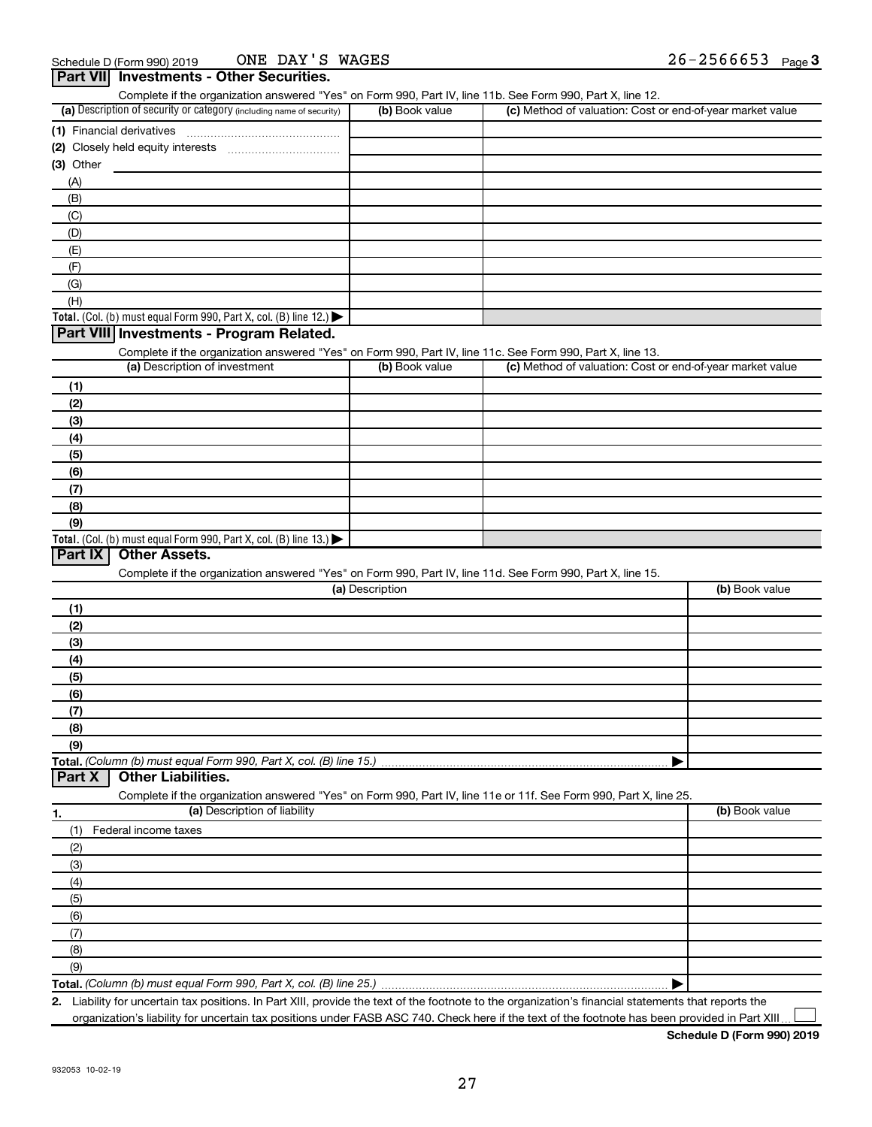|                                                                                                                   |                 | Complete if the organization answered "Yes" on Form 990, Part IV, line 11b. See Form 990, Part X, line 12. |                |
|-------------------------------------------------------------------------------------------------------------------|-----------------|------------------------------------------------------------------------------------------------------------|----------------|
| (a) Description of security or category (including name of security)                                              | (b) Book value  | (c) Method of valuation: Cost or end-of-year market value                                                  |                |
|                                                                                                                   |                 |                                                                                                            |                |
|                                                                                                                   |                 |                                                                                                            |                |
| (3) Other                                                                                                         |                 |                                                                                                            |                |
| (A)                                                                                                               |                 |                                                                                                            |                |
| (B)                                                                                                               |                 |                                                                                                            |                |
| (C)                                                                                                               |                 |                                                                                                            |                |
|                                                                                                                   |                 |                                                                                                            |                |
| (D)                                                                                                               |                 |                                                                                                            |                |
| (E)                                                                                                               |                 |                                                                                                            |                |
| (F)                                                                                                               |                 |                                                                                                            |                |
| (G)                                                                                                               |                 |                                                                                                            |                |
| (H)                                                                                                               |                 |                                                                                                            |                |
| Total. (Col. (b) must equal Form 990, Part X, col. (B) line 12.)                                                  |                 |                                                                                                            |                |
| Part VIII Investments - Program Related.                                                                          |                 |                                                                                                            |                |
| Complete if the organization answered "Yes" on Form 990, Part IV, line 11c. See Form 990, Part X, line 13.        |                 |                                                                                                            |                |
| (a) Description of investment                                                                                     | (b) Book value  | (c) Method of valuation: Cost or end-of-year market value                                                  |                |
| (1)                                                                                                               |                 |                                                                                                            |                |
| (2)                                                                                                               |                 |                                                                                                            |                |
| (3)                                                                                                               |                 |                                                                                                            |                |
| (4)                                                                                                               |                 |                                                                                                            |                |
| (5)                                                                                                               |                 |                                                                                                            |                |
| (6)                                                                                                               |                 |                                                                                                            |                |
| (7)                                                                                                               |                 |                                                                                                            |                |
|                                                                                                                   |                 |                                                                                                            |                |
| (8)                                                                                                               |                 |                                                                                                            |                |
| (9)                                                                                                               |                 |                                                                                                            |                |
| Total. (Col. (b) must equal Form 990, Part X, col. (B) line 13.)                                                  |                 |                                                                                                            |                |
| Part IX<br><b>Other Assets.</b>                                                                                   |                 |                                                                                                            |                |
|                                                                                                                   |                 |                                                                                                            |                |
|                                                                                                                   |                 | Complete if the organization answered "Yes" on Form 990, Part IV, line 11d. See Form 990, Part X, line 15. |                |
|                                                                                                                   | (a) Description |                                                                                                            | (b) Book value |
| (1)                                                                                                               |                 |                                                                                                            |                |
| (2)                                                                                                               |                 |                                                                                                            |                |
| (3)                                                                                                               |                 |                                                                                                            |                |
| (4)                                                                                                               |                 |                                                                                                            |                |
| (5)                                                                                                               |                 |                                                                                                            |                |
|                                                                                                                   |                 |                                                                                                            |                |
| (6)                                                                                                               |                 |                                                                                                            |                |
| (7)                                                                                                               |                 |                                                                                                            |                |
| (8)                                                                                                               |                 |                                                                                                            |                |
| (9)                                                                                                               |                 |                                                                                                            |                |
| Total. (Column (b) must equal Form 990, Part X, col. (B) line 15.)                                                |                 |                                                                                                            |                |
| <b>Other Liabilities.</b><br>Part X                                                                               |                 |                                                                                                            |                |
| Complete if the organization answered "Yes" on Form 990, Part IV, line 11e or 11f. See Form 990, Part X, line 25. |                 |                                                                                                            |                |
| (a) Description of liability                                                                                      |                 |                                                                                                            | (b) Book value |
| (1)<br>Federal income taxes                                                                                       |                 |                                                                                                            |                |
| (2)                                                                                                               |                 |                                                                                                            |                |
| (3)                                                                                                               |                 |                                                                                                            |                |
| (4)                                                                                                               |                 |                                                                                                            |                |
| (5)                                                                                                               |                 |                                                                                                            |                |
| (6)                                                                                                               |                 |                                                                                                            |                |
| (7)                                                                                                               |                 |                                                                                                            |                |
| 1.                                                                                                                |                 |                                                                                                            |                |
| (8)<br>(9)                                                                                                        |                 |                                                                                                            |                |

**2.** Liability for uncertain tax positions. In Part XIII, provide the text of the footnote to the organization's financial statements that reports the organization's liability for uncertain tax positions under FASB ASC 740. Check here if the text of the footnote has been provided in Part XIII.  $\perp$ 

**Schedule D (Form 990) 2019**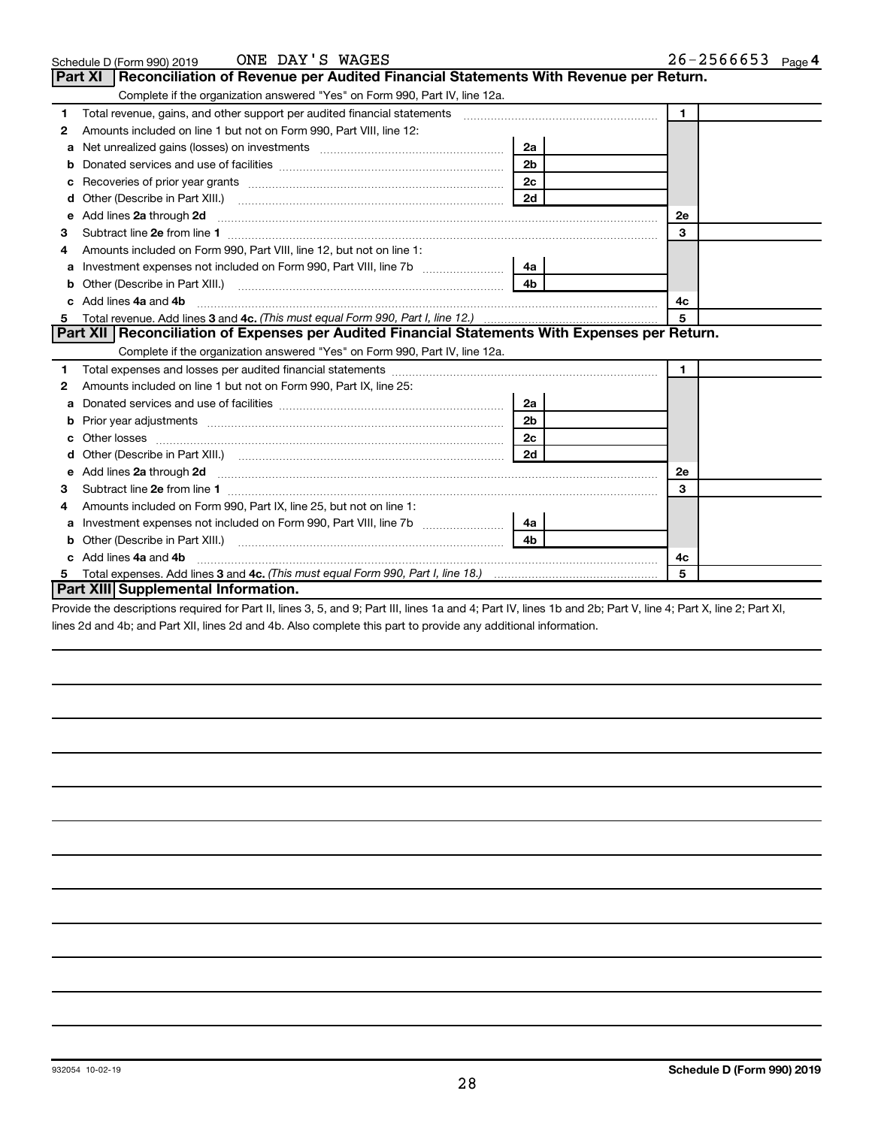|   | ONE DAY'S WAGES<br>Schedule D (Form 990) 2019                                                                                                                                                                                       |                | $26 - 2566653$ Page 4 |
|---|-------------------------------------------------------------------------------------------------------------------------------------------------------------------------------------------------------------------------------------|----------------|-----------------------|
|   | <b>Part XI</b><br>Reconciliation of Revenue per Audited Financial Statements With Revenue per Return.                                                                                                                               |                |                       |
|   | Complete if the organization answered "Yes" on Form 990, Part IV, line 12a.                                                                                                                                                         |                |                       |
| 1 | Total revenue, gains, and other support per audited financial statements [[[[[[[[[[[[[[[[[[[[[[[[]]]]]]]]]]]]                                                                                                                       |                | $\blacksquare$        |
| 2 | Amounts included on line 1 but not on Form 990, Part VIII, line 12:                                                                                                                                                                 |                |                       |
| a |                                                                                                                                                                                                                                     | 2a             |                       |
| b |                                                                                                                                                                                                                                     | 2 <sub>b</sub> |                       |
| c |                                                                                                                                                                                                                                     | 2 <sub>c</sub> |                       |
| d |                                                                                                                                                                                                                                     | 2d             |                       |
| e | Add lines 2a through 2d                                                                                                                                                                                                             |                | 2e                    |
| з |                                                                                                                                                                                                                                     |                | 3                     |
|   | Amounts included on Form 990, Part VIII, line 12, but not on line 1:                                                                                                                                                                |                |                       |
| a |                                                                                                                                                                                                                                     | 4a             |                       |
| b | Other (Describe in Part XIII.)                                                                                                                                                                                                      | 4 <sub>b</sub> |                       |
|   | Add lines 4a and 4b                                                                                                                                                                                                                 |                | 4c                    |
| 5 |                                                                                                                                                                                                                                     |                | 5                     |
|   | Part XII Reconciliation of Expenses per Audited Financial Statements With Expenses per Return.                                                                                                                                      |                |                       |
|   | Complete if the organization answered "Yes" on Form 990, Part IV, line 12a.                                                                                                                                                         |                |                       |
| 1 |                                                                                                                                                                                                                                     |                | $\mathbf 1$           |
| 2 | Amounts included on line 1 but not on Form 990, Part IX, line 25:                                                                                                                                                                   |                |                       |
| a |                                                                                                                                                                                                                                     | 2a             |                       |
| b |                                                                                                                                                                                                                                     | 2 <sub>b</sub> |                       |
|   |                                                                                                                                                                                                                                     | 2c             |                       |
|   |                                                                                                                                                                                                                                     | 2d             |                       |
| е | Add lines 2a through 2d <b>[10]</b> University of the state of the state of the state of the state of the state of the state of the state of the state of the state of the state of the state of the state of the state of the stat |                | <b>2e</b>             |
| З |                                                                                                                                                                                                                                     |                | 3                     |
| 4 | Amounts included on Form 990, Part IX, line 25, but not on line 1:                                                                                                                                                                  |                |                       |
| a |                                                                                                                                                                                                                                     | 4a             |                       |
| b |                                                                                                                                                                                                                                     | 4 <sub>b</sub> |                       |
|   | Add lines 4a and 4b                                                                                                                                                                                                                 |                | 4c                    |
| 5 |                                                                                                                                                                                                                                     |                | 5                     |
|   | <b>Part XIII Supplemental Information.</b>                                                                                                                                                                                          |                |                       |

Provide the descriptions required for Part II, lines 3, 5, and 9; Part III, lines 1a and 4; Part IV, lines 1b and 2b; Part V, line 4; Part X, line 2; Part XI, lines 2d and 4b; and Part XII, lines 2d and 4b. Also complete this part to provide any additional information.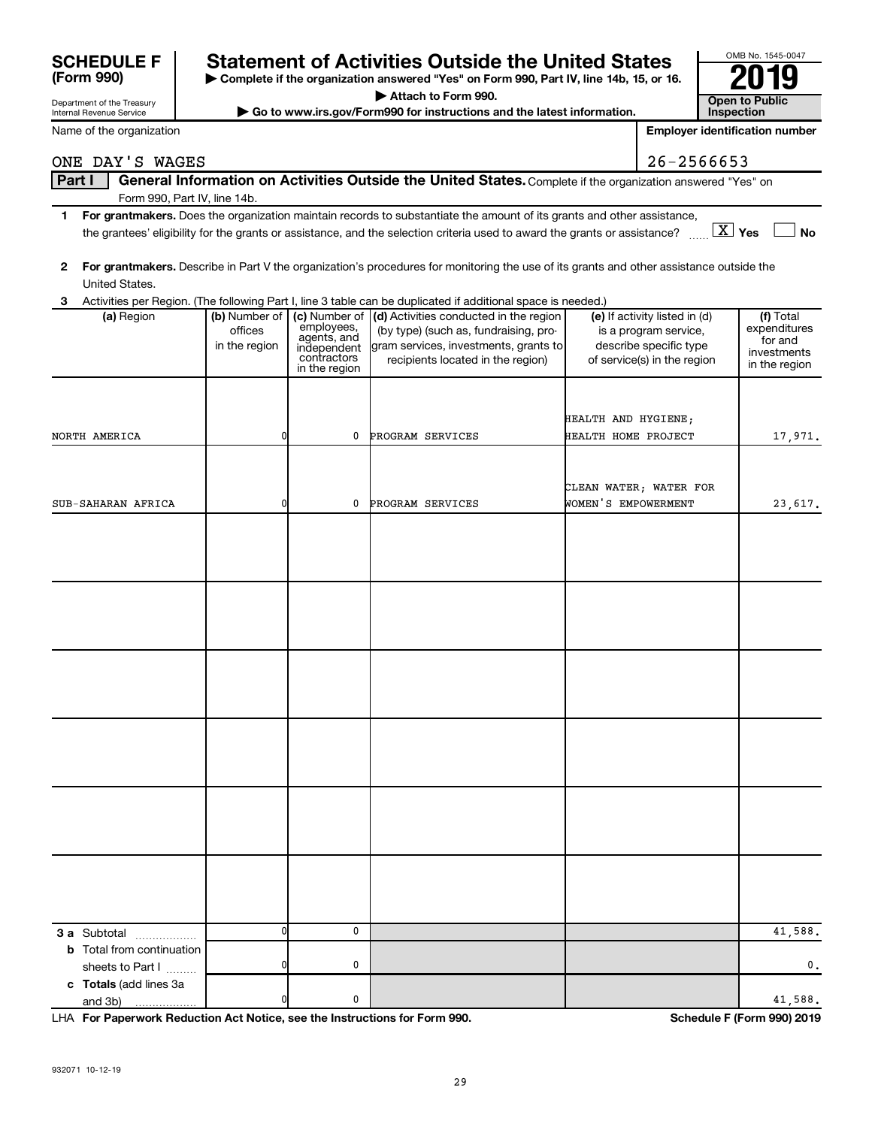| <b>SCHEDULE F</b> | <b>Statement of Activities Outside the United States</b>                                 | OMB No. 1545-00 |
|-------------------|------------------------------------------------------------------------------------------|-----------------|
|                   |                                                                                          |                 |
| (Form 990)        | ► Complete if the organization answered "Yes" on Form 990, Part IV, line 14b, 15, or 16. | 2019            |
|                   |                                                                                          |                 |

**| Attach to Form 990.**

 $\triangleright$  Go to www.irs.gov/Form990 for instructions and the latest information.

| OMB No. 1545-0047                   |  |
|-------------------------------------|--|
|                                     |  |
| <b>Open to Public</b><br>Inspection |  |

**Employer identification number**

|  |  |  | ONE DAY'S WAGES |  |
|--|--|--|-----------------|--|
|--|--|--|-----------------|--|

#### Part I | General Information on Activities Outside the United States. Complete if the organization answered "Yes" on Form 990, Part IV, line 14b.  $26 - 2566653$

- **1 For grantmakers.**  Does the organization maintain records to substantiate the amount of its grants and other assistance, **Yes No** the grantees' eligibility for the grants or assistance, and the selection criteria used to award the grants or assistance? ~~ † † X
- **2 For grantmakers.**  Describe in Part V the organization's procedures for monitoring the use of its grants and other assistance outside the United States.

| Activities per Region. (The following Part I, line 3 table can be duplicated if additional space is needed.)<br>3 |                                           |                                                                          |                                                                                                                                                                             |                                                                                                                 |                                                                      |  |
|-------------------------------------------------------------------------------------------------------------------|-------------------------------------------|--------------------------------------------------------------------------|-----------------------------------------------------------------------------------------------------------------------------------------------------------------------------|-----------------------------------------------------------------------------------------------------------------|----------------------------------------------------------------------|--|
| (a) Region                                                                                                        | (b) Number of<br>offices<br>in the region | employees,<br>agents, and<br>independent<br>contractors<br>in the region | (c) Number of (d) Activities conducted in the region<br>(by type) (such as, fundraising, pro-<br>gram services, investments, grants to<br>recipients located in the region) | (e) If activity listed in (d)<br>is a program service,<br>describe specific type<br>of service(s) in the region | (f) Total<br>expenditures<br>for and<br>investments<br>in the region |  |
| NORTH AMERICA                                                                                                     | 0                                         | 0                                                                        | PROGRAM SERVICES                                                                                                                                                            | HEALTH AND HYGIENE;<br>HEALTH HOME PROJECT                                                                      | 17,971.                                                              |  |
| SUB-SAHARAN AFRICA                                                                                                | 0                                         | 0                                                                        | PROGRAM SERVICES                                                                                                                                                            | CLEAN WATER; WATER FOR<br>WOMEN'S EMPOWERMENT                                                                   | 23,617.                                                              |  |
|                                                                                                                   |                                           |                                                                          |                                                                                                                                                                             |                                                                                                                 |                                                                      |  |
|                                                                                                                   |                                           |                                                                          |                                                                                                                                                                             |                                                                                                                 |                                                                      |  |
|                                                                                                                   |                                           |                                                                          |                                                                                                                                                                             |                                                                                                                 |                                                                      |  |
|                                                                                                                   |                                           |                                                                          |                                                                                                                                                                             |                                                                                                                 |                                                                      |  |
|                                                                                                                   |                                           |                                                                          |                                                                                                                                                                             |                                                                                                                 |                                                                      |  |
|                                                                                                                   |                                           |                                                                          |                                                                                                                                                                             |                                                                                                                 |                                                                      |  |
| 3 a Subtotal                                                                                                      | $\overline{0}$                            | $\mathbf 0$                                                              |                                                                                                                                                                             |                                                                                                                 | $\overline{41,588}$ .                                                |  |
| <b>b</b> Total from continuation<br>sheets to Part I                                                              | 0                                         | 0                                                                        |                                                                                                                                                                             |                                                                                                                 | 0.                                                                   |  |
| c Totals (add lines 3a<br>and 3b)<br>.                                                                            | 0                                         | $\mathbf 0$                                                              |                                                                                                                                                                             |                                                                                                                 | 41,588.                                                              |  |

**For Paperwork Reduction Act Notice, see the Instructions for Form 990. Schedule F (Form 990) 2019** LHA

| <b>SCHEDULE F</b> |  |
|-------------------|--|
| (Form 990)        |  |

Department of the Treasury Internal Revenue Service

Name of the organization

| ONE DAY'S WAGE |  |
|----------------|--|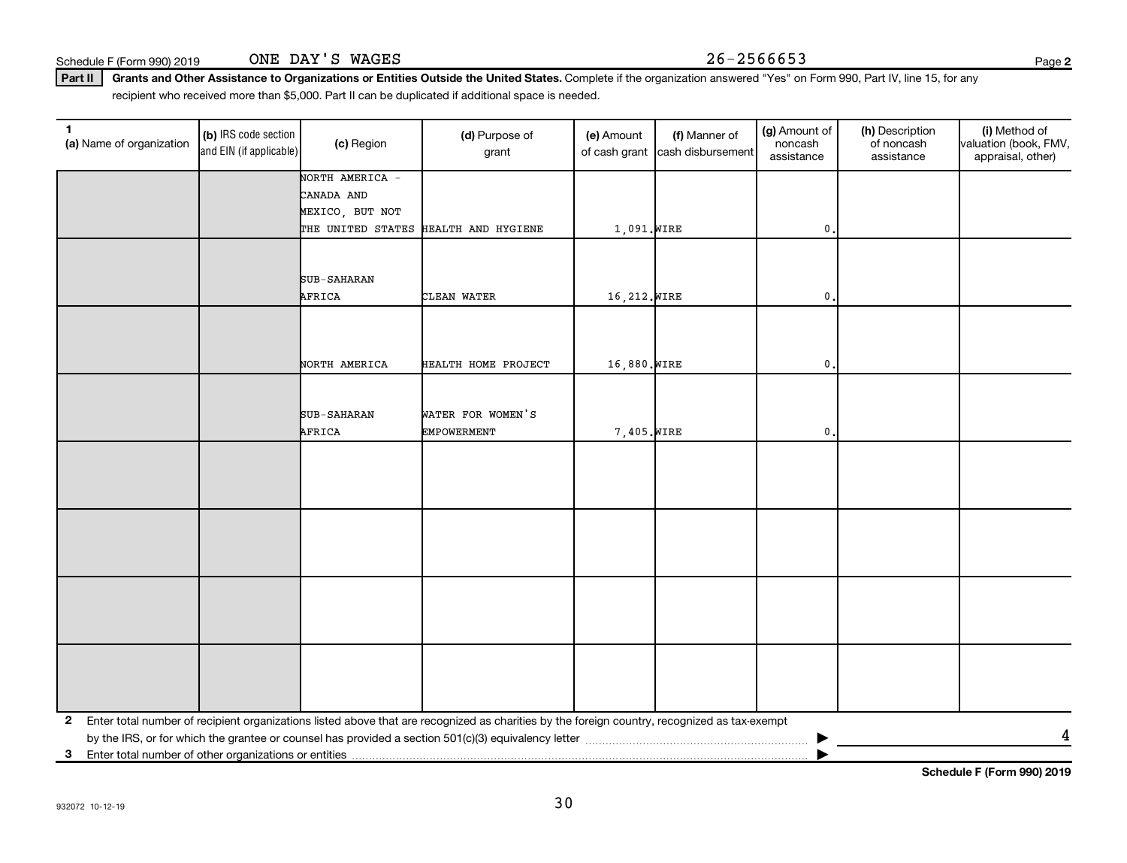Schedule F (Form 990) 2019 ONE DAY'S WAGES 26-2566653

**2**

Part II | Grants and Other Assistance to Organizations or Entities Outside the United States. Complete if the organization answered "Yes" on Form 990, Part IV, line 15, for any recipient who received more than \$5,000. Part II can be duplicated if additional space is needed.

| (a) Name of organization                                   | (b) IRS code section<br>and EIN (if applicable) | (c) Region            | (d) Purpose of<br>grant                                                                                                                      | (e) Amount<br>of cash grant | (f) Manner of<br>cash disbursement | (g) Amount of<br>noncash<br>assistance | (h) Description<br>of noncash<br>assistance | (i) Method of<br>valuation (book, FMV,<br>appraisal, other) |  |
|------------------------------------------------------------|-------------------------------------------------|-----------------------|----------------------------------------------------------------------------------------------------------------------------------------------|-----------------------------|------------------------------------|----------------------------------------|---------------------------------------------|-------------------------------------------------------------|--|
|                                                            |                                                 | NORTH AMERICA -       |                                                                                                                                              |                             |                                    |                                        |                                             |                                                             |  |
|                                                            |                                                 | CANADA AND            |                                                                                                                                              |                             |                                    |                                        |                                             |                                                             |  |
|                                                            |                                                 | MEXICO, BUT NOT       |                                                                                                                                              |                             |                                    |                                        |                                             |                                                             |  |
|                                                            |                                                 |                       | THE UNITED STATES HEALTH AND HYGIENE                                                                                                         | 1,091. WIRE                 |                                    | 0.                                     |                                             |                                                             |  |
|                                                            |                                                 | SUB-SAHARAN<br>AFRICA | CLEAN WATER                                                                                                                                  | 16,212. WIRE                |                                    | $\mathbf{0}$                           |                                             |                                                             |  |
|                                                            |                                                 | NORTH AMERICA         | HEALTH HOME PROJECT                                                                                                                          | 16,880. WIRE                |                                    | $\mathbf{0}$                           |                                             |                                                             |  |
|                                                            |                                                 |                       |                                                                                                                                              |                             |                                    |                                        |                                             |                                                             |  |
|                                                            |                                                 | SUB-SAHARAN<br>AFRICA | WATER FOR WOMEN'S<br><b>EMPOWERMENT</b>                                                                                                      | 7,405. WIRE                 |                                    | 0                                      |                                             |                                                             |  |
|                                                            |                                                 |                       |                                                                                                                                              |                             |                                    |                                        |                                             |                                                             |  |
|                                                            |                                                 |                       |                                                                                                                                              |                             |                                    |                                        |                                             |                                                             |  |
|                                                            |                                                 |                       |                                                                                                                                              |                             |                                    |                                        |                                             |                                                             |  |
|                                                            |                                                 |                       |                                                                                                                                              |                             |                                    |                                        |                                             |                                                             |  |
| $\mathbf{2}$                                               |                                                 |                       | Enter total number of recipient organizations listed above that are recognized as charities by the foreign country, recognized as tax-exempt |                             |                                    |                                        |                                             |                                                             |  |
|                                                            |                                                 |                       |                                                                                                                                              |                             |                                    |                                        |                                             | 4                                                           |  |
| Enter total number of other organizations or entities<br>3 |                                                 |                       |                                                                                                                                              |                             |                                    |                                        |                                             |                                                             |  |

**Schedule F (Form 990) 2019**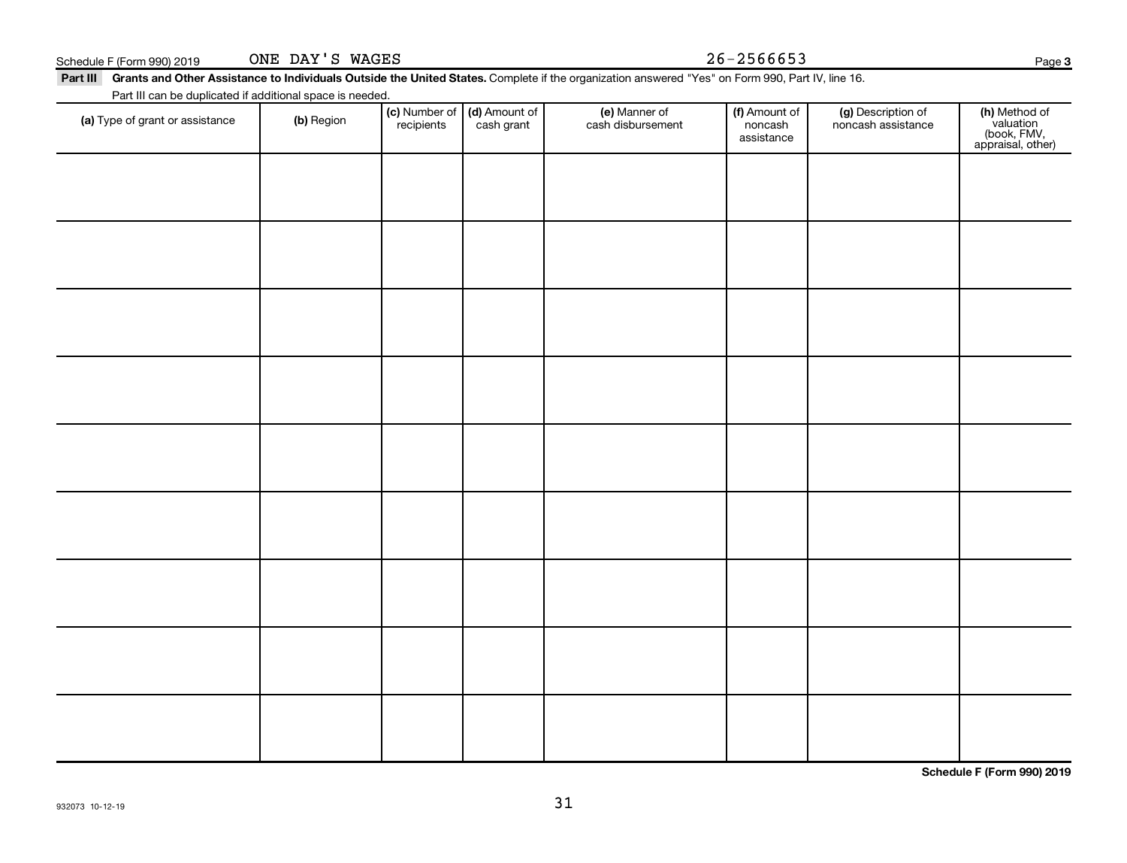| Part III can be duplicated if additional space is needed. |                     |               |  |  |  |  |
|-----------------------------------------------------------|---------------------|---------------|--|--|--|--|
| an of aront ar annietonoe                                 | $\mathsf{I}$ Dogion | (c) Number of |  |  |  |  |

ONE DAY'S WAGES

| (a) Type of grant or assistance | (b) Region | <b>(c)</b> Number of <b>(d)</b> Amount of recipients cash grant | e) Manner of<br>cash disbursement | <b>(f)</b> Amount of<br>noncash<br>assistance | (g) Description of<br>noncash assistance | (h) Method of<br>valuation<br>(book, FMV,<br>appraisal, other) |
|---------------------------------|------------|-----------------------------------------------------------------|-----------------------------------|-----------------------------------------------|------------------------------------------|----------------------------------------------------------------|
|                                 |            |                                                                 |                                   |                                               |                                          |                                                                |
|                                 |            |                                                                 |                                   |                                               |                                          |                                                                |
|                                 |            |                                                                 |                                   |                                               |                                          |                                                                |
|                                 |            |                                                                 |                                   |                                               |                                          |                                                                |
|                                 |            |                                                                 |                                   |                                               |                                          |                                                                |
|                                 |            |                                                                 |                                   |                                               |                                          |                                                                |
|                                 |            |                                                                 |                                   |                                               |                                          |                                                                |
|                                 |            |                                                                 |                                   |                                               |                                          |                                                                |
|                                 |            |                                                                 |                                   |                                               |                                          |                                                                |

31

**Schedule F (Form 990) 2019**

 $\top$ 

Part III Grants and Other Assistance to Individuals Outside the United States. Complete if the organization answered "Yes" on Form 990, Part IV, line 16.

 $\top$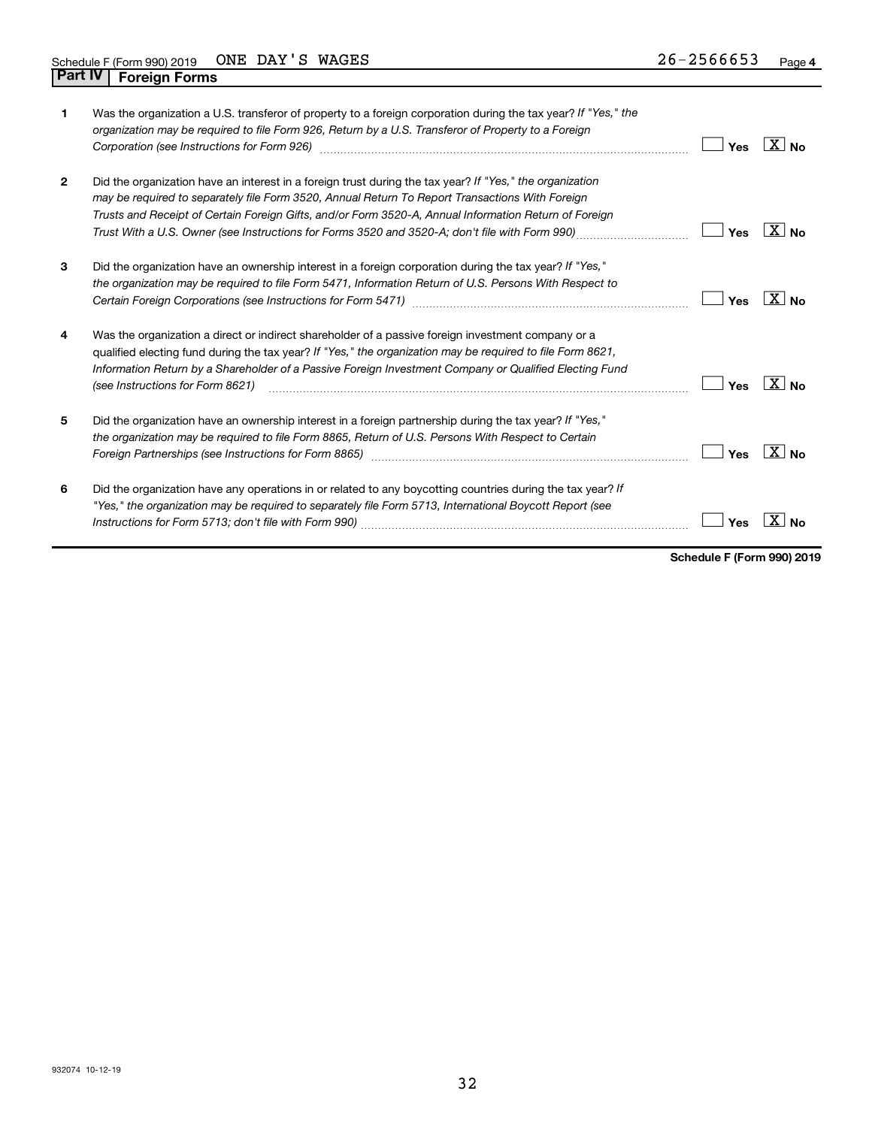| 1            | Was the organization a U.S. transferor of property to a foreign corporation during the tax year? If "Yes," the<br>organization may be required to file Form 926, Return by a U.S. Transferor of Property to a Foreign<br>Corporation (see Instructions for Form 926)                                                                                                                                                   | Yes | ∣X∣ <sub>No</sub> |
|--------------|------------------------------------------------------------------------------------------------------------------------------------------------------------------------------------------------------------------------------------------------------------------------------------------------------------------------------------------------------------------------------------------------------------------------|-----|-------------------|
| $\mathbf{2}$ | Did the organization have an interest in a foreign trust during the tax year? If "Yes," the organization<br>may be required to separately file Form 3520, Annual Return To Report Transactions With Foreign<br>Trusts and Receipt of Certain Foreign Gifts, and/or Form 3520-A, Annual Information Return of Foreign<br>Trust With a U.S. Owner (see Instructions for Forms 3520 and 3520-A; don't file with Form 990) | Yes | $\sqrt{X}$ No     |
| 3            | Did the organization have an ownership interest in a foreign corporation during the tax year? If "Yes,"<br>the organization may be required to file Form 5471, Information Return of U.S. Persons With Respect to                                                                                                                                                                                                      | Yes | $X _{\text{No}}$  |
| 4            | Was the organization a direct or indirect shareholder of a passive foreign investment company or a<br>qualified electing fund during the tax year? If "Yes," the organization may be required to file Form 8621,<br>Information Return by a Shareholder of a Passive Foreign Investment Company or Qualified Electing Fund<br>(see Instructions for Form 8621)                                                         | Yes | $\overline{X}$ No |
| 5            | Did the organization have an ownership interest in a foreign partnership during the tax year? If "Yes,"<br>the organization may be required to file Form 8865, Return of U.S. Persons With Respect to Certain<br>Foreign Partnerships (see Instructions for Form 8865)                                                                                                                                                 | Yes | X I<br><b>No</b>  |
| 6            | Did the organization have any operations in or related to any boycotting countries during the tax year? If<br>"Yes," the organization may be required to separately file Form 5713, International Boycott Report (see                                                                                                                                                                                                  | Yes |                   |

**Schedule F (Form 990) 2019**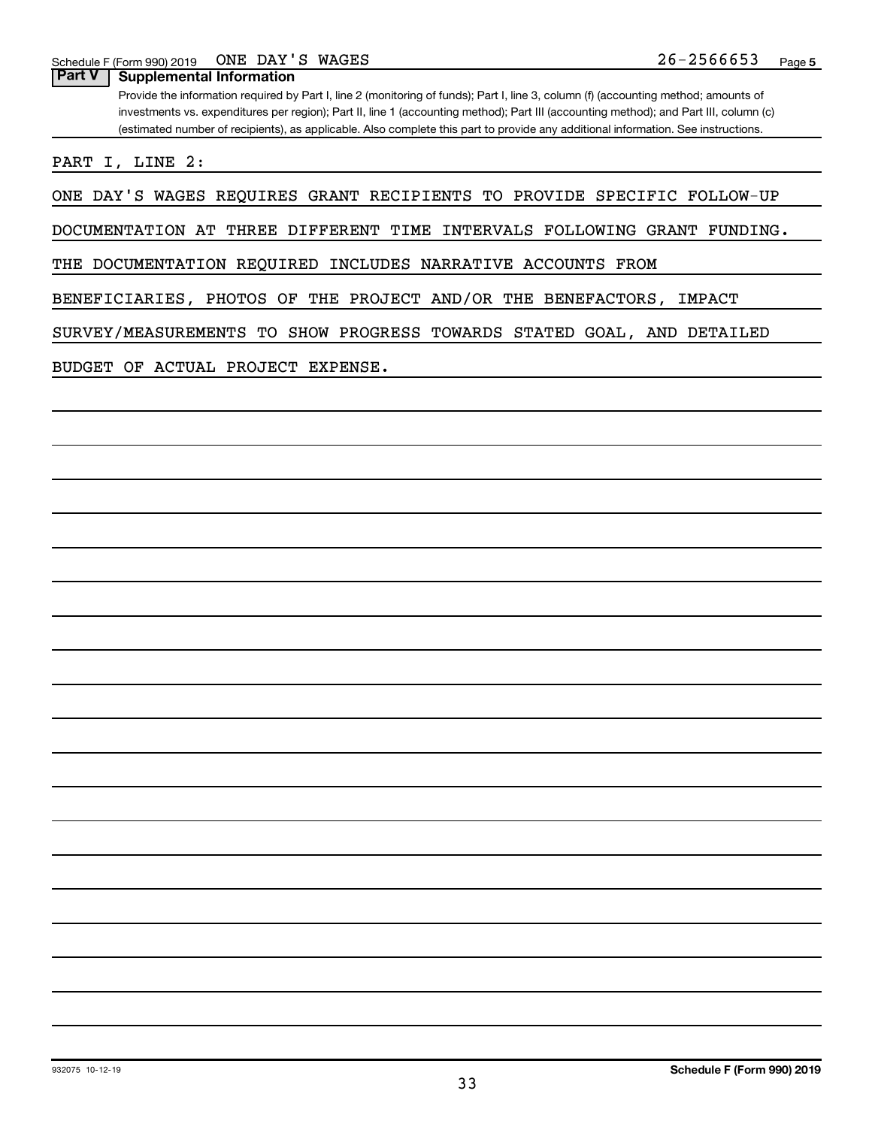**Part V Supplemental Information**

Provide the information required by Part I, line 2 (monitoring of funds); Part I, line 3, column (f) (accounting method; amounts of investments vs. expenditures per region); Part II, line 1 (accounting method); Part III (accounting method); and Part III, column (c) (estimated number of recipients), as applicable. Also complete this part to provide any additional information. See instructions.

PART I, LINE 2:

ONE DAY'S WAGES REQUIRES GRANT RECIPIENTS TO PROVIDE SPECIFIC FOLLOW-UP

DOCUMENTATION AT THREE DIFFERENT TIME INTERVALS FOLLOWING GRANT FUNDING.

THE DOCUMENTATION REQUIRED INCLUDES NARRATIVE ACCOUNTS FROM

BENEFICIARIES, PHOTOS OF THE PROJECT AND/OR THE BENEFACTORS, IMPACT

SURVEY/MEASUREMENTS TO SHOW PROGRESS TOWARDS STATED GOAL, AND DETAILED

BUDGET OF ACTUAL PROJECT EXPENSE.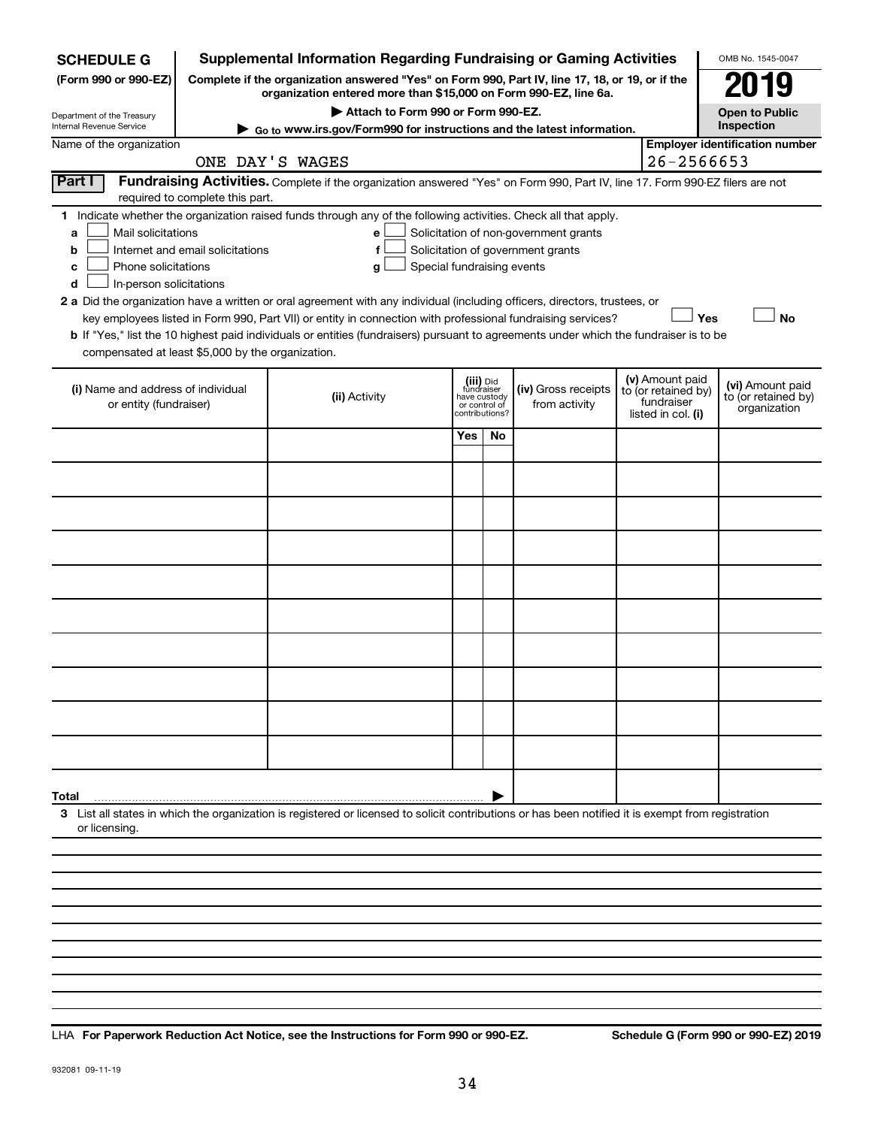| <b>SCHEDULE G</b>                                      |                                                                                                 | <b>Supplemental Information Regarding Fundraising or Gaming Activities</b>                                                                         |                            |                                                 |                                                                            |                                  |                                        | OMB No. 1545-0047                                   |  |
|--------------------------------------------------------|-------------------------------------------------------------------------------------------------|----------------------------------------------------------------------------------------------------------------------------------------------------|----------------------------|-------------------------------------------------|----------------------------------------------------------------------------|----------------------------------|----------------------------------------|-----------------------------------------------------|--|
| (Form 990 or 990-EZ)                                   | Complete if the organization answered "Yes" on Form 990, Part IV, line 17, 18, or 19, or if the | 119                                                                                                                                                |                            |                                                 |                                                                            |                                  |                                        |                                                     |  |
| Department of the Treasury<br>Internal Revenue Service | Attach to Form 990 or Form 990-EZ.                                                              |                                                                                                                                                    |                            |                                                 |                                                                            |                                  |                                        |                                                     |  |
| Name of the organization                               |                                                                                                 | ► Go to www.irs.gov/Form990 for instructions and the latest information.                                                                           |                            |                                                 |                                                                            |                                  |                                        | Inspection<br><b>Employer identification number</b> |  |
|                                                        |                                                                                                 | ONE DAY'S WAGES                                                                                                                                    |                            |                                                 |                                                                            |                                  | 26-2566653                             |                                                     |  |
| Part I                                                 |                                                                                                 | Fundraising Activities. Complete if the organization answered "Yes" on Form 990, Part IV, line 17. Form 990-EZ filers are not                      |                            |                                                 |                                                                            |                                  |                                        |                                                     |  |
|                                                        | required to complete this part.                                                                 |                                                                                                                                                    |                            |                                                 |                                                                            |                                  |                                        |                                                     |  |
|                                                        |                                                                                                 | 1 Indicate whether the organization raised funds through any of the following activities. Check all that apply.                                    |                            |                                                 |                                                                            |                                  |                                        |                                                     |  |
| Mail solicitations<br>a<br>b                           | Internet and email solicitations                                                                | е<br>f                                                                                                                                             |                            |                                                 | Solicitation of non-government grants<br>Solicitation of government grants |                                  |                                        |                                                     |  |
| Phone solicitations<br>с                               |                                                                                                 | g                                                                                                                                                  | Special fundraising events |                                                 |                                                                            |                                  |                                        |                                                     |  |
| In-person solicitations<br>d                           |                                                                                                 |                                                                                                                                                    |                            |                                                 |                                                                            |                                  |                                        |                                                     |  |
|                                                        |                                                                                                 | 2 a Did the organization have a written or oral agreement with any individual (including officers, directors, trustees, or                         |                            |                                                 |                                                                            |                                  |                                        |                                                     |  |
|                                                        |                                                                                                 | key employees listed in Form 990, Part VII) or entity in connection with professional fundraising services?                                        |                            |                                                 |                                                                            |                                  | Yes                                    | <b>No</b>                                           |  |
| compensated at least \$5,000 by the organization.      |                                                                                                 | b If "Yes," list the 10 highest paid individuals or entities (fundraisers) pursuant to agreements under which the fundraiser is to be              |                            |                                                 |                                                                            |                                  |                                        |                                                     |  |
|                                                        |                                                                                                 |                                                                                                                                                    |                            |                                                 |                                                                            |                                  |                                        |                                                     |  |
| (i) Name and address of individual                     |                                                                                                 |                                                                                                                                                    |                            | (iii) Did<br>fundraiser                         | (iv) Gross receipts                                                        |                                  | (v) Amount paid<br>to (or retained by) | (vi) Amount paid                                    |  |
| or entity (fundraiser)                                 |                                                                                                 | (ii) Activity                                                                                                                                      |                            | have custody<br>or control of<br>contributions? | from activity                                                              | fundraiser<br>listed in col. (i) |                                        | to (or retained by)<br>organization                 |  |
|                                                        |                                                                                                 |                                                                                                                                                    |                            |                                                 |                                                                            |                                  |                                        |                                                     |  |
|                                                        |                                                                                                 |                                                                                                                                                    | Yes                        | No.                                             |                                                                            |                                  |                                        |                                                     |  |
|                                                        |                                                                                                 |                                                                                                                                                    |                            |                                                 |                                                                            |                                  |                                        |                                                     |  |
|                                                        |                                                                                                 |                                                                                                                                                    |                            |                                                 |                                                                            |                                  |                                        |                                                     |  |
|                                                        |                                                                                                 |                                                                                                                                                    |                            |                                                 |                                                                            |                                  |                                        |                                                     |  |
|                                                        |                                                                                                 |                                                                                                                                                    |                            |                                                 |                                                                            |                                  |                                        |                                                     |  |
|                                                        |                                                                                                 |                                                                                                                                                    |                            |                                                 |                                                                            |                                  |                                        |                                                     |  |
|                                                        |                                                                                                 |                                                                                                                                                    |                            |                                                 |                                                                            |                                  |                                        |                                                     |  |
|                                                        |                                                                                                 |                                                                                                                                                    |                            |                                                 |                                                                            |                                  |                                        |                                                     |  |
|                                                        |                                                                                                 |                                                                                                                                                    |                            |                                                 |                                                                            |                                  |                                        |                                                     |  |
|                                                        |                                                                                                 |                                                                                                                                                    |                            |                                                 |                                                                            |                                  |                                        |                                                     |  |
|                                                        |                                                                                                 |                                                                                                                                                    |                            |                                                 |                                                                            |                                  |                                        |                                                     |  |
|                                                        |                                                                                                 |                                                                                                                                                    |                            |                                                 |                                                                            |                                  |                                        |                                                     |  |
|                                                        |                                                                                                 |                                                                                                                                                    |                            |                                                 |                                                                            |                                  |                                        |                                                     |  |
|                                                        |                                                                                                 |                                                                                                                                                    |                            |                                                 |                                                                            |                                  |                                        |                                                     |  |
| Total                                                  |                                                                                                 |                                                                                                                                                    |                            |                                                 |                                                                            |                                  |                                        |                                                     |  |
| or licensing.                                          |                                                                                                 | 3 List all states in which the organization is registered or licensed to solicit contributions or has been notified it is exempt from registration |                            |                                                 |                                                                            |                                  |                                        |                                                     |  |
|                                                        |                                                                                                 |                                                                                                                                                    |                            |                                                 |                                                                            |                                  |                                        |                                                     |  |
|                                                        |                                                                                                 |                                                                                                                                                    |                            |                                                 |                                                                            |                                  |                                        |                                                     |  |
|                                                        |                                                                                                 |                                                                                                                                                    |                            |                                                 |                                                                            |                                  |                                        |                                                     |  |
|                                                        |                                                                                                 |                                                                                                                                                    |                            |                                                 |                                                                            |                                  |                                        |                                                     |  |
|                                                        |                                                                                                 |                                                                                                                                                    |                            |                                                 |                                                                            |                                  |                                        |                                                     |  |

**For Paperwork Reduction Act Notice, see the Instructions for Form 990 or 990-EZ. Schedule G (Form 990 or 990-EZ) 2019** LHA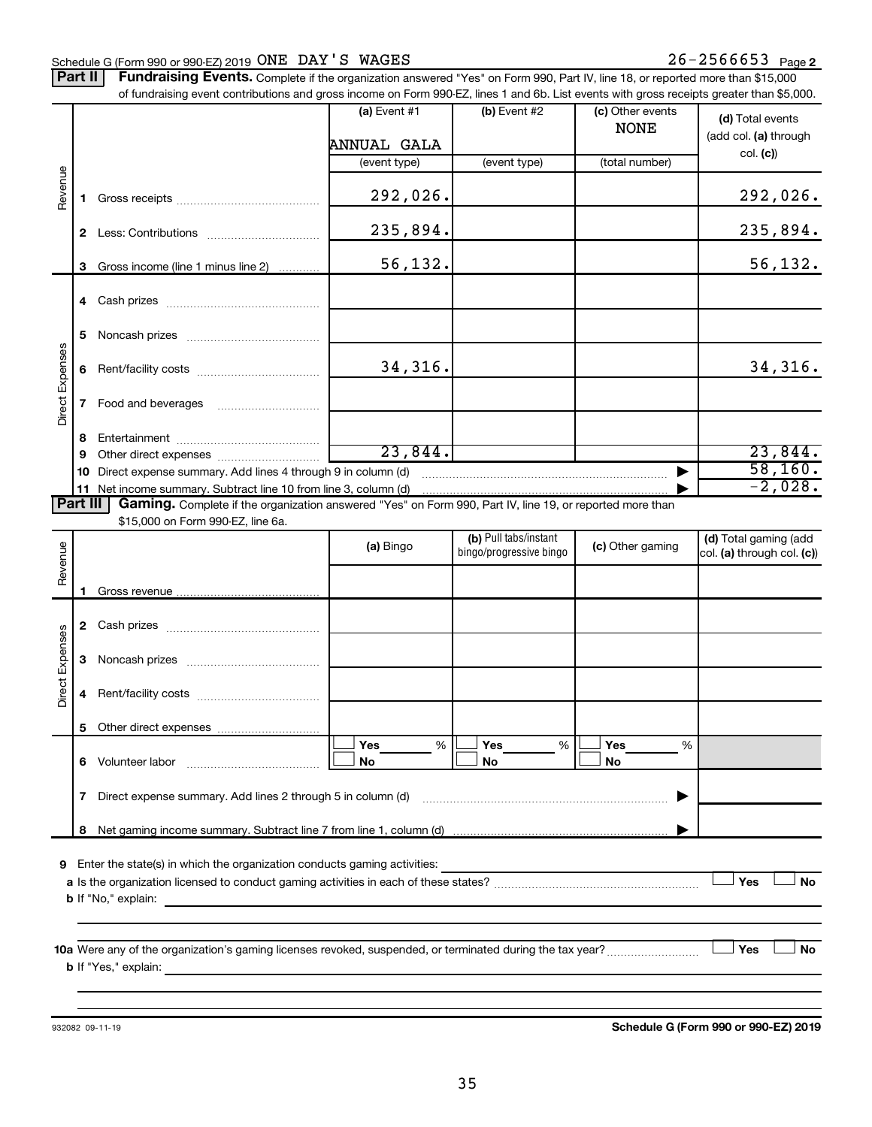#### Schedule G (Form 990 or 990-EZ) 2019  $\overline{ONE}$   $\overline{DAY}$   $\overline{S}$   $\overline{WAGES}$  26  $\overline{S}$  2566653  $\overline{Page}$

Part II | Fundraising Events. Complete if the organization answered "Yes" on Form 990, Part IV, line 18, or reported more than \$15,000 of fundraising event contributions and gross income on Form 990-FZ, lines 1 and 6b. List events with gross receipts greater than \$5,000.

|                        |              | of fundraising event contributions and gross income on Form 990-EZ, lines T and 6D. List events with gross receipts greater than \$5,000.                                                                                                 | (a) Event $#1$<br>ANNUAL GALA | $(b)$ Event #2                                   | (c) Other events<br><b>NONE</b> | (d) Total events<br>(add col. (a) through           |
|------------------------|--------------|-------------------------------------------------------------------------------------------------------------------------------------------------------------------------------------------------------------------------------------------|-------------------------------|--------------------------------------------------|---------------------------------|-----------------------------------------------------|
|                        |              |                                                                                                                                                                                                                                           | (event type)                  | (event type)                                     | (total number)                  | col. (c)                                            |
| Revenue                | 1.           |                                                                                                                                                                                                                                           | 292,026.                      |                                                  |                                 | 292,026.                                            |
|                        | $\mathbf{2}$ |                                                                                                                                                                                                                                           | 235,894.                      |                                                  |                                 | 235,894.                                            |
|                        | 3            | Gross income (line 1 minus line 2)                                                                                                                                                                                                        | 56,132.                       |                                                  |                                 | 56,132.                                             |
|                        |              |                                                                                                                                                                                                                                           |                               |                                                  |                                 |                                                     |
|                        | 5            |                                                                                                                                                                                                                                           |                               |                                                  |                                 |                                                     |
| Direct Expenses        | 6.           |                                                                                                                                                                                                                                           | 34,316.                       |                                                  |                                 | 34,316.                                             |
|                        | $\mathbf{7}$ |                                                                                                                                                                                                                                           |                               |                                                  |                                 |                                                     |
|                        | 8            |                                                                                                                                                                                                                                           |                               |                                                  |                                 |                                                     |
|                        | 9            |                                                                                                                                                                                                                                           | 23,844.                       |                                                  |                                 | 23,844.<br>58,160.                                  |
|                        | 10           | Direct expense summary. Add lines 4 through 9 in column (d)<br>11 Net income summary. Subtract line 10 from line 3, column (d)                                                                                                            |                               |                                                  |                                 | $-2,028.$                                           |
| Part III               |              | Gaming. Complete if the organization answered "Yes" on Form 990, Part IV, line 19, or reported more than                                                                                                                                  |                               |                                                  |                                 |                                                     |
|                        |              | \$15,000 on Form 990-EZ, line 6a.                                                                                                                                                                                                         |                               |                                                  |                                 |                                                     |
| Revenue                |              |                                                                                                                                                                                                                                           | (a) Bingo                     | (b) Pull tabs/instant<br>bingo/progressive bingo | (c) Other gaming                | (d) Total gaming (add<br>col. (a) through col. (c)) |
|                        | 1.           |                                                                                                                                                                                                                                           |                               |                                                  |                                 |                                                     |
|                        |              |                                                                                                                                                                                                                                           |                               |                                                  |                                 |                                                     |
|                        |              |                                                                                                                                                                                                                                           |                               |                                                  |                                 |                                                     |
|                        | 3            |                                                                                                                                                                                                                                           |                               |                                                  |                                 |                                                     |
| <b>Direct Expenses</b> | 4            |                                                                                                                                                                                                                                           |                               |                                                  |                                 |                                                     |
|                        | 5            |                                                                                                                                                                                                                                           |                               |                                                  |                                 |                                                     |
|                        |              |                                                                                                                                                                                                                                           | Yes<br>%<br>No                | %<br>Yes<br>No                                   | Yes<br>%<br>No                  |                                                     |
|                        | 7            | Direct expense summary. Add lines 2 through 5 in column (d)                                                                                                                                                                               |                               |                                                  |                                 |                                                     |
|                        | 8            |                                                                                                                                                                                                                                           |                               |                                                  |                                 |                                                     |
|                        |              | 9 Enter the state(s) in which the organization conducts gaming activities:<br><b>b</b> If "No," explain:                                                                                                                                  |                               |                                                  |                                 | Yes<br>No                                           |
|                        |              | <b>b</b> If "Yes," explain: <u>All and the set of the set of the set of the set of the set of the set of the set of the set of the set of the set of the set of the set of the set of the set of the set of the set of the set of the</u> |                               |                                                  |                                 | ∫ Yes<br>No                                         |

932082 09-11-19

**Schedule G (Form 990 or 990-EZ) 2019**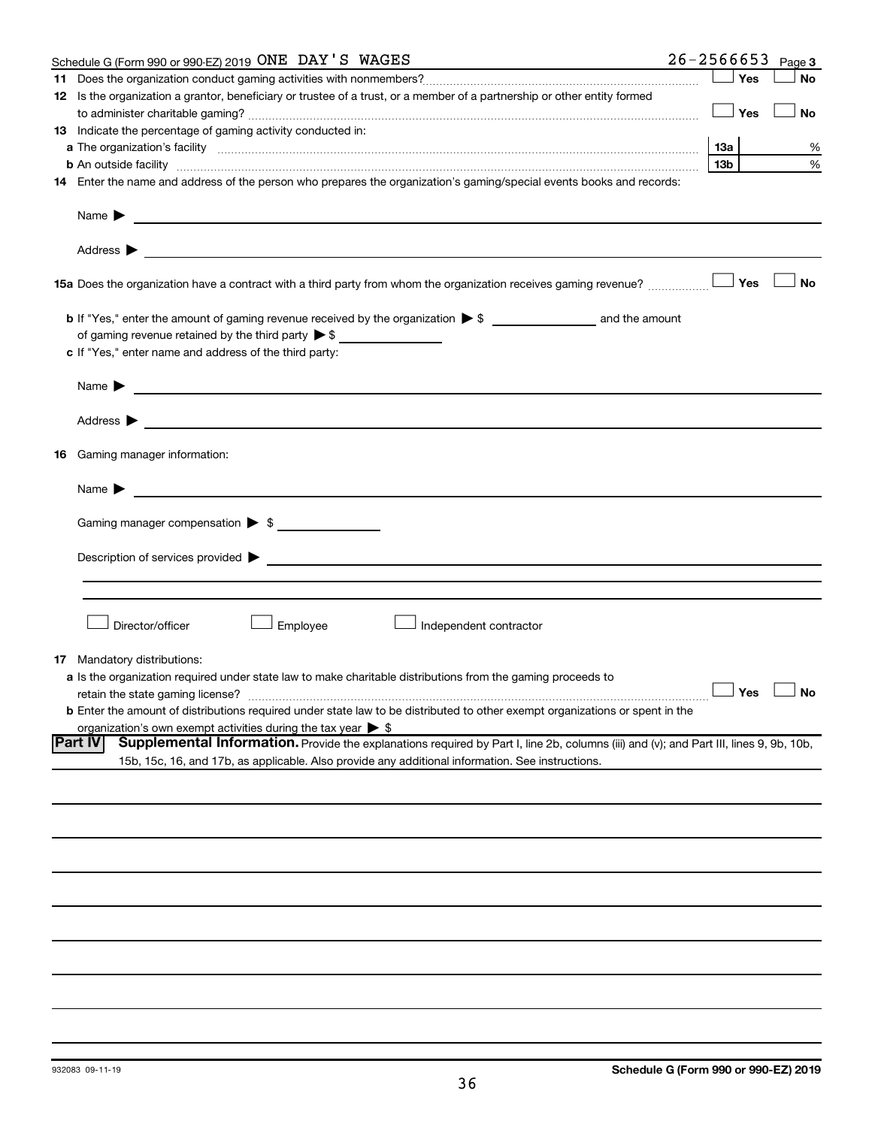|    | Schedule G (Form 990 or 990-EZ) 2019 ONE DAY'S WAGES                                                                                                          | $26 - 2566653$ |                 |     | Page 3               |
|----|---------------------------------------------------------------------------------------------------------------------------------------------------------------|----------------|-----------------|-----|----------------------|
|    |                                                                                                                                                               |                |                 | Yes | <b>No</b>            |
|    | 12 Is the organization a grantor, beneficiary or trustee of a trust, or a member of a partnership or other entity formed                                      |                |                 |     |                      |
|    |                                                                                                                                                               |                |                 | Yes | No                   |
|    | 13 Indicate the percentage of gaming activity conducted in:                                                                                                   |                |                 |     |                      |
|    |                                                                                                                                                               |                | 13а             |     | %                    |
|    | <b>b</b> An outside facility <i>www.communicality www.communicality.communicality www.communicality www.communicality.communicality www.communicality.com</i> |                | 13 <sub>b</sub> |     | %                    |
|    | 14 Enter the name and address of the person who prepares the organization's gaming/special events books and records:                                          |                |                 |     |                      |
|    | Name $\blacktriangleright$<br><u>and the contract of the contract of the contract of the contract of the contract of the contract of the contract of</u>      |                |                 |     |                      |
|    |                                                                                                                                                               |                |                 |     |                      |
|    | 15a Does the organization have a contract with a third party from whom the organization receives gaming revenue?                                              |                |                 | Yes | <b>No</b>            |
|    |                                                                                                                                                               |                |                 |     |                      |
|    | of gaming revenue retained by the third party $\triangleright$ \$                                                                                             |                |                 |     |                      |
|    | c If "Yes," enter name and address of the third party:                                                                                                        |                |                 |     |                      |
|    |                                                                                                                                                               |                |                 |     |                      |
|    | <u>and the control of the control of the control of the control of the control of the control of the control of</u><br>Name $\blacktriangleright$             |                |                 |     |                      |
|    | Address $\blacktriangleright$<br><u> 1989 - Johann John Stein, markin fizzar eta idazlea (h. 1989).</u>                                                       |                |                 |     |                      |
|    | <b>16</b> Gaming manager information:                                                                                                                         |                |                 |     |                      |
|    | <u> 1989 - Johann Barbara, martin amerikan basal dan berasal dan berasal dalam basal dan berasal dalam berasal da</u><br>Name $\blacktriangleright$           |                |                 |     |                      |
|    |                                                                                                                                                               |                |                 |     |                      |
|    | Gaming manager compensation > \$                                                                                                                              |                |                 |     |                      |
|    |                                                                                                                                                               |                |                 |     |                      |
|    |                                                                                                                                                               |                |                 |     |                      |
|    |                                                                                                                                                               |                |                 |     |                      |
|    |                                                                                                                                                               |                |                 |     |                      |
|    | Director/officer<br>Employee<br>Independent contractor                                                                                                        |                |                 |     |                      |
|    |                                                                                                                                                               |                |                 |     |                      |
| 17 | Mandatory distributions:                                                                                                                                      |                |                 |     |                      |
|    | a Is the organization required under state law to make charitable distributions from the gaming proceeds to                                                   |                |                 |     |                      |
|    | retain the state gaming license?                                                                                                                              |                |                 |     | $\Box$ Yes $\Box$ No |
|    | <b>b</b> Enter the amount of distributions required under state law to be distributed to other exempt organizations or spent in the                           |                |                 |     |                      |
|    | organization's own exempt activities during the tax year $\triangleright$ \$                                                                                  |                |                 |     |                      |
|    | <b>Part IV</b><br>Supplemental Information. Provide the explanations required by Part I, line 2b, columns (iii) and (v); and Part III, lines 9, 9b, 10b,      |                |                 |     |                      |
|    | 15b, 15c, 16, and 17b, as applicable. Also provide any additional information. See instructions.                                                              |                |                 |     |                      |
|    |                                                                                                                                                               |                |                 |     |                      |
|    |                                                                                                                                                               |                |                 |     |                      |
|    |                                                                                                                                                               |                |                 |     |                      |
|    |                                                                                                                                                               |                |                 |     |                      |
|    |                                                                                                                                                               |                |                 |     |                      |
|    |                                                                                                                                                               |                |                 |     |                      |
|    |                                                                                                                                                               |                |                 |     |                      |
|    |                                                                                                                                                               |                |                 |     |                      |
|    |                                                                                                                                                               |                |                 |     |                      |
|    |                                                                                                                                                               |                |                 |     |                      |
|    |                                                                                                                                                               |                |                 |     |                      |
|    |                                                                                                                                                               |                |                 |     |                      |
|    |                                                                                                                                                               |                |                 |     |                      |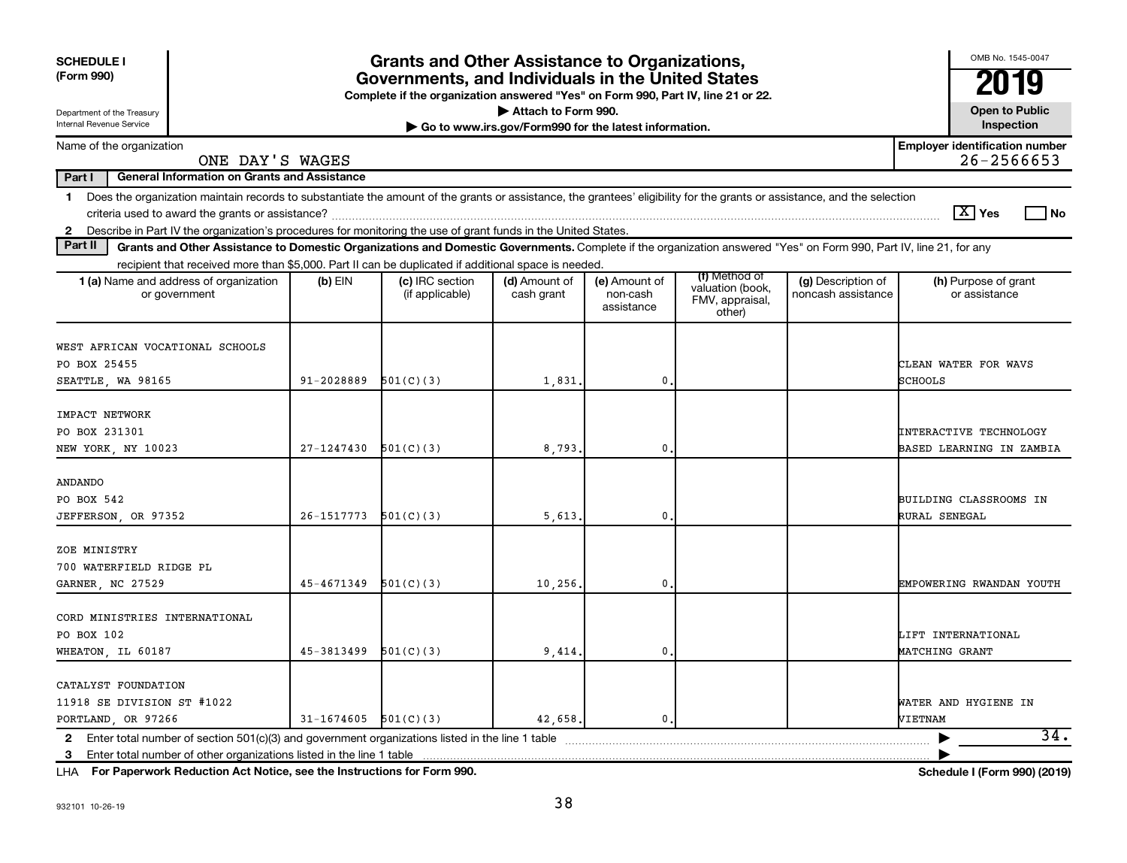| <b>SCHEDULE I</b><br>(Form 990)                                                                                                                                                                                                                                                                                | <b>Grants and Other Assistance to Organizations,</b><br>Governments, and Individuals in the United States<br>Complete if the organization answered "Yes" on Form 990, Part IV, line 21 or 22. |                                    |                                                                              |                                         |                                                                |                                          |                                                           |  |  |
|----------------------------------------------------------------------------------------------------------------------------------------------------------------------------------------------------------------------------------------------------------------------------------------------------------------|-----------------------------------------------------------------------------------------------------------------------------------------------------------------------------------------------|------------------------------------|------------------------------------------------------------------------------|-----------------------------------------|----------------------------------------------------------------|------------------------------------------|-----------------------------------------------------------|--|--|
| Department of the Treasury<br>Internal Revenue Service                                                                                                                                                                                                                                                         |                                                                                                                                                                                               |                                    | Attach to Form 990.<br>Go to www.irs.gov/Form990 for the latest information. |                                         |                                                                |                                          | <b>Open to Public</b><br>Inspection                       |  |  |
| Name of the organization<br>ONE DAY'S WAGES                                                                                                                                                                                                                                                                    |                                                                                                                                                                                               |                                    |                                                                              |                                         |                                                                |                                          | <b>Employer identification number</b><br>26-2566653       |  |  |
| <b>General Information on Grants and Assistance</b><br>Part I                                                                                                                                                                                                                                                  |                                                                                                                                                                                               |                                    |                                                                              |                                         |                                                                |                                          |                                                           |  |  |
| Does the organization maintain records to substantiate the amount of the grants or assistance, the grantees' eligibility for the grants or assistance, and the selection<br>1.                                                                                                                                 |                                                                                                                                                                                               |                                    |                                                                              |                                         |                                                                |                                          | $ \mathbf{X} $ Yes<br>l No                                |  |  |
| Describe in Part IV the organization's procedures for monitoring the use of grant funds in the United States.<br>$\mathbf{2}$<br>Part II<br>Grants and Other Assistance to Domestic Organizations and Domestic Governments. Complete if the organization answered "Yes" on Form 990, Part IV, line 21, for any |                                                                                                                                                                                               |                                    |                                                                              |                                         |                                                                |                                          |                                                           |  |  |
| recipient that received more than \$5,000. Part II can be duplicated if additional space is needed.                                                                                                                                                                                                            |                                                                                                                                                                                               |                                    |                                                                              |                                         |                                                                |                                          |                                                           |  |  |
| <b>1 (a)</b> Name and address of organization<br>or government                                                                                                                                                                                                                                                 | (b) EIN                                                                                                                                                                                       | (c) IRC section<br>(if applicable) | (d) Amount of<br>cash grant                                                  | (e) Amount of<br>non-cash<br>assistance | (f) Method of<br>valuation (book,<br>FMV, appraisal,<br>other) | (g) Description of<br>noncash assistance | (h) Purpose of grant<br>or assistance                     |  |  |
| WEST AFRICAN VOCATIONAL SCHOOLS<br>PO BOX 25455<br>SEATTLE, WA 98165                                                                                                                                                                                                                                           | 91-2028889                                                                                                                                                                                    | 501(C)(3)                          | 1,831,                                                                       | $\mathbf{0}$                            |                                                                |                                          | CLEAN WATER FOR WAVS<br>SCHOOLS                           |  |  |
| IMPACT NETWORK<br>PO BOX 231301<br>NEW YORK, NY 10023                                                                                                                                                                                                                                                          | 27-1247430                                                                                                                                                                                    | 501(C)(3)                          | 8,793                                                                        | 0                                       |                                                                |                                          | <b>INTERACTIVE TECHNOLOGY</b><br>BASED LEARNING IN ZAMBIA |  |  |
| <b>ANDANDO</b><br>PO BOX 542<br>JEFFERSON, OR 97352                                                                                                                                                                                                                                                            | 26-1517773                                                                                                                                                                                    | 501(C)(3)                          | 5,613                                                                        | 0                                       |                                                                |                                          | BUILDING CLASSROOMS IN<br>RURAL SENEGAL                   |  |  |
| ZOE MINISTRY<br>700 WATERFIELD RIDGE PL<br>GARNER, NC 27529                                                                                                                                                                                                                                                    | 45-4671349                                                                                                                                                                                    | 501(C)(3)                          | 10,256                                                                       | 0                                       |                                                                |                                          | EMPOWERING RWANDAN YOUTH                                  |  |  |
| CORD MINISTRIES INTERNATIONAL<br>PO BOX 102<br>WHEATON, IL 60187                                                                                                                                                                                                                                               | 45-3813499                                                                                                                                                                                    | 501(C)(3)                          | 9.414.                                                                       | 0                                       |                                                                |                                          | LIFT INTERNATIONAL<br>MATCHING GRANT                      |  |  |
| CATALYST FOUNDATION<br>11918 SE DIVISION ST #1022<br>PORTLAND, OR 97266                                                                                                                                                                                                                                        | $31-1674605$ $501(C)(3)$                                                                                                                                                                      |                                    | 42,658.                                                                      | $\mathbf{0}$ .                          |                                                                |                                          | WATER AND HYGIENE IN<br>VIETNAM                           |  |  |
| 2 Enter total number of section 501(c)(3) and government organizations listed in the line 1 table<br>Enter total number of other organizations listed in the line 1 table<br>3                                                                                                                                 |                                                                                                                                                                                               |                                    |                                                                              |                                         |                                                                |                                          | 34.                                                       |  |  |

**For Paperwork Reduction Act Notice, see the Instructions for Form 990. Schedule I (Form 990) (2019)** LHA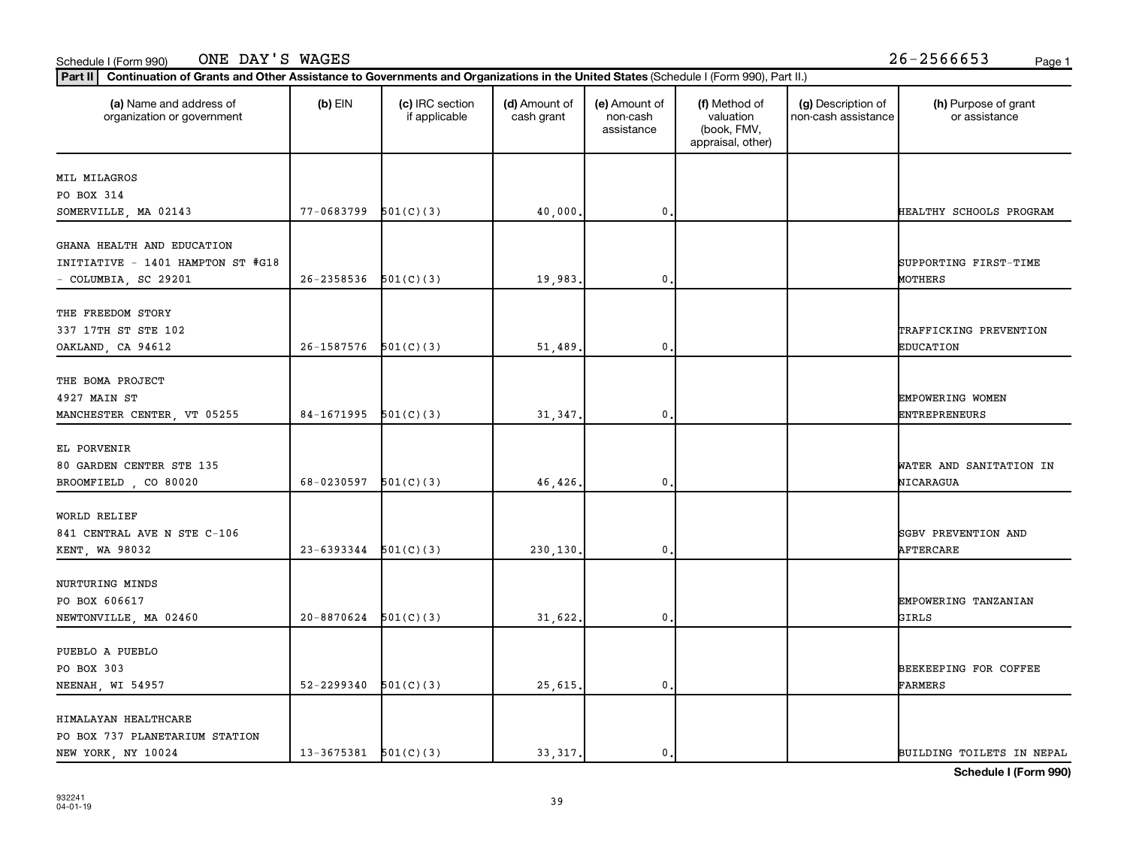#### Schedule I (Form 990) Page 1 ONE DAY'S WAGES 26-2566653

| (a) Name and address of<br>organization or government | $(b)$ EIN                  | (c) IRC section<br>if applicable | (d) Amount of<br>cash grant | (e) Amount of<br>non-cash<br>assistance | (f) Method of<br>valuation<br>(book, FMV,<br>appraisal, other) | (g) Description of<br>non-cash assistance | (h) Purpose of grant<br>or assistance |
|-------------------------------------------------------|----------------------------|----------------------------------|-----------------------------|-----------------------------------------|----------------------------------------------------------------|-------------------------------------------|---------------------------------------|
| MIL MILAGROS                                          |                            |                                  |                             |                                         |                                                                |                                           |                                       |
| PO BOX 314                                            |                            |                                  |                             |                                         |                                                                |                                           |                                       |
| SOMERVILLE, MA 02143                                  | 77-0683799                 | 501(C)(3)                        | 40,000.                     | 0.                                      |                                                                |                                           | HEALTHY SCHOOLS PROGRAM               |
| GHANA HEALTH AND EDUCATION                            |                            |                                  |                             |                                         |                                                                |                                           |                                       |
| INITIATIVE - 1401 HAMPTON ST #G18                     |                            |                                  |                             |                                         |                                                                |                                           | SUPPORTING FIRST-TIME                 |
| - COLUMBIA, SC 29201                                  | 26-2358536                 | 501(C)(3)                        | 19,983.                     | 0,                                      |                                                                |                                           | MOTHERS                               |
| THE FREEDOM STORY                                     |                            |                                  |                             |                                         |                                                                |                                           |                                       |
| 337 17TH ST STE 102                                   |                            |                                  |                             |                                         |                                                                |                                           | TRAFFICKING PREVENTION                |
|                                                       | $26-1587576$ $501(C)(3)$   |                                  | 51,489                      | 0.                                      |                                                                |                                           | <b>EDUCATION</b>                      |
| OAKLAND, CA 94612                                     |                            |                                  |                             |                                         |                                                                |                                           |                                       |
| THE BOMA PROJECT                                      |                            |                                  |                             |                                         |                                                                |                                           |                                       |
| 4927 MAIN ST                                          |                            |                                  |                             |                                         |                                                                |                                           | EMPOWERING WOMEN                      |
| MANCHESTER CENTER, VT 05255                           | 84-1671995 $501(C)(3)$     |                                  | 31,347.                     | $\mathbf{0}$                            |                                                                |                                           | <b>ENTREPRENEURS</b>                  |
|                                                       |                            |                                  |                             |                                         |                                                                |                                           |                                       |
| EL PORVENIR                                           |                            |                                  |                             |                                         |                                                                |                                           |                                       |
| 80 GARDEN CENTER STE 135                              |                            |                                  |                             |                                         |                                                                |                                           | WATER AND SANITATION IN               |
| BROOMFIELD, CO 80020                                  | 68-0230597                 | 501(C)(3)                        | 46,426.                     | 0.                                      |                                                                |                                           | NICARAGUA                             |
|                                                       |                            |                                  |                             |                                         |                                                                |                                           |                                       |
| WORLD RELIEF                                          |                            |                                  |                             |                                         |                                                                |                                           |                                       |
| 841 CENTRAL AVE N STE C-106                           |                            |                                  |                             |                                         |                                                                |                                           | <b>SGBV PREVENTION AND</b>            |
| KENT, WA 98032                                        | $23-6393344$ $501(C)(3)$   |                                  | 230,130.                    | 0.                                      |                                                                |                                           | AFTERCARE                             |
| NURTURING MINDS                                       |                            |                                  |                             |                                         |                                                                |                                           |                                       |
| PO BOX 606617                                         |                            |                                  |                             |                                         |                                                                |                                           | EMPOWERING TANZANIAN                  |
| NEWTONVILLE, MA 02460                                 | $20 - 8870624$ $501(C)(3)$ |                                  | 31,622.                     | $\pmb{0}$                               |                                                                |                                           | GIRLS                                 |
|                                                       |                            |                                  |                             |                                         |                                                                |                                           |                                       |
| PUEBLO A PUEBLO                                       |                            |                                  |                             |                                         |                                                                |                                           |                                       |
| PO BOX 303                                            |                            |                                  |                             |                                         |                                                                |                                           | BEEKEEPING FOR COFFEE                 |
| NEENAH, WI 54957                                      | 52-2299340                 | 501(C)(3)                        | 25,615.                     | 0.                                      |                                                                |                                           | <b>FARMERS</b>                        |
|                                                       |                            |                                  |                             |                                         |                                                                |                                           |                                       |
| HIMALAYAN HEALTHCARE                                  |                            |                                  |                             |                                         |                                                                |                                           |                                       |
| PO BOX 737 PLANETARIUM STATION                        |                            |                                  |                             |                                         |                                                                |                                           |                                       |
| NEW YORK, NY 10024                                    | $13-3675381$ $501(C)(3)$   |                                  | 33, 317.                    | 0.                                      |                                                                |                                           | BUILDING TOILETS IN NEPAL             |

**Schedule I (Form 990)**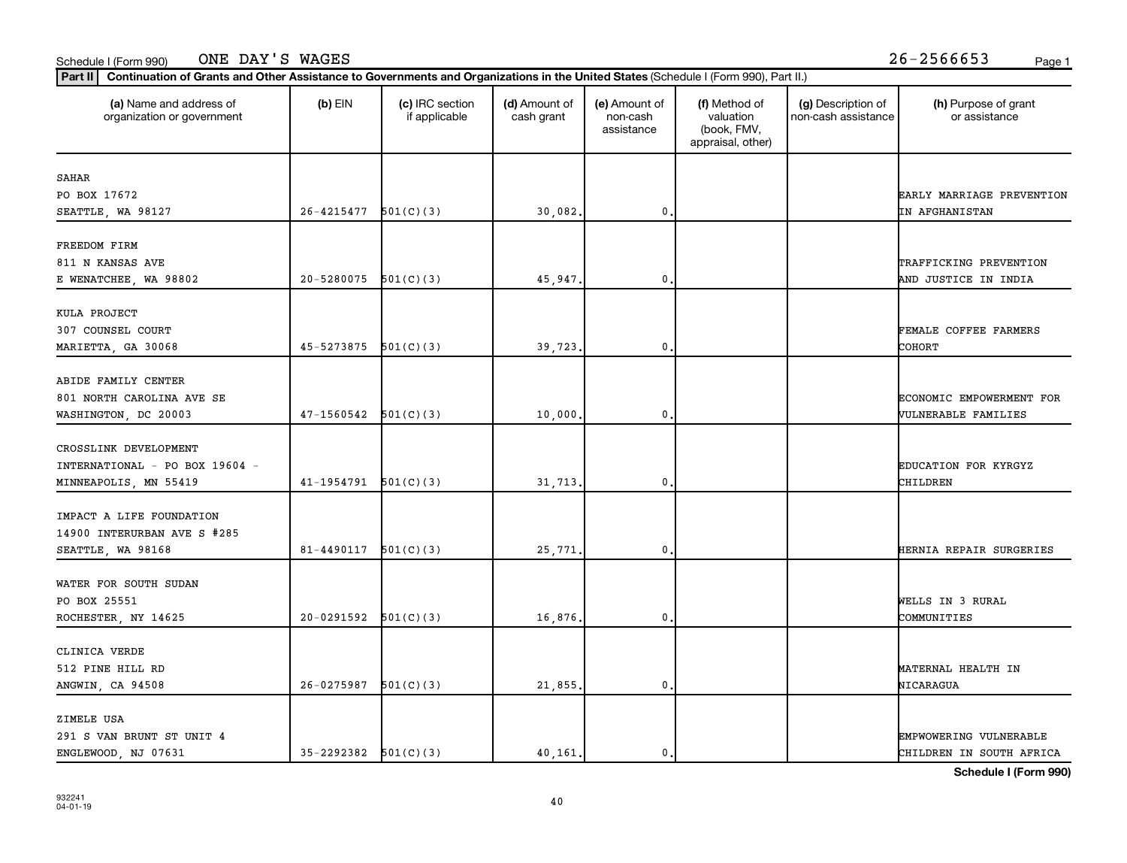#### Schedule I (Form 990) Page 1 ONE DAY'S WAGES 26-2566653

| (a) Name and address of<br>organization or government | $(b)$ EIN                  | (c) IRC section<br>if applicable | (d) Amount of<br>cash grant | (e) Amount of<br>non-cash<br>assistance | (f) Method of<br>valuation<br>(book, FMV,<br>appraisal, other) | (g) Description of<br>non-cash assistance | (h) Purpose of grant<br>or assistance |
|-------------------------------------------------------|----------------------------|----------------------------------|-----------------------------|-----------------------------------------|----------------------------------------------------------------|-------------------------------------------|---------------------------------------|
| SAHAR                                                 |                            |                                  |                             |                                         |                                                                |                                           |                                       |
| PO BOX 17672                                          |                            |                                  |                             |                                         |                                                                |                                           | EARLY MARRIAGE PREVENTION             |
| SEATTLE, WA 98127                                     | $26 - 4215477$ $501(C)(3)$ |                                  | 30,082.                     | $\mathbf 0$ .                           |                                                                |                                           | IN AFGHANISTAN                        |
| FREEDOM FIRM                                          |                            |                                  |                             |                                         |                                                                |                                           |                                       |
| 811 N KANSAS AVE                                      |                            |                                  |                             |                                         |                                                                |                                           | TRAFFICKING PREVENTION                |
| E WENATCHEE, WA 98802                                 | 20-5280075                 | 501(C)(3)                        | 45,947.                     | $\mathbf 0$                             |                                                                |                                           | AND JUSTICE IN INDIA                  |
| KULA PROJECT                                          |                            |                                  |                             |                                         |                                                                |                                           |                                       |
| 307 COUNSEL COURT                                     |                            |                                  |                             |                                         |                                                                |                                           | FEMALE COFFEE FARMERS                 |
| MARIETTA, GA 30068                                    | $45 - 5273875$ $501(C)(3)$ |                                  | 39,723.                     | 0.                                      |                                                                |                                           | <b>COHORT</b>                         |
| ABIDE FAMILY CENTER                                   |                            |                                  |                             |                                         |                                                                |                                           |                                       |
| 801 NORTH CAROLINA AVE SE                             |                            |                                  |                             |                                         |                                                                |                                           | ECONOMIC EMPOWERMENT FOR              |
| WASHINGTON, DC 20003                                  | $47-1560542$ $501(C)(3)$   |                                  | 10,000                      | $\mathbf{0}$                            |                                                                |                                           | VULNERABLE FAMILIES                   |
| CROSSLINK DEVELOPMENT                                 |                            |                                  |                             |                                         |                                                                |                                           |                                       |
| INTERNATIONAL - PO BOX 19604 -                        |                            |                                  |                             |                                         |                                                                |                                           | <b>EDUCATION FOR KYRGYZ</b>           |
| MINNEAPOLIS, MN 55419                                 | $41-1954791$ $501(C)(3)$   |                                  | 31,713.                     | 0.                                      |                                                                |                                           | CHILDREN                              |
| IMPACT A LIFE FOUNDATION                              |                            |                                  |                             |                                         |                                                                |                                           |                                       |
| 14900 INTERURBAN AVE S #285                           |                            |                                  |                             |                                         |                                                                |                                           |                                       |
| SEATTLE, WA 98168                                     | $81 - 4490117$ $501(C)(3)$ |                                  | 25,771                      | 0,                                      |                                                                |                                           | HERNIA REPAIR SURGERIES               |
| WATER FOR SOUTH SUDAN                                 |                            |                                  |                             |                                         |                                                                |                                           |                                       |
| PO BOX 25551                                          |                            |                                  |                             |                                         |                                                                |                                           | WELLS IN 3 RURAL                      |
| ROCHESTER, NY 14625                                   | 20-0291592                 | 501(C)(3)                        | 16,876.                     | $\mathbf 0$                             |                                                                |                                           | COMMUNITIES                           |
| CLINICA VERDE                                         |                            |                                  |                             |                                         |                                                                |                                           |                                       |
| 512 PINE HILL RD                                      |                            |                                  |                             |                                         |                                                                |                                           | MATERNAL HEALTH IN                    |
| ANGWIN, CA 94508                                      | 26-0275987                 | 501(C)(3)                        | 21,855.                     | $\mathbf 0$                             |                                                                |                                           | NICARAGUA                             |
| ZIMELE USA                                            |                            |                                  |                             |                                         |                                                                |                                           |                                       |
| 291 S VAN BRUNT ST UNIT 4                             |                            |                                  |                             |                                         |                                                                |                                           | EMPWOWERING VULNERABLE                |
| ENGLEWOOD, NJ 07631                                   | $35-2292382$ $501(C)(3)$   |                                  | 40,161.                     | 0.                                      |                                                                |                                           | CHILDREN IN SOUTH AFRICA              |

**Schedule I (Form 990)**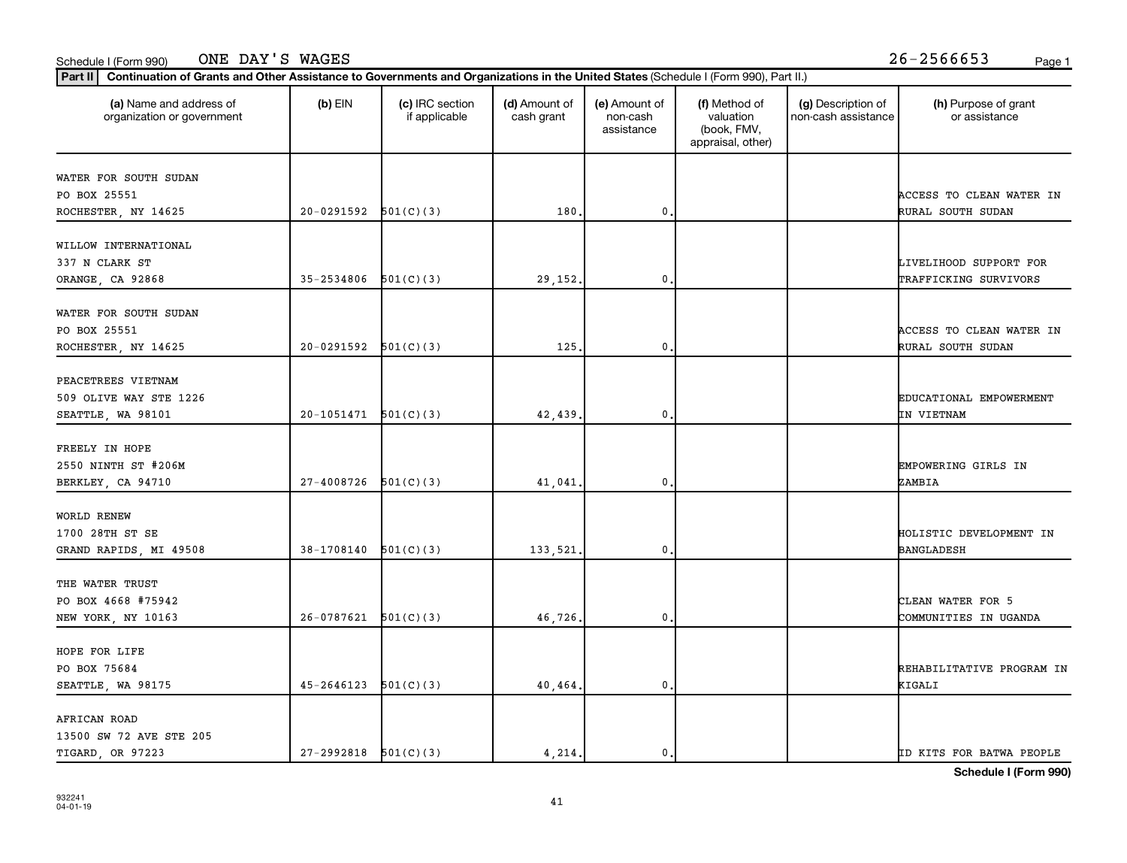#### Schedule I (Form 990) Page 1 ONE DAY'S WAGES 26-2566653

| (a) Name and address of<br>organization or government | $(b)$ EIN                | (c) IRC section<br>if applicable | (d) Amount of<br>cash grant | (e) Amount of<br>non-cash<br>assistance | (f) Method of<br>valuation<br>(book, FMV,<br>appraisal, other) | (g) Description of<br>non-cash assistance | (h) Purpose of grant<br>or assistance |
|-------------------------------------------------------|--------------------------|----------------------------------|-----------------------------|-----------------------------------------|----------------------------------------------------------------|-------------------------------------------|---------------------------------------|
| WATER FOR SOUTH SUDAN                                 |                          |                                  |                             |                                         |                                                                |                                           |                                       |
| PO BOX 25551                                          |                          |                                  |                             |                                         |                                                                |                                           | ACCESS TO CLEAN WATER IN              |
| ROCHESTER, NY 14625                                   | $20-0291592$ $501(C)(3)$ |                                  | 180.                        | $\mathbf{0}$                            |                                                                |                                           | RURAL SOUTH SUDAN                     |
| WILLOW INTERNATIONAL                                  |                          |                                  |                             |                                         |                                                                |                                           |                                       |
| 337 N CLARK ST                                        |                          |                                  |                             |                                         |                                                                |                                           | LIVELIHOOD SUPPORT FOR                |
| ORANGE, CA 92868                                      | 35-2534806               | 501(C)(3)                        | 29,152.                     | 0                                       |                                                                |                                           | TRAFFICKING SURVIVORS                 |
| WATER FOR SOUTH SUDAN                                 |                          |                                  |                             |                                         |                                                                |                                           |                                       |
| PO BOX 25551                                          |                          |                                  |                             |                                         |                                                                |                                           | ACCESS TO CLEAN WATER IN              |
| ROCHESTER, NY 14625                                   | $20-0291592$ $501(C)(3)$ |                                  | 125                         | $\mathbf{0}$                            |                                                                |                                           | RURAL SOUTH SUDAN                     |
| PEACETREES VIETNAM                                    |                          |                                  |                             |                                         |                                                                |                                           |                                       |
| 509 OLIVE WAY STE 1226                                |                          |                                  |                             |                                         |                                                                |                                           | EDUCATIONAL EMPOWERMENT               |
| SEATTLE, WA 98101                                     | 20-1051471               | 501(C)(3)                        | 42,439.                     | 0                                       |                                                                |                                           | IN VIETNAM                            |
| FREELY IN HOPE                                        |                          |                                  |                             |                                         |                                                                |                                           |                                       |
| 2550 NINTH ST #206M                                   |                          |                                  |                             |                                         |                                                                |                                           | EMPOWERING GIRLS IN                   |
| BERKLEY, CA 94710                                     | 27-4008726               | 501(C)(3)                        | 41,041                      | 0                                       |                                                                |                                           | ZAMBIA                                |
| WORLD RENEW                                           |                          |                                  |                             |                                         |                                                                |                                           |                                       |
| 1700 28TH ST SE                                       |                          |                                  |                             |                                         |                                                                |                                           | HOLISTIC DEVELOPMENT IN               |
| GRAND RAPIDS, MI 49508                                | 38-1708140               | 501(C)(3)                        | 133,521.                    | $\mathbf{0}$ .                          |                                                                |                                           | <b>BANGLADESH</b>                     |
| THE WATER TRUST                                       |                          |                                  |                             |                                         |                                                                |                                           |                                       |
| PO BOX 4668 #75942                                    |                          |                                  |                             |                                         |                                                                |                                           | CLEAN WATER FOR 5                     |
| NEW YORK, NY 10163                                    | 26-0787621               | 501(C)(3)                        | 46,726.                     | 0                                       |                                                                |                                           | COMMUNITIES IN UGANDA                 |
| HOPE FOR LIFE                                         |                          |                                  |                             |                                         |                                                                |                                           |                                       |
| PO BOX 75684                                          |                          |                                  |                             |                                         |                                                                |                                           | REHABILITATIVE PROGRAM IN             |
| SEATTLE, WA 98175                                     | 45-2646123               | 501(C)(3)                        | 40,464.                     | 0                                       |                                                                |                                           | KIGALI                                |
| AFRICAN ROAD                                          |                          |                                  |                             |                                         |                                                                |                                           |                                       |
| 13500 SW 72 AVE STE 205                               |                          |                                  |                             |                                         |                                                                |                                           |                                       |
| TIGARD, OR 97223                                      | $27-2992818$ $501(C)(3)$ |                                  | 4,214.                      | 0.                                      |                                                                |                                           | ID KITS FOR BATWA PEOPLE              |

**Schedule I (Form 990)**

41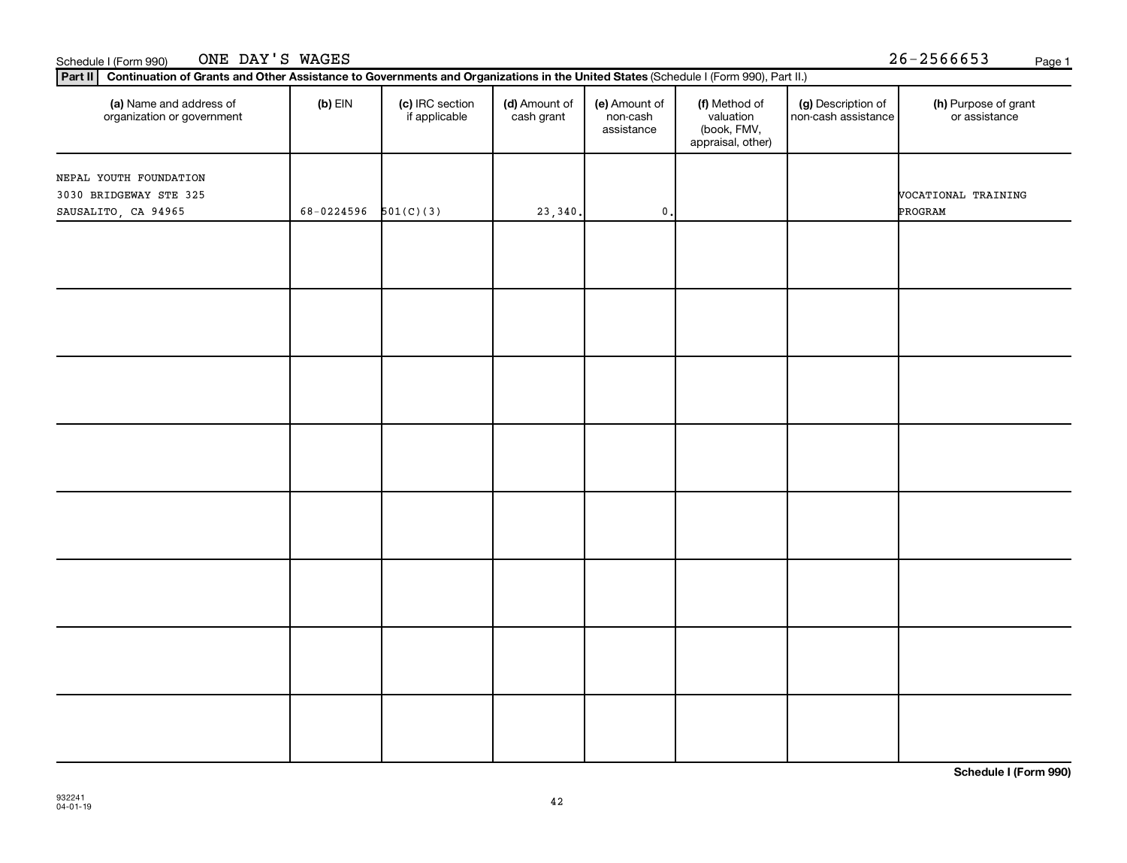| Schedule | 990<br>⊢orm | ONE<br>-----<br>DAY | WAGES | --<br>.<br>∠. n -<br>.<br>. | Page |
|----------|-------------|---------------------|-------|-----------------------------|------|
|          |             |                     |       |                             |      |

| (c) IRC section<br>(a) Name and address of<br>$(b)$ EIN<br>(d) Amount of<br>(e) Amount of<br>(f) Method of<br>(g) Description of<br>non-cash assistance<br>organization or government<br>if applicable<br>valuation<br>cash grant<br>non-cash<br>(book, FMV,<br>assistance<br>appraisal, other)<br>501(C)(3)<br>68-0224596<br>23,340.<br>$\mathbf 0$ . | (h) Purpose of grant |  |  |  |  |
|--------------------------------------------------------------------------------------------------------------------------------------------------------------------------------------------------------------------------------------------------------------------------------------------------------------------------------------------------------|----------------------|--|--|--|--|
| NEPAL YOUTH FOUNDATION<br>3030 BRIDGEWAY STE 325                                                                                                                                                                                                                                                                                                       | or assistance        |  |  |  |  |
|                                                                                                                                                                                                                                                                                                                                                        |                      |  |  |  |  |
| SAUSALITO, CA 94965                                                                                                                                                                                                                                                                                                                                    | VOCATIONAL TRAINING  |  |  |  |  |
|                                                                                                                                                                                                                                                                                                                                                        | PROGRAM              |  |  |  |  |
|                                                                                                                                                                                                                                                                                                                                                        |                      |  |  |  |  |
|                                                                                                                                                                                                                                                                                                                                                        |                      |  |  |  |  |
|                                                                                                                                                                                                                                                                                                                                                        |                      |  |  |  |  |
|                                                                                                                                                                                                                                                                                                                                                        |                      |  |  |  |  |
|                                                                                                                                                                                                                                                                                                                                                        |                      |  |  |  |  |
|                                                                                                                                                                                                                                                                                                                                                        |                      |  |  |  |  |
|                                                                                                                                                                                                                                                                                                                                                        |                      |  |  |  |  |
|                                                                                                                                                                                                                                                                                                                                                        |                      |  |  |  |  |
|                                                                                                                                                                                                                                                                                                                                                        |                      |  |  |  |  |
|                                                                                                                                                                                                                                                                                                                                                        |                      |  |  |  |  |
|                                                                                                                                                                                                                                                                                                                                                        |                      |  |  |  |  |
|                                                                                                                                                                                                                                                                                                                                                        |                      |  |  |  |  |
|                                                                                                                                                                                                                                                                                                                                                        |                      |  |  |  |  |
|                                                                                                                                                                                                                                                                                                                                                        |                      |  |  |  |  |
|                                                                                                                                                                                                                                                                                                                                                        |                      |  |  |  |  |
|                                                                                                                                                                                                                                                                                                                                                        |                      |  |  |  |  |
|                                                                                                                                                                                                                                                                                                                                                        |                      |  |  |  |  |
|                                                                                                                                                                                                                                                                                                                                                        |                      |  |  |  |  |
|                                                                                                                                                                                                                                                                                                                                                        |                      |  |  |  |  |
|                                                                                                                                                                                                                                                                                                                                                        |                      |  |  |  |  |
|                                                                                                                                                                                                                                                                                                                                                        |                      |  |  |  |  |
|                                                                                                                                                                                                                                                                                                                                                        |                      |  |  |  |  |
|                                                                                                                                                                                                                                                                                                                                                        |                      |  |  |  |  |
|                                                                                                                                                                                                                                                                                                                                                        |                      |  |  |  |  |
|                                                                                                                                                                                                                                                                                                                                                        |                      |  |  |  |  |
|                                                                                                                                                                                                                                                                                                                                                        |                      |  |  |  |  |
|                                                                                                                                                                                                                                                                                                                                                        |                      |  |  |  |  |

**Schedule I (Form 990)**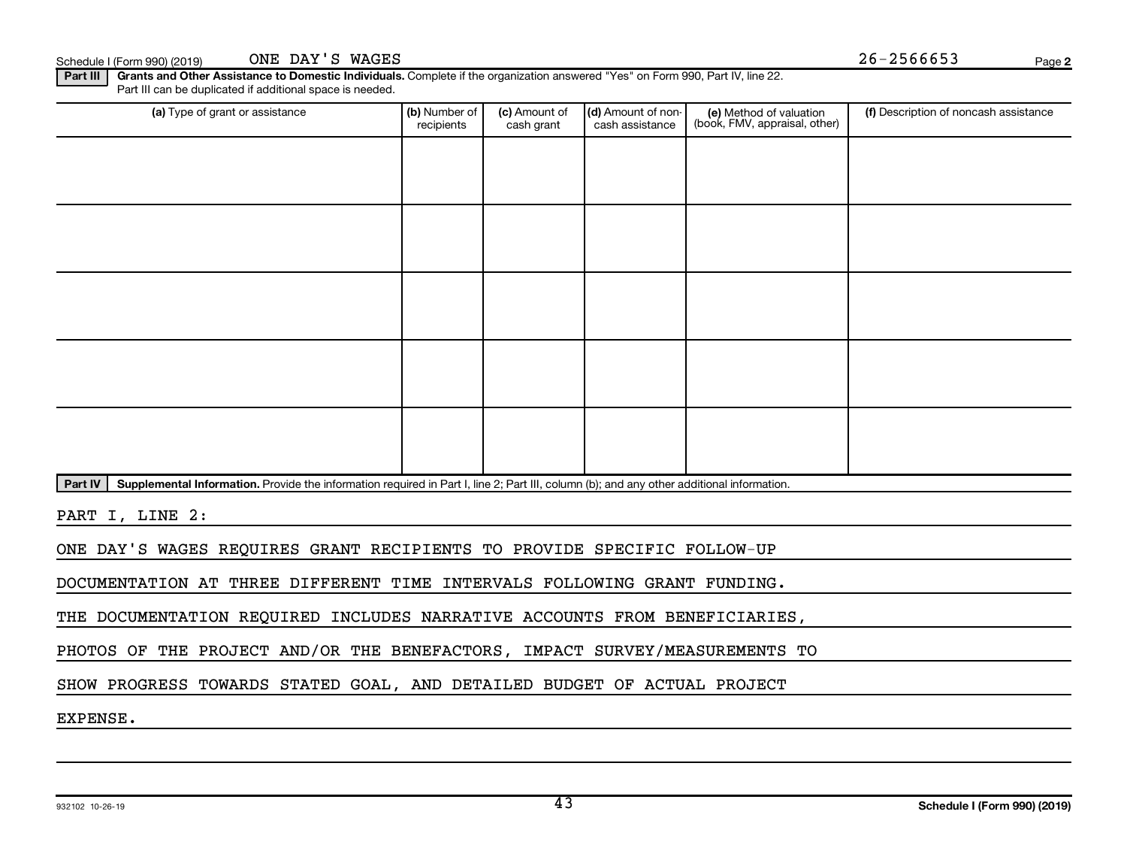Part III | Grants and Other Assistance to Domestic Individuals. Complete if the organization answered "Yes" on Form 990, Part IV, line 22. Part III can be duplicated if additional space is needed.

| (a) Type of grant or assistance | (b) Number of<br>recipients                                                                                                               | (c) Amount of<br>cash grant | (d) Amount of non-<br>cash assistance | (e) Method of valuation<br>(book, FMV, appraisal, other) | (f) Description of noncash assistance |  |  |  |  |  |
|---------------------------------|-------------------------------------------------------------------------------------------------------------------------------------------|-----------------------------|---------------------------------------|----------------------------------------------------------|---------------------------------------|--|--|--|--|--|
|                                 |                                                                                                                                           |                             |                                       |                                                          |                                       |  |  |  |  |  |
|                                 |                                                                                                                                           |                             |                                       |                                                          |                                       |  |  |  |  |  |
|                                 |                                                                                                                                           |                             |                                       |                                                          |                                       |  |  |  |  |  |
|                                 |                                                                                                                                           |                             |                                       |                                                          |                                       |  |  |  |  |  |
|                                 |                                                                                                                                           |                             |                                       |                                                          |                                       |  |  |  |  |  |
|                                 |                                                                                                                                           |                             |                                       |                                                          |                                       |  |  |  |  |  |
|                                 |                                                                                                                                           |                             |                                       |                                                          |                                       |  |  |  |  |  |
|                                 |                                                                                                                                           |                             |                                       |                                                          |                                       |  |  |  |  |  |
|                                 |                                                                                                                                           |                             |                                       |                                                          |                                       |  |  |  |  |  |
|                                 |                                                                                                                                           |                             |                                       |                                                          |                                       |  |  |  |  |  |
| Part IV                         | Supplemental Information. Provide the information required in Part I, line 2; Part III, column (b); and any other additional information. |                             |                                       |                                                          |                                       |  |  |  |  |  |

PART I, LINE 2:

ONE DAY'S WAGES REQUIRES GRANT RECIPIENTS TO PROVIDE SPECIFIC FOLLOW-UP

DOCUMENTATION AT THREE DIFFERENT TIME INTERVALS FOLLOWING GRANT FUNDING.

THE DOCUMENTATION REQUIRED INCLUDES NARRATIVE ACCOUNTS FROM BENEFICIARIES,

PHOTOS OF THE PROJECT AND/OR THE BENEFACTORS, IMPACT SURVEY/MEASUREMENTS TO

SHOW PROGRESS TOWARDS STATED GOAL, AND DETAILED BUDGET OF ACTUAL PROJECT

EXPENSE.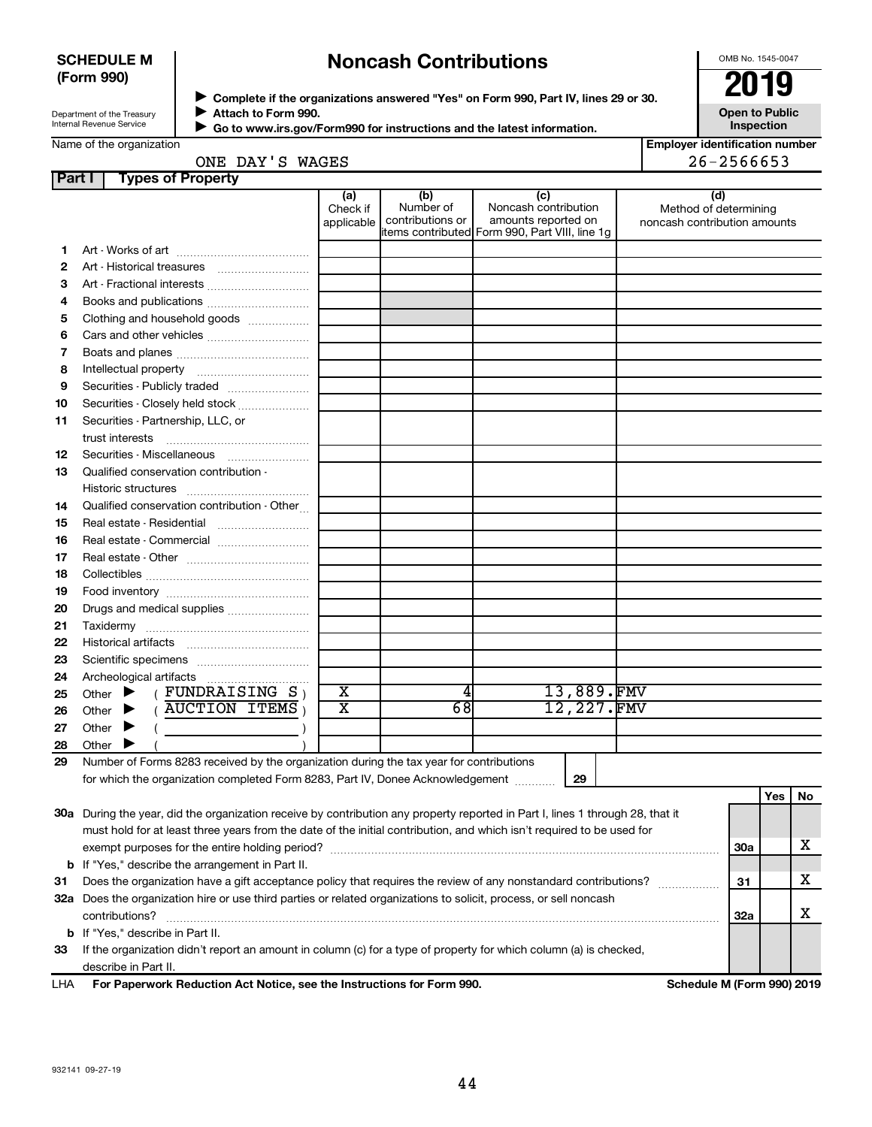### **SCHEDULE M (Form 990)**

# **Noncash Contributions**

OMB No. 1545-0047

| Department of the Treasury      |
|---------------------------------|
|                                 |
| <b>Internal Revenue Service</b> |
|                                 |

◆ Complete if the organizations answered "Yes" on Form 990, Part IV, lines 29 or 30.<br>▶ Complete if the organizations answered "Yes" on Form 990, Part IV, lines 29 or 30. **Attach to Form 990.**  $\blacktriangleright$ 

**Open to Public Inspection**

| Go to www.irs.gov/Form990 for instructions and the latest information. |
|------------------------------------------------------------------------|
| PALLOUIL LUI UI III 990.                                               |

**Employer identification number**  $26 - 2566653$ 

| ONE. | ш | WAGES |  |
|------|---|-------|--|
|      |   |       |  |
|      |   |       |  |

| (d)<br>(a)<br>(b)<br>(c)<br>Noncash contribution<br>Number of<br>Check if<br>Method of determining<br>contributions or<br>amounts reported on<br>applicable<br>noncash contribution amounts<br>items contributed Form 990, Part VIII, line 1g<br>1.<br>2<br>З<br>Art - Fractional interests<br>4<br>Clothing and household goods<br>5<br>6 |     |     |
|--------------------------------------------------------------------------------------------------------------------------------------------------------------------------------------------------------------------------------------------------------------------------------------------------------------------------------------------|-----|-----|
|                                                                                                                                                                                                                                                                                                                                            |     |     |
|                                                                                                                                                                                                                                                                                                                                            |     |     |
|                                                                                                                                                                                                                                                                                                                                            |     |     |
|                                                                                                                                                                                                                                                                                                                                            |     |     |
|                                                                                                                                                                                                                                                                                                                                            |     |     |
|                                                                                                                                                                                                                                                                                                                                            |     |     |
|                                                                                                                                                                                                                                                                                                                                            |     |     |
| 7                                                                                                                                                                                                                                                                                                                                          |     |     |
| 8                                                                                                                                                                                                                                                                                                                                          |     |     |
| Securities - Publicly traded<br>9                                                                                                                                                                                                                                                                                                          |     |     |
| Securities - Closely held stock<br>10                                                                                                                                                                                                                                                                                                      |     |     |
| Securities - Partnership, LLC, or<br>11<br>trust interests                                                                                                                                                                                                                                                                                 |     |     |
| Securities - Miscellaneous<br>12                                                                                                                                                                                                                                                                                                           |     |     |
| Qualified conservation contribution -<br>13                                                                                                                                                                                                                                                                                                |     |     |
|                                                                                                                                                                                                                                                                                                                                            |     |     |
| Qualified conservation contribution - Other<br>14                                                                                                                                                                                                                                                                                          |     |     |
| 15                                                                                                                                                                                                                                                                                                                                         |     |     |
| Real estate - Commercial<br>16                                                                                                                                                                                                                                                                                                             |     |     |
| 17                                                                                                                                                                                                                                                                                                                                         |     |     |
| 18                                                                                                                                                                                                                                                                                                                                         |     |     |
| 19                                                                                                                                                                                                                                                                                                                                         |     |     |
| 20<br>Drugs and medical supplies                                                                                                                                                                                                                                                                                                           |     |     |
| 21                                                                                                                                                                                                                                                                                                                                         |     |     |
| 22                                                                                                                                                                                                                                                                                                                                         |     |     |
| 23                                                                                                                                                                                                                                                                                                                                         |     |     |
| 24                                                                                                                                                                                                                                                                                                                                         |     |     |
| 13,889.FMV<br>X<br>(FUNDRAISING S)<br>Other $\blacktriangleright$<br>25                                                                                                                                                                                                                                                                    |     |     |
| 12,227.FMV<br>$\overline{\text{x}}$<br>68<br>AUCTION ITEMS,<br>▶<br>Other<br>26                                                                                                                                                                                                                                                            |     |     |
| Other<br>▶<br>27                                                                                                                                                                                                                                                                                                                           |     |     |
| Other<br>28                                                                                                                                                                                                                                                                                                                                |     |     |
| Number of Forms 8283 received by the organization during the tax year for contributions<br>29                                                                                                                                                                                                                                              |     |     |
| for which the organization completed Form 8283, Part IV, Donee Acknowledgement<br>29                                                                                                                                                                                                                                                       |     |     |
|                                                                                                                                                                                                                                                                                                                                            | Yes | No. |
| 30a During the year, did the organization receive by contribution any property reported in Part I, lines 1 through 28, that it                                                                                                                                                                                                             |     |     |
| must hold for at least three years from the date of the initial contribution, and which isn't required to be used for                                                                                                                                                                                                                      |     | х   |
| 30a                                                                                                                                                                                                                                                                                                                                        |     |     |
| <b>b</b> If "Yes," describe the arrangement in Part II.<br>Does the organization have a gift acceptance policy that requires the review of any nonstandard contributions?<br>31<br>31                                                                                                                                                      |     | x   |
| 32a Does the organization hire or use third parties or related organizations to solicit, process, or sell noncash                                                                                                                                                                                                                          |     |     |
| contributions?<br>32a                                                                                                                                                                                                                                                                                                                      |     | x   |
| <b>b</b> If "Yes," describe in Part II.                                                                                                                                                                                                                                                                                                    |     |     |
| If the organization didn't report an amount in column (c) for a type of property for which column (a) is checked,<br>33                                                                                                                                                                                                                    |     |     |
| describe in Part II.                                                                                                                                                                                                                                                                                                                       |     |     |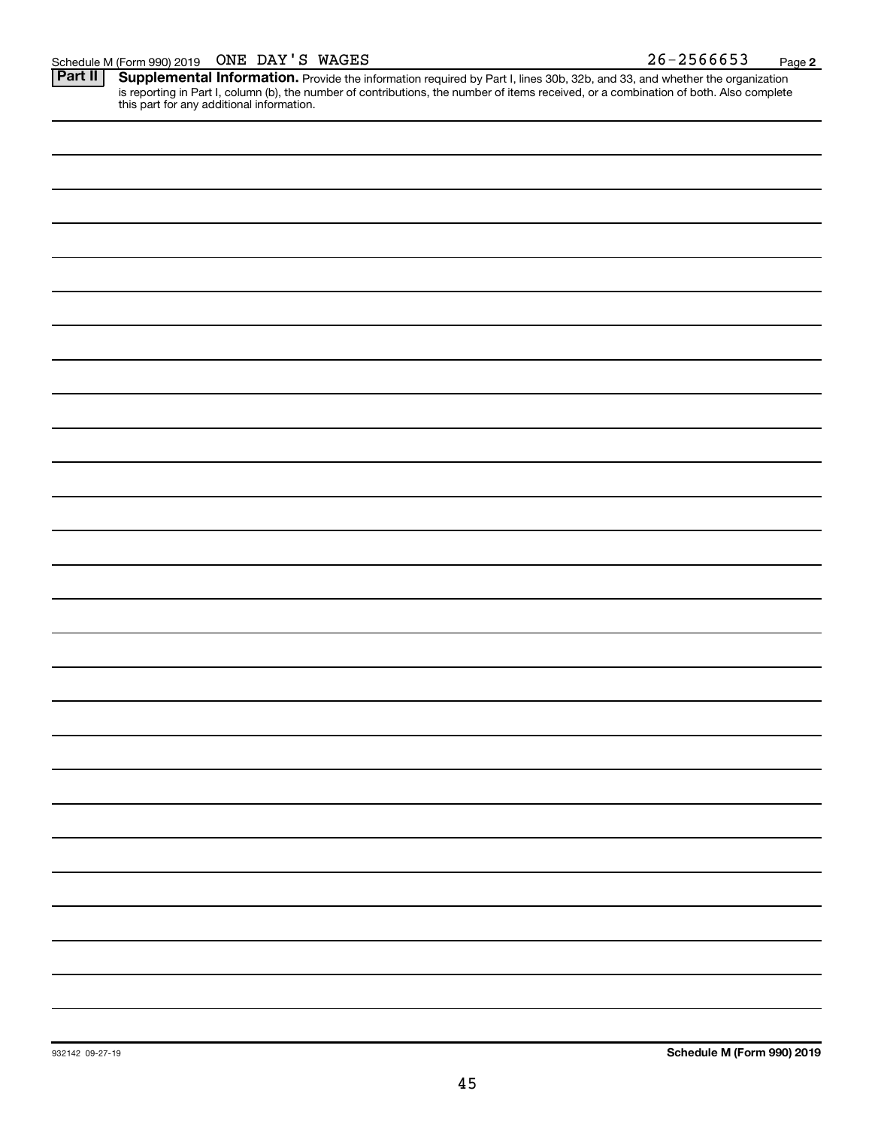Provide the information required by Part I, lines 30b, 32b, and 33, and whether the organization is reporting in Part I, column (b), the number of contributions, the number of items received, or a combination of both. Also complete this part for any additional information. **Part II Supplemental Information.**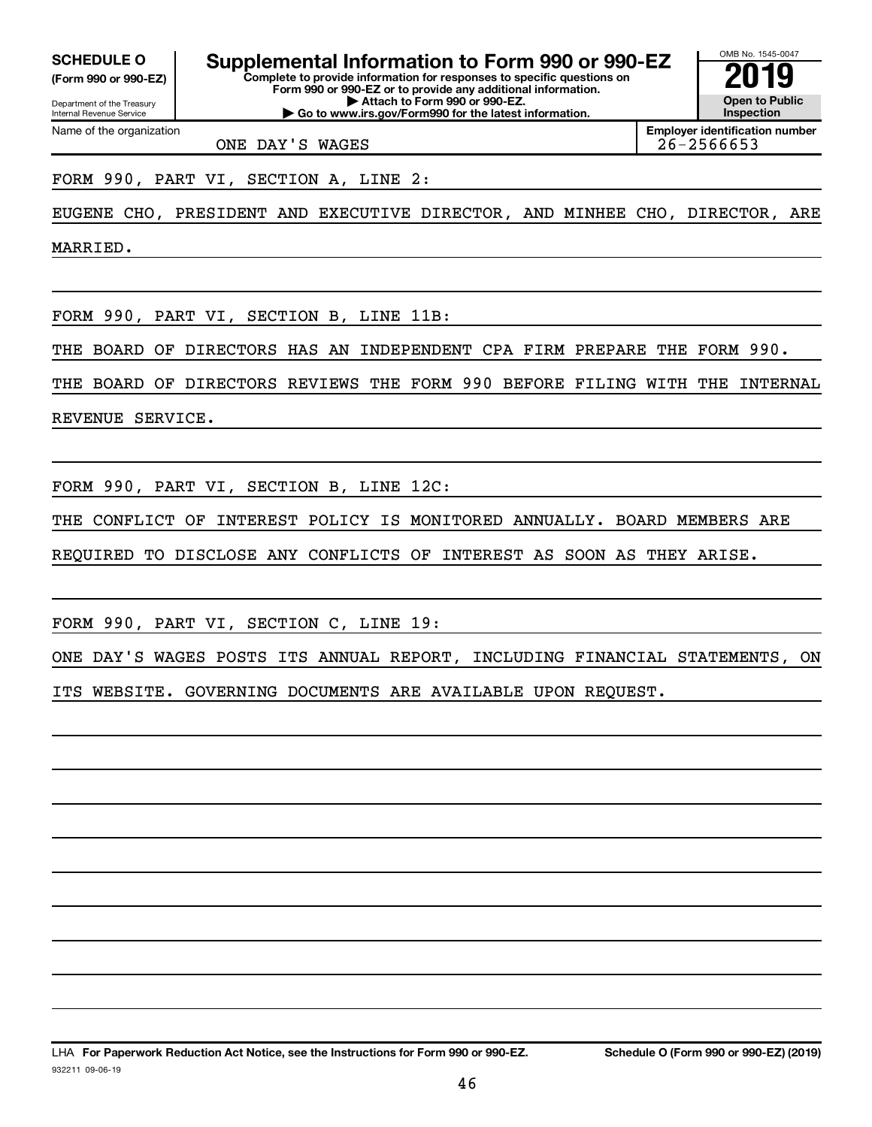**(Form 990 or 990-EZ) SCHEDULE O Supplemental Information to Form 990 or 990-EZ 2019** 

Department of the Treasury Internal Revenue Service **Form 990 or 990-EZ or to provide any additional information. | Attach to Form 990 or 990-EZ. | Go to www.irs.gov/Form990 for the latest information.**

Name of the organization

**Employer identification number**

OMB No. 1545-0047

**Open to Public Inspection**

ONE DAY'S WAGES 26-2566653

FORM 990, PART VI, SECTION A, LINE 2:

EUGENE CHO, PRESIDENT AND EXECUTIVE DIRECTOR, AND MINHEE CHO, DIRECTOR, ARE

**Complete to provide information for responses to specific questions on**

MARRIED.

FORM 990, PART VI, SECTION B, LINE 11B:

THE BOARD OF DIRECTORS HAS AN INDEPENDENT CPA FIRM PREPARE THE FORM 990.

THE BOARD OF DIRECTORS REVIEWS THE FORM 990 BEFORE FILING WITH THE INTERNAL

REVENUE SERVICE.

FORM 990, PART VI, SECTION B, LINE 12C:

THE CONFLICT OF INTEREST POLICY IS MONITORED ANNUALLY. BOARD MEMBERS ARE

REQUIRED TO DISCLOSE ANY CONFLICTS OF INTEREST AS SOON AS THEY ARISE.

FORM 990, PART VI, SECTION C, LINE 19:

ONE DAY'S WAGES POSTS ITS ANNUAL REPORT, INCLUDING FINANCIAL STATEMENTS, ON ITS WEBSITE. GOVERNING DOCUMENTS ARE AVAILABLE UPON REQUEST.

932211 09-06-19 LHA For Paperwork Reduction Act Notice, see the Instructions for Form 990 or 990-EZ. Schedule O (Form 990 or 990-EZ) (2019)